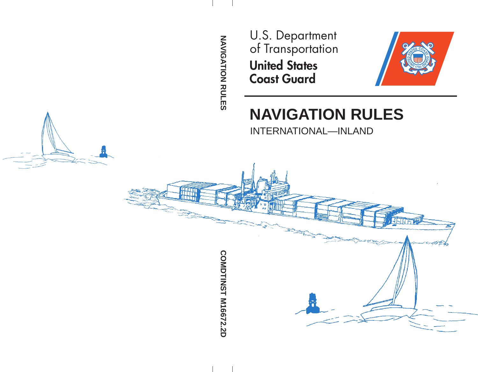U.S. Department of Transportation **United States Coast Guard**



# **NAVIGATION RULES** INTERNATIONAL—INLAND

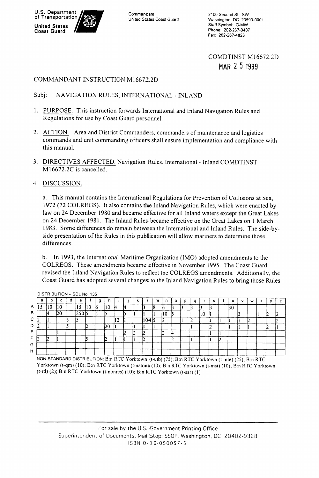

2100 Second St., SW Washington, DC 20593-0001 Staff Symbol: G-MW Phone: 202-267-0407 Fax: 202-267-4826

#### COMDTINST M16672.2D MAR 2 5 1999

#### COMMANDANT INSTRUCTION M16672.2D

#### $Subi$ NAVIGATION RULES, INTERNATIONAL - INLAND

- 1. PURPOSE. This instruction forwards International and Inland Navigation Rules and Regulations for use by Coast Guard personnel.
- 2. ACTION. Area and District Commanders, commanders of maintenance and logistics commands and unit commanding officers shall ensure implementation and compliance with this manual.
- 3. DIRECTIVES AFFECTED. Navigation Rules, International Inland COMDTINST M16672.2C is cancelled.

#### 4. DISCUSSION.

a. This manual contains the International Regulations for Prevention of Collisions at Sea, 1972 (72 COLREGS). It also contains the Inland Navigation Rules, which were enacted by law on 24 December 1980 and became effective for all Inland waters except the Great Lakes on 24 December 1981. The Inland Rules became effective on the Great Lakes on 1 March 1983. Some differences do remain between the International and Inland Rules. The side-byside presentation of the Rules in this publication will allow mariners to determine those differences.

 $\mathbf{b}$ In 1993, the International Maritime Organization (IMO) adopted amendments to the COLREGS. These amendments became effective in November 1995. The Coast Guard revised the Inland Navigation Rules to reflect the COLREGS amendments. Additionally, the Coast Guard has adopted several changes to the Inland Navigation Rules to bring those Rules

|   | - - -<br>.<br>------- |       |    |  |   |   |   |              |       |  |   |     |   |   |        |  |    |  |    |   |   |                      |  |
|---|-----------------------|-------|----|--|---|---|---|--------------|-------|--|---|-----|---|---|--------|--|----|--|----|---|---|----------------------|--|
|   | а                     | D     |    |  | е |   | ч |              |       |  | ĸ |     | m | n | o      |  |    |  | ., | ν | w | $\ddot{\phantom{1}}$ |  |
| A | כ גי                  | . I U | 10 |  |   | л |   | $\sim$<br>10 | m     |  |   |     |   |   |        |  |    |  | 30 |   |   |                      |  |
| в |                       |       |    |  |   |   |   |              |       |  |   |     |   | 0 |        |  | 10 |  |    |   |   |                      |  |
| C | n                     |       |    |  |   |   |   |              | -<br> |  |   | 104 |   |   |        |  |    |  |    |   |   |                      |  |
| D | L.                    |       |    |  |   |   |   | ı∠υ          |       |  |   |     |   |   |        |  |    |  |    |   |   |                      |  |
| E |                       |       |    |  |   |   |   |              |       |  |   |     |   |   | v<br>m |  |    |  |    |   |   |                      |  |
| c |                       |       |    |  |   |   |   |              |       |  |   |     |   |   | ⊷      |  |    |  |    |   |   |                      |  |
| G |                       |       |    |  |   |   |   |              |       |  |   |     |   |   |        |  |    |  |    |   |   |                      |  |
| н |                       |       |    |  |   |   |   |              |       |  |   |     |   |   |        |  |    |  |    |   |   |                      |  |

 $DISTR(R)$  $T[ON = SDI, No, 135]$ 

NON-STANDARD DISTRIBUTION: B:n RTC Yorktown ((t-utb) (75); B:n RTC Yorktown (t-mle) (25); B:n RTC Yorktown (t-qm) (10); B:n RTC Yorktown (t-naton) (10); B:n RTC Yorktown (t-mst) (10); B:n RTC Yorktown (t-rd) (2); B:n RTC Yorktown (t-nonres) (10); B:n RTC Yorktown (t-sar) (1)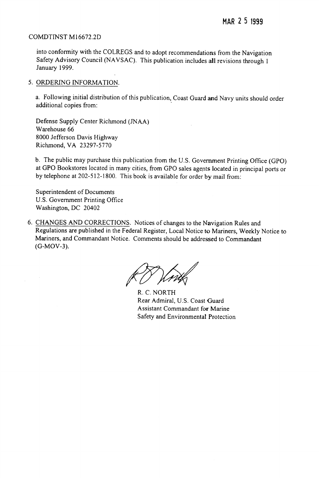#### COMDTINST M16672.2D

into conformity with the COLREGS and to adopt recommendations from the Navigation Safety Advisory Council (NAVSAC). This publication includes all revisions through 1 January 1999.

#### 5. ORDERING INFORMATION.

a. Following initial distribution of this publication, Coast Guard and Navy units should order additional copies from:

Defense Supply Center Richmond (JNAA) Warehouse 66 8000 Jefferson Davis Highway Richmond, VA 23297-5770

b. The public may purchase this publication from the U.S. Government Printing Office (GPO) at GPO Bookstores located in many cities, from GPO sales agents located in principal ports or by telephone at 202-512-1800. This book is available for order by mail from:

Superintendent of Documents U.S. Government Printing Office Washington, DC 20402

6. CHANGES AND CORRECTIONS. Notices of changes to the Navigation Rules and Regulations are published in the Federal Register, Local Notice to Mariners, Weekly Notice to Mariners, and Commandant Notice. Comments should be addressed to Commandant (G-MOV-3).

R. C. NORTH Rear Admiral, U.S. Coast Guard Assistant Commandant for Marine Safety and Environmental Protection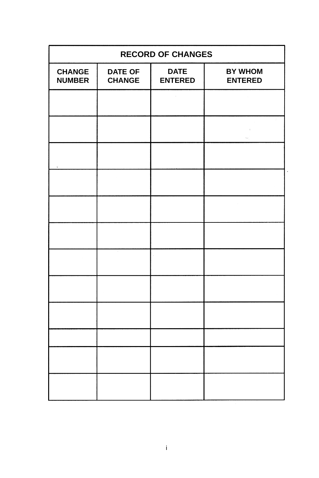| <b>RECORD OF CHANGES</b>       |                                 |                               |                                  |  |  |  |  |  |  |  |
|--------------------------------|---------------------------------|-------------------------------|----------------------------------|--|--|--|--|--|--|--|
| <b>CHANGE</b><br><b>NUMBER</b> | <b>DATE OF</b><br><b>CHANGE</b> | <b>DATE</b><br><b>ENTERED</b> | <b>BY WHOM</b><br><b>ENTERED</b> |  |  |  |  |  |  |  |
|                                |                                 |                               |                                  |  |  |  |  |  |  |  |
|                                |                                 |                               |                                  |  |  |  |  |  |  |  |
|                                |                                 |                               |                                  |  |  |  |  |  |  |  |
|                                |                                 |                               |                                  |  |  |  |  |  |  |  |
|                                |                                 |                               |                                  |  |  |  |  |  |  |  |
|                                |                                 |                               |                                  |  |  |  |  |  |  |  |
|                                |                                 |                               |                                  |  |  |  |  |  |  |  |
|                                |                                 |                               |                                  |  |  |  |  |  |  |  |
|                                |                                 |                               |                                  |  |  |  |  |  |  |  |
|                                |                                 |                               |                                  |  |  |  |  |  |  |  |
|                                |                                 |                               |                                  |  |  |  |  |  |  |  |
|                                |                                 |                               |                                  |  |  |  |  |  |  |  |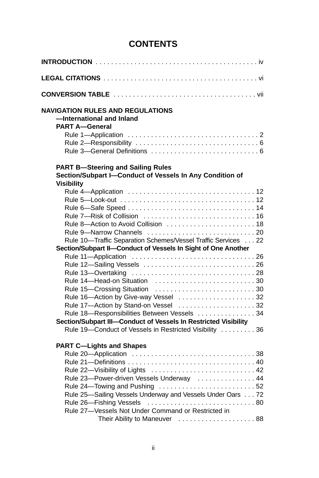## **CONTENTS**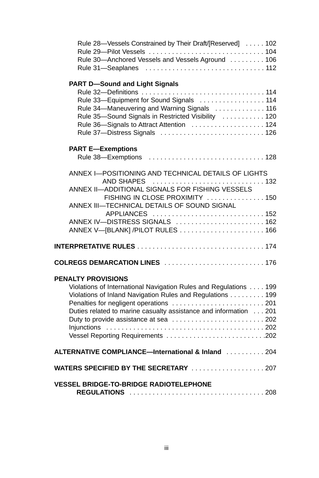| <b>VESSEL BRIDGE-TO-BRIDGE RADIOTELEPHONE</b>                                                                                                                                                                                                                                                                                                            |  |
|----------------------------------------------------------------------------------------------------------------------------------------------------------------------------------------------------------------------------------------------------------------------------------------------------------------------------------------------------------|--|
| WATERS SPECIFIED BY THE SECRETARY 207                                                                                                                                                                                                                                                                                                                    |  |
| ALTERNATIVE COMPLIANCE-International & Inland  204                                                                                                                                                                                                                                                                                                       |  |
| <b>PENALTY PROVISIONS</b><br>Violations of International Navigation Rules and Regulations 199<br>Violations of Inland Navigation Rules and Regulations 199<br>Penalties for negligent operations  201<br>Duties related to marine casualty assistance and information 201<br>Duty to provide assistance at sea  202<br>Vessel Reporting Requirements 202 |  |
| COLREGS DEMARCATION LINES  176                                                                                                                                                                                                                                                                                                                           |  |
|                                                                                                                                                                                                                                                                                                                                                          |  |
| APPLIANCES 152<br>ANNEX IV-DISTRESS SIGNALS  162                                                                                                                                                                                                                                                                                                         |  |
| FISHING IN CLOSE PROXIMITY  150<br>ANNEX III-TECHNICAL DETAILS OF SOUND SIGNAL                                                                                                                                                                                                                                                                           |  |
| ANNEX I-POSITIONING AND TECHNICAL DETAILS OF LIGHTS<br>ANNEX II-ADDITIONAL SIGNALS FOR FISHING VESSELS                                                                                                                                                                                                                                                   |  |
| <b>PART E-Exemptions</b>                                                                                                                                                                                                                                                                                                                                 |  |
| <b>PART D-Sound and Light Signals</b><br>Rule 33-Equipment for Sound Signals  114<br>Rule 34-Maneuvering and Warning Signals  116<br>Rule 35-Sound Signals in Restricted Visibility  120<br>Rule 36-Signals to Attract Attention  124<br>Rule 37-Distress Signals  126                                                                                   |  |
| Rule 28-Vessels Constrained by Their Draft/[Reserved] 102<br>Rule 30-Anchored Vessels and Vessels Aground  106                                                                                                                                                                                                                                           |  |
|                                                                                                                                                                                                                                                                                                                                                          |  |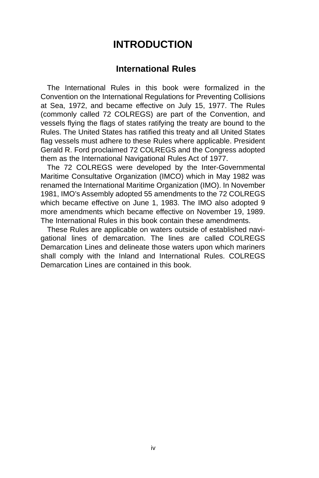## **INTRODUCTION**

#### **International Rules**

The International Rules in this book were formalized in the Convention on the International Regulations for Preventing Collisions at Sea, 1972, and became effective on July 15, 1977. The Rules (commonly called 72 COLREGS) are part of the Convention, and vessels flying the flags of states ratifying the treaty are bound to the Rules. The United States has ratified this treaty and all United States flag vessels must adhere to these Rules where applicable. President Gerald R. Ford proclaimed 72 COLREGS and the Congress adopted them as the International Navigational Rules Act of 1977.

The 72 COLREGS were developed by the Inter-Governmental Maritime Consultative Organization (IMCO) which in May 1982 was renamed the International Maritime Organization (IMO). In November 1981, IMO's Assembly adopted 55 amendments to the 72 COLREGS which became effective on June 1, 1983. The IMO also adopted 9 more amendments which became effective on November 19, 1989. The International Rules in this book contain these amendments.

These Rules are applicable on waters outside of established navigational lines of demarcation. The lines are called COLREGS Demarcation Lines and delineate those waters upon which mariners shall comply with the Inland and International Rules. COLREGS Demarcation Lines are contained in this book.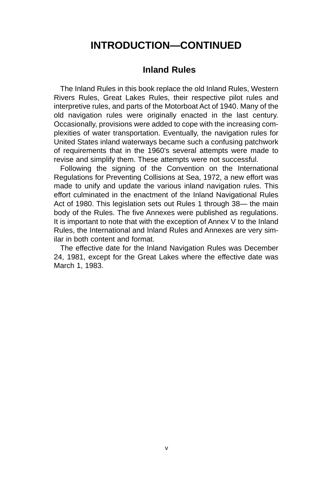## **INTRODUCTION—CONTINUED**

#### **Inland Rules**

The Inland Rules in this book replace the old Inland Rules, Western Rivers Rules, Great Lakes Rules, their respective pilot rules and interpretive rules, and parts of the Motorboat Act of 1940. Many of the old navigation rules were originally enacted in the last century. Occasionally, provisions were added to cope with the increasing complexities of water transportation. Eventually, the navigation rules for United States inland waterways became such a confusing patchwork of requirements that in the 1960's several attempts were made to revise and simplify them. These attempts were not successful.

Following the signing of the Convention on the International Regulations for Preventing Collisions at Sea, 1972, a new effort was made to unify and update the various inland navigation rules. This effort culminated in the enactment of the Inland Navigational Rules Act of 1980. This legislation sets out Rules 1 through 38— the main body of the Rules. The five Annexes were published as regulations. It is important to note that with the exception of Annex V to the Inland Rules, the International and Inland Rules and Annexes are very similar in both content and format.

The effective date for the Inland Navigation Rules was December 24, 1981, except for the Great Lakes where the effective date was March 1, 1983.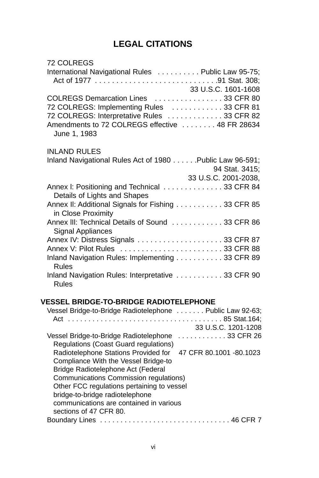## **LEGAL CITATIONS**

| <b>72 COLREGS</b><br>International Navigational Rules Public Law 95-75;<br>33 U.S.C. 1601-1608                                                                                                   |  |
|--------------------------------------------------------------------------------------------------------------------------------------------------------------------------------------------------|--|
| COLREGS Demarcation Lines 33 CFR 80<br>72 COLREGS: Implementing Rules 33 CFR 81<br>72 COLREGS: Interpretative Rules 33 CFR 82<br>Amendments to 72 COLREGS effective  48 FR 28634<br>June 1, 1983 |  |
| <b>INLAND RULES</b><br>Inland Navigational Rules Act of 1980 Public Law 96-591;<br>94 Stat. 3415;<br>33 U.S.C. 2001-2038,                                                                        |  |
| Annex I: Positioning and Technical 33 CFR 84                                                                                                                                                     |  |
| Details of Lights and Shapes                                                                                                                                                                     |  |
| Annex II: Additional Signals for Fishing 33 CFR 85<br>in Close Proximity                                                                                                                         |  |
| Annex III: Technical Details of Sound  33 CFR 86<br><b>Signal Appliances</b>                                                                                                                     |  |
| Annex IV: Distress Signals  33 CFR 87                                                                                                                                                            |  |
|                                                                                                                                                                                                  |  |
| Inland Navigation Rules: Implementing 33 CFR 89<br>Rules                                                                                                                                         |  |
| Inland Navigation Rules: Interpretative  33 CFR 90<br><b>Rules</b>                                                                                                                               |  |
| <b>VESSEL BRIDGE-TO-BRIDGE RADIOTELEPHONE</b>                                                                                                                                                    |  |
| Vessel Bridge-to-Bridge Radiotelephone  Public Law 92-63;                                                                                                                                        |  |
|                                                                                                                                                                                                  |  |
| 33 U.S.C. 1201-1208                                                                                                                                                                              |  |
| Vessel Bridge-to-Bridge Radiotelephone 33 CFR 26<br>Regulations (Coast Guard regulations)                                                                                                        |  |
| Radiotelephone Stations Provided for 47 CFR 80.1001 -80.1023<br>Compliance With the Vessel Bridge-to                                                                                             |  |
| Bridge Radiotelephone Act (Federal                                                                                                                                                               |  |
| Communications Commission regulations)                                                                                                                                                           |  |
| Other FCC regulations pertaining to vessel                                                                                                                                                       |  |
| bridge-to-bridge radiotelephone<br>communications are contained in various                                                                                                                       |  |
| sections of 47 CFR 80.                                                                                                                                                                           |  |
| Boundary Lines  46 CFR 7                                                                                                                                                                         |  |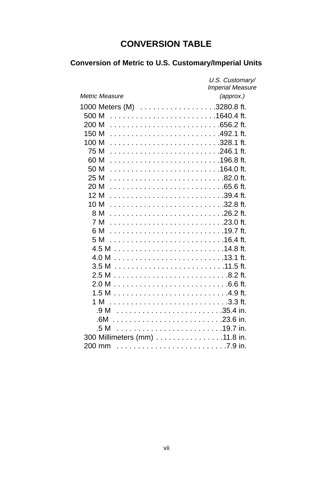## **CONVERSION TABLE**

#### **Conversion of Metric to U.S. Customary/Imperial Units**

|                               | U.S. Customary/<br><b>Imperial Measure</b> |
|-------------------------------|--------------------------------------------|
| Metric Measure                | (approx.)                                  |
| 1000 Meters (M) 3280.8 ft.    |                                            |
| 500 M                         |                                            |
| 200 M                         |                                            |
| 150 M                         |                                            |
| 100 M                         |                                            |
| 75 M                          |                                            |
| 60 M                          |                                            |
| 50 M                          |                                            |
| 25 M                          |                                            |
| 20 M                          |                                            |
| 12 M                          |                                            |
| 10 M                          |                                            |
| 8 M                           |                                            |
| 7 M                           |                                            |
| 6 M                           |                                            |
| 5 M                           |                                            |
|                               |                                            |
| 4.0 M                         |                                            |
| 3.5 M                         |                                            |
| 2.5 M                         |                                            |
|                               |                                            |
|                               |                                            |
| 1 M                           |                                            |
| .9 M                          |                                            |
| .6M                           |                                            |
| 19.7 in.<br>.5 M              |                                            |
| 300 Millimeters (mm) 11.8 in. |                                            |
| 200 mm                        |                                            |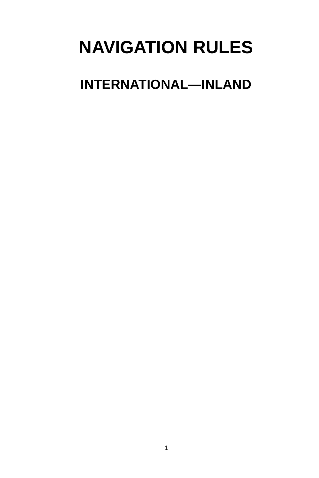# **NAVIGATION RULES**

# **INTERNATIONAL—INLAND**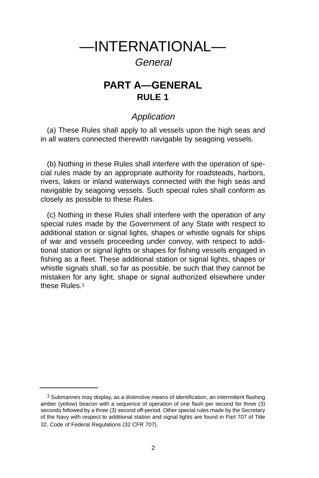## —INTERNATIONAL— **General**

## **PART A—GENERAL RULE 1**

#### Application

(a) These Rules shall apply to all vessels upon the high seas and in all waters connected therewith navigable by seagoing vessels.

(b) Nothing in these Rules shall interfere with the operation of special rules made by an appropriate authority for roadsteads, harbors, rivers, lakes or inland waterways connected with the high seas and navigable by seagoing vessels. Such special rules shall conform as closely as possible to these Rules.

(c) Nothing in these Rules shall interfere with the operation of any special rules made by the Government of any State with respect to additional station or signal lights, shapes or whistle signals for ships of war and vessels proceeding under convoy, with respect to additional station or signal lights or shapes for fishing vessels engaged in fishing as a fleet. These additional station or signal lights, shapes or whistle signals shall, so far as possible, be such that they cannot be mistaken for any light, shape or signal authorized elsewhere under these Rules.1

 $1$  Submarines may display, as a distinctive means of identification, an intermittent flashing amber (yellow) beacon with a sequence of operation of one flash per second for three (3) seconds followed by a three (3) second off-period. Other special rules made by the Secretary of the Navy with respect to additional station and signal lights are found in Part 707 of Title 32, Code of Federal Regulations (32 CFR 707).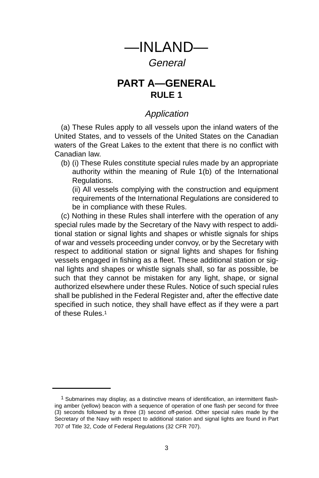

#### General

## **PART A—GENERAL RULE 1**

#### **Application**

(a) These Rules apply to all vessels upon the inland waters of the United States, and to vessels of the United States on the Canadian waters of the Great Lakes to the extent that there is no conflict with Canadian law.

(b) (i) These Rules constitute special rules made by an appropriate authority within the meaning of Rule 1(b) of the International Regulations.

(ii) All vessels complying with the construction and equipment requirements of the International Regulations are considered to be in compliance with these Rules.

(c) Nothing in these Rules shall interfere with the operation of any special rules made by the Secretary of the Navy with respect to additional station or signal lights and shapes or whistle signals for ships of war and vessels proceeding under convoy, or by the Secretary with respect to additional station or signal lights and shapes for fishing vessels engaged in fishing as a fleet. These additional station or signal lights and shapes or whistle signals shall, so far as possible, be such that they cannot be mistaken for any light, shape, or signal authorized elsewhere under these Rules. Notice of such special rules shall be published in the Federal Register and, after the effective date specified in such notice, they shall have effect as if they were a part of these Rules.1

<sup>1</sup> Submarines may display, as a distinctive means of identification, an intermittent flashing amber (yellow) beacon with a sequence of operation of one flash per second for three (3) seconds followed by a three (3) second off-period. Other special rules made by the Secretary of the Navy with respect to additional station and signal lights are found in Part 707 of Title 32, Code of Federal Regulations (32 CFR 707).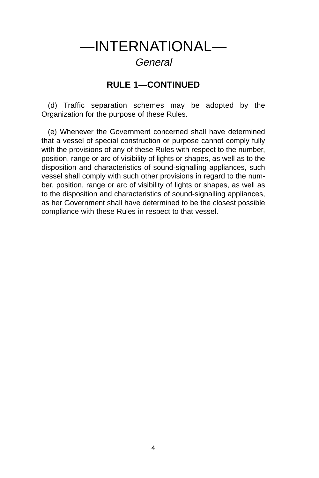## **General**

## **RULE 1—CONTINUED**

(d) Traffic separation schemes may be adopted by the Organization for the purpose of these Rules.

(e) Whenever the Government concerned shall have determined that a vessel of special construction or purpose cannot comply fully with the provisions of any of these Rules with respect to the number, position, range or arc of visibility of lights or shapes, as well as to the disposition and characteristics of sound-signalling appliances, such vessel shall comply with such other provisions in regard to the number, position, range or arc of visibility of lights or shapes, as well as to the disposition and characteristics of sound-signalling appliances, as her Government shall have determined to be the closest possible compliance with these Rules in respect to that vessel.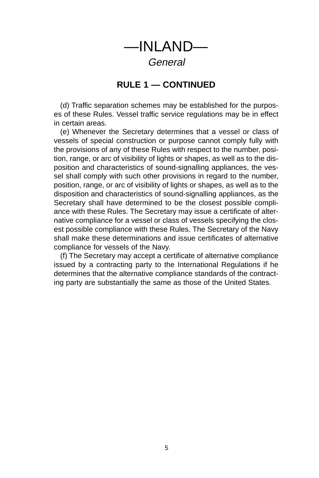—INLAND—

#### **General**

#### **RULE 1 — CONTINUED**

(d) Traffic separation schemes may be established for the purposes of these Rules. Vessel traffic service regulations may be in effect in certain areas.

(e) Whenever the Secretary determines that a vessel or class of vessels of special construction or purpose cannot comply fully with the provisions of any of these Rules with respect to the number, position, range, or arc of visibility of lights or shapes, as well as to the disposition and characteristics of sound-signalling appliances, the vessel shall comply with such other provisions in regard to the number, position, range, or arc of visibility of lights or shapes, as well as to the disposition and characteristics of sound-signalling appliances, as the Secretary shall have determined to be the closest possible compliance with these Rules. The Secretary may issue a certificate of alternative compliance for a vessel or class of vessels specifying the closest possible compliance with these Rules. The Secretary of the Navy shall make these determinations and issue certificates of alternative compliance for vessels of the Navy.

(f) The Secretary may accept a certificate of alternative compliance issued by a contracting party to the International Regulations if he determines that the alternative compliance standards of the contracting party are substantially the same as those of the United States.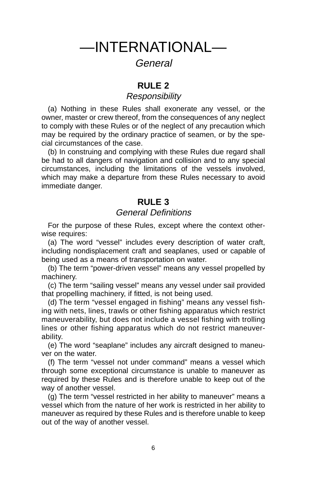## **General**

#### **RULE 2**

#### **Responsibility**

(a) Nothing in these Rules shall exonerate any vessel, or the owner, master or crew thereof, from the consequences of any neglect to comply with these Rules or of the neglect of any precaution which may be required by the ordinary practice of seamen, or by the special circumstances of the case.

(b) In construing and complying with these Rules due regard shall be had to all dangers of navigation and collision and to any special circumstances, including the limitations of the vessels involved, which may make a departure from these Rules necessary to avoid immediate danger.

#### **RULE 3**

#### General Definitions

For the purpose of these Rules, except where the context otherwise requires:

(a) The word "vessel" includes every description of water craft, including nondisplacement craft and seaplanes, used or capable of being used as a means of transportation on water.

(b) The term "power-driven vessel" means any vessel propelled by machinery.

(c) The term "sailing vessel" means any vessel under sail provided that propelling machinery, if fitted, is not being used.

(d) The term "vessel engaged in fishing" means any vessel fishing with nets, lines, trawls or other fishing apparatus which restrict maneuverability, but does not include a vessel fishing with trolling lines or other fishing apparatus which do not restrict maneuverability.

(e) The word "seaplane" includes any aircraft designed to maneuver on the water.

(f) The term "vessel not under command" means a vessel which through some exceptional circumstance is unable to maneuver as required by these Rules and is therefore unable to keep out of the way of another vessel.

(g) The term "vessel restricted in her ability to maneuver" means a vessel which from the nature of her work is restricted in her ability to maneuver as required by these Rules and is therefore unable to keep out of the way of another vessel.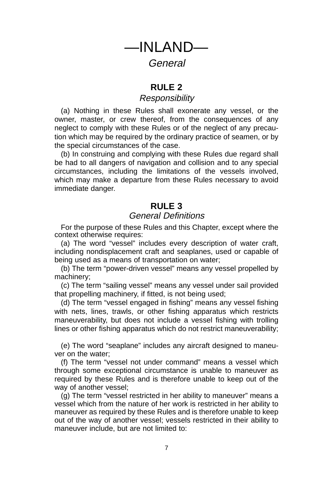—INLAND—

## **General**

#### **RULE 2**

#### **Responsibility**

(a) Nothing in these Rules shall exonerate any vessel, or the owner, master, or crew thereof, from the consequences of any neglect to comply with these Rules or of the neglect of any precaution which may be required by the ordinary practice of seamen, or by the special circumstances of the case.

(b) In construing and complying with these Rules due regard shall be had to all dangers of navigation and collision and to any special circumstances, including the limitations of the vessels involved, which may make a departure from these Rules necessary to avoid immediate danger.

#### **RULE 3**

#### General Definitions

For the purpose of these Rules and this Chapter, except where the context otherwise requires:

(a) The word "vessel" includes every description of water craft, including nondisplacement craft and seaplanes, used or capable of being used as a means of transportation on water;

(b) The term "power-driven vessel" means any vessel propelled by machinery;

(c) The term "sailing vessel" means any vessel under sail provided that propelling machinery, if fitted, is not being used;

(d) The term "vessel engaged in fishing" means any vessel fishing with nets, lines, trawls, or other fishing apparatus which restricts maneuverability, but does not include a vessel fishing with trolling lines or other fishing apparatus which do not restrict maneuverability;

(e) The word "seaplane" includes any aircraft designed to maneuver on the water;

(f) The term "vessel not under command" means a vessel which through some exceptional circumstance is unable to maneuver as required by these Rules and is therefore unable to keep out of the way of another vessel;

(g) The term "vessel restricted in her ability to maneuver" means a vessel which from the nature of her work is restricted in her ability to maneuver as required by these Rules and is therefore unable to keep out of the way of another vessel; vessels restricted in their ability to maneuver include, but are not limited to: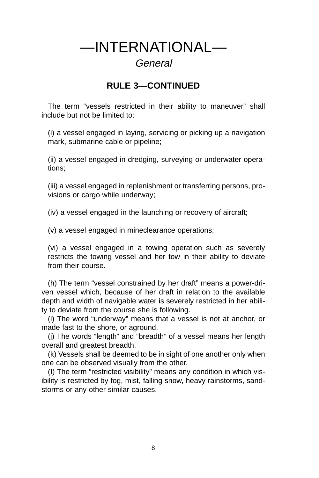## General

## **RULE 3—CONTINUED**

The term "vessels restricted in their ability to maneuver" shall include but not be limited to:

(i) a vessel engaged in laying, servicing or picking up a navigation mark, submarine cable or pipeline;

(ii) a vessel engaged in dredging, surveying or underwater operations;

(iii) a vessel engaged in replenishment or transferring persons, provisions or cargo while underway;

(iv) a vessel engaged in the launching or recovery of aircraft;

(v) a vessel engaged in mineclearance operations;

(vi) a vessel engaged in a towing operation such as severely restricts the towing vessel and her tow in their ability to deviate from their course.

(h) The term "vessel constrained by her draft" means a power-driven vessel which, because of her draft in relation to the available depth and width of navigable water is severely restricted in her ability to deviate from the course she is following.

(i) The word "underway" means that a vessel is not at anchor, or made fast to the shore, or aground.

(j) The words "length" and "breadth" of a vessel means her length overall and greatest breadth.

(k) Vessels shall be deemed to be in sight of one another only when one can be observed visually from the other.

(I) The term "restricted visibility" means any condition in which visibility is restricted by fog, mist, falling snow, heavy rainstorms, sandstorms or any other similar causes.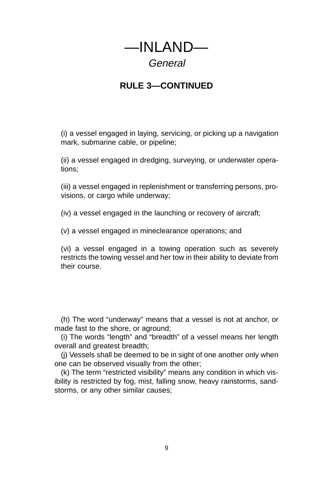—INLAND—

## **General**

## **RULE 3—CONTINUED**

(i) a vessel engaged in laying, servicing, or picking up a navigation mark, submarine cable, or pipeline;

(ii) a vessel engaged in dredging, surveying, or underwater operations;

(iii) a vessel engaged in replenishment or transferring persons, provisions, or cargo while underway;

(iv) a vessel engaged in the launching or recovery of aircraft;

(v) a vessel engaged in mineclearance operations; and

(vi) a vessel engaged in a towing operation such as severely restricts the towing vessel and her tow in their ability to deviate from their course.

(h) The word "underway" means that a vessel is not at anchor, or made fast to the shore, or aground;

(i) The words "length" and "breadth" of a vessel means her length overall and greatest breadth;

(j) Vessels shall be deemed to be in sight of one another only when one can be observed visually from the other;

(k) The term "restricted visibility" means any condition in which visibility is restricted by fog, mist, falling snow, heavy rainstorms, sandstorms, or any other similar causes;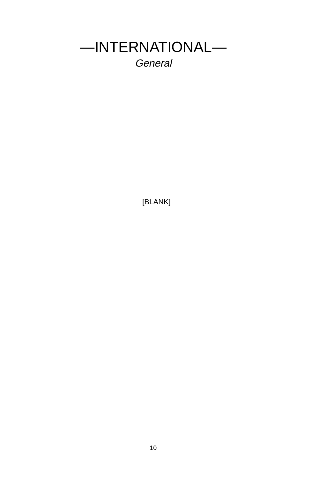# —INTERNATIONAL— **General**

[BLANK]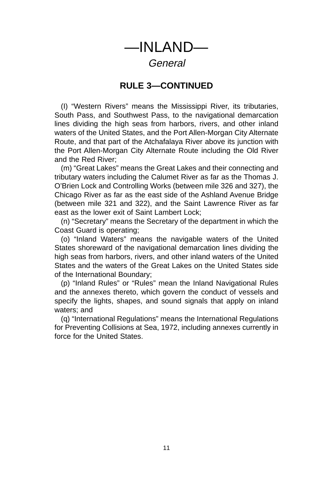—INLAND—

### **General**

#### **RULE 3—CONTINUED**

(I) "Western Rivers" means the Mississippi River, its tributaries, South Pass, and Southwest Pass, to the navigational demarcation lines dividing the high seas from harbors, rivers, and other inland waters of the United States, and the Port Allen-Morgan City Alternate Route, and that part of the Atchafalaya River above its junction with the Port Allen-Morgan City Alternate Route including the Old River and the Red River;

(m) "Great Lakes" means the Great Lakes and their connecting and tributary waters including the Calumet River as far as the Thomas J. O'Brien Lock and Controlling Works (between mile 326 and 327), the Chicago River as far as the east side of the Ashland Avenue Bridge (between mile 321 and 322), and the Saint Lawrence River as far east as the lower exit of Saint Lambert Lock;

(n) "Secretary" means the Secretary of the department in which the Coast Guard is operating;

(o) "Inland Waters" means the navigable waters of the United States shoreward of the navigational demarcation lines dividing the high seas from harbors, rivers, and other inland waters of the United States and the waters of the Great Lakes on the United States side of the International Boundary;

(p) "Inland Rules" or "Rules" mean the Inland Navigational Rules and the annexes thereto, which govern the conduct of vessels and specify the lights, shapes, and sound signals that apply on inland waters; and

(q) "International Regulations" means the International Regulations for Preventing Collisions at Sea, 1972, including annexes currently in force for the United States.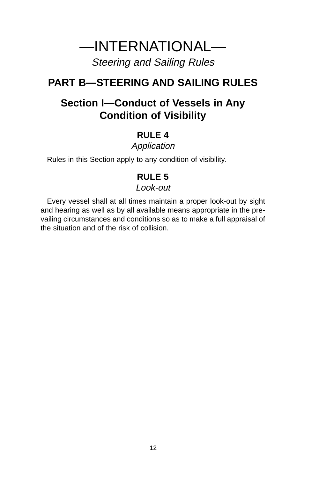Steering and Sailing Rules

## **PART B—STEERING AND SAILING RULES**

## **Section I—Conduct of Vessels in Any Condition of Visibility**

## **RULE 4**

## Application

Rules in this Section apply to any condition of visibility.

## **RULE 5**

### Look-out

Every vessel shall at all times maintain a proper look-out by sight and hearing as well as by all available means appropriate in the prevailing circumstances and conditions so as to make a full appraisal of the situation and of the risk of collision.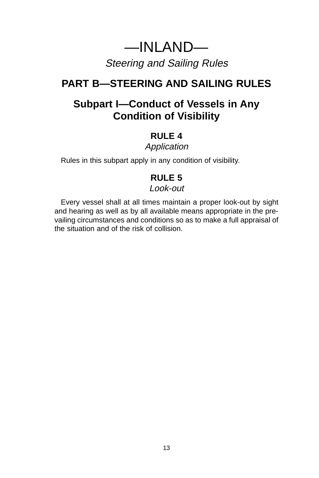# —INLAND—

## Steering and Sailing Rules

## **PART B—STEERING AND SAILING RULES**

## **Subpart I—Conduct of Vessels in Any Condition of Visibility**

## **RULE 4**

## Application

Rules in this subpart apply in any condition of visibility.

# **RULE 5**

Look-out

Every vessel shall at all times maintain a proper look-out by sight and hearing as well as by all available means appropriate in the prevailing circumstances and conditions so as to make a full appraisal of the situation and of the risk of collision.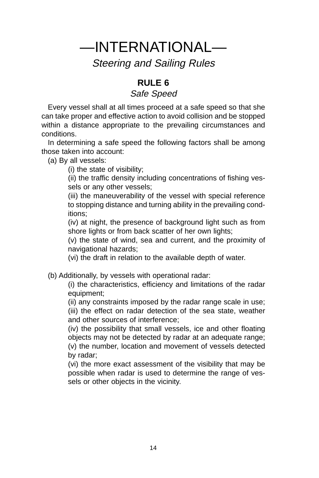## Steering and Sailing Rules

## **RULE 6**

#### Safe Speed

Every vessel shall at all times proceed at a safe speed so that she can take proper and effective action to avoid collision and be stopped within a distance appropriate to the prevailing circumstances and conditions.

In determining a safe speed the following factors shall be among those taken into account:

(a) By all vessels:

(i) the state of visibility;

(ii) the traffic density including concentrations of fishing vessels or any other vessels;

(iii) the maneuverability of the vessel with special reference to stopping distance and turning ability in the prevailing conditions;

(iv) at night, the presence of background light such as from shore lights or from back scatter of her own lights;

(v) the state of wind, sea and current, and the proximity of navigational hazards;

(vi) the draft in relation to the available depth of water.

(b) Additionally, by vessels with operational radar:

(i) the characteristics, efficiency and limitations of the radar equipment;

(ii) any constraints imposed by the radar range scale in use;

(iii) the effect on radar detection of the sea state, weather and other sources of interference;

(iv) the possibility that small vessels, ice and other floating objects may not be detected by radar at an adequate range; (v) the number, location and movement of vessels detected by radar;

(vi) the more exact assessment of the visibility that may be possible when radar is used to determine the range of vessels or other objects in the vicinity.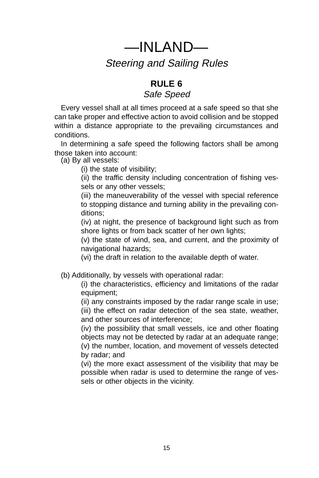# —INLAND— Steering and Sailing Rules

## **RULE 6**

#### Safe Speed

Every vessel shall at all times proceed at a safe speed so that she can take proper and effective action to avoid collision and be stopped within a distance appropriate to the prevailing circumstances and conditions.

In determining a safe speed the following factors shall be among those taken into account:

(a) By all vessels:

(i) the state of visibility;

(ii) the traffic density including concentration of fishing vessels or any other vessels;

(iii) the maneuverability of the vessel with special reference to stopping distance and turning ability in the prevailing conditions;

(iv) at night, the presence of background light such as from shore lights or from back scatter of her own lights;

(v) the state of wind, sea, and current, and the proximity of navigational hazards;

(vi) the draft in relation to the available depth of water.

(b) Additionally, by vessels with operational radar:

(i) the characteristics, efficiency and limitations of the radar equipment;

(ii) any constraints imposed by the radar range scale in use;

(iii) the effect on radar detection of the sea state, weather, and other sources of interference;

(iv) the possibility that small vessels, ice and other floating objects may not be detected by radar at an adequate range; (v) the number, location, and movement of vessels detected by radar; and

(vi) the more exact assessment of the visibility that may be possible when radar is used to determine the range of vessels or other objects in the vicinity.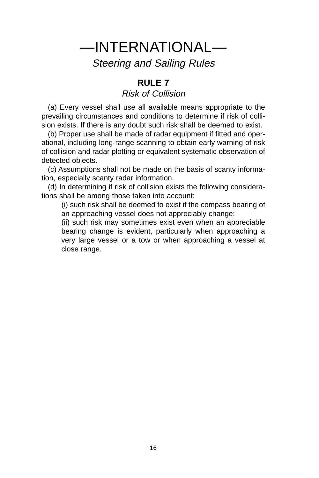## Steering and Sailing Rules

## **RULE 7**

#### Risk of Collision

(a) Every vessel shall use all available means appropriate to the prevailing circumstances and conditions to determine if risk of collision exists. If there is any doubt such risk shall be deemed to exist.

(b) Proper use shall be made of radar equipment if fitted and operational, including long-range scanning to obtain early warning of risk of collision and radar plotting or equivalent systematic observation of detected objects.

(c) Assumptions shall not be made on the basis of scanty information, especially scanty radar information.

(d) In determining if risk of collision exists the following considerations shall be among those taken into account:

(i) such risk shall be deemed to exist if the compass bearing of an approaching vessel does not appreciably change;

(ii) such risk may sometimes exist even when an appreciable bearing change is evident, particularly when approaching a very large vessel or a tow or when approaching a vessel at close range.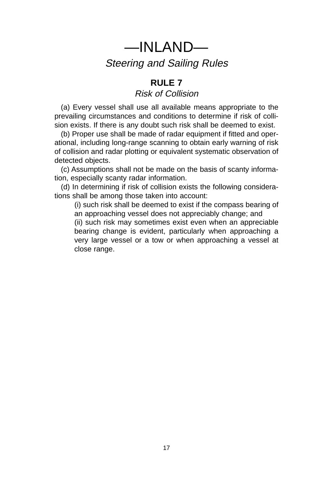# —INLAND— Steering and Sailing Rules

#### **RULE 7**

#### Risk of Collision

(a) Every vessel shall use all available means appropriate to the prevailing circumstances and conditions to determine if risk of collision exists. If there is any doubt such risk shall be deemed to exist.

(b) Proper use shall be made of radar equipment if fitted and operational, including long-range scanning to obtain early warning of risk of collision and radar plotting or equivalent systematic observation of detected objects.

(c) Assumptions shall not be made on the basis of scanty information, especially scanty radar information.

(d) In determining if risk of collision exists the following considerations shall be among those taken into account:

(i) such risk shall be deemed to exist if the compass bearing of an approaching vessel does not appreciably change; and (ii) such risk may sometimes exist even when an appreciable bearing change is evident, particularly when approaching a very large vessel or a tow or when approaching a vessel at

close range.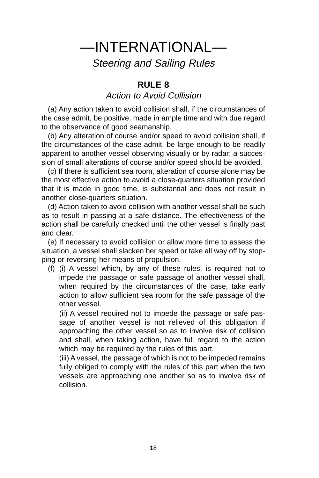# —INTERNATIONAL— Steering and Sailing Rules

#### **RULE 8**

#### Action to Avoid Collision

(a) Any action taken to avoid collision shall, if the circumstances of the case admit, be positive, made in ample time and with due regard to the observance of good seamanship.

(b) Any alteration of course and/or speed to avoid collision shall, if the circumstances of the case admit, be large enough to be readily apparent to another vessel observing visually or by radar; a succession of small alterations of course and/or speed should be avoided.

(c) If there is sufficient sea room, alteration of course alone may be the most effective action to avoid a close-quarters situation provided that it is made in good time, is substantial and does not result in another close-quarters situation.

(d) Action taken to avoid collision with another vessel shall be such as to result in passing at a safe distance. The effectiveness of the action shall be carefully checked until the other vessel is finally past and clear.

(e) If necessary to avoid collision or allow more time to assess the situation, a vessel shall slacken her speed or take all way off by stopping or reversing her means of propulsion.

(f) (i) A vessel which, by any of these rules, is required not to impede the passage or safe passage of another vessel shall, when required by the circumstances of the case, take early action to allow sufficient sea room for the safe passage of the other vessel.

(ii) A vessel required not to impede the passage or safe passage of another vessel is not relieved of this obligation if approaching the other vessel so as to involve risk of collision and shall, when taking action, have full regard to the action which may be required by the rules of this part.

(iii) A vessel, the passage of which is not to be impeded remains fully obliged to comply with the rules of this part when the two vessels are approaching one another so as to involve risk of collision.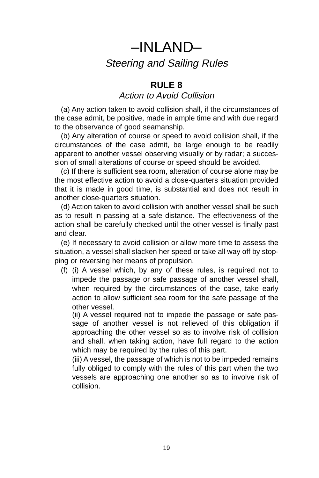# –INLAND– Steering and Sailing Rules

### **RULE 8**

#### Action to Avoid Collision

(a) Any action taken to avoid collision shall, if the circumstances of the case admit, be positive, made in ample time and with due regard to the observance of good seamanship.

(b) Any alteration of course or speed to avoid collision shall, if the circumstances of the case admit, be large enough to be readily apparent to another vessel observing visually or by radar; a succession of small alterations of course or speed should be avoided.

(c) If there is sufficient sea room, alteration of course alone may be the most effective action to avoid a close-quarters situation provided that it is made in good time, is substantial and does not result in another close-quarters situation.

(d) Action taken to avoid collision with another vessel shall be such as to result in passing at a safe distance. The effectiveness of the action shall be carefully checked until the other vessel is finally past and clear.

(e) If necessary to avoid collision or allow more time to assess the situation, a vessel shall slacken her speed or take all way off by stopping or reversing her means of propulsion.

(f) (i) A vessel which, by any of these rules, is required not to impede the passage or safe passage of another vessel shall, when required by the circumstances of the case, take early action to allow sufficient sea room for the safe passage of the other vessel.

(ii) A vessel required not to impede the passage or safe passage of another vessel is not relieved of this obligation if approaching the other vessel so as to involve risk of collision and shall, when taking action, have full regard to the action which may be required by the rules of this part.

(iii) A vessel, the passage of which is not to be impeded remains fully obliged to comply with the rules of this part when the two vessels are approaching one another so as to involve risk of collision.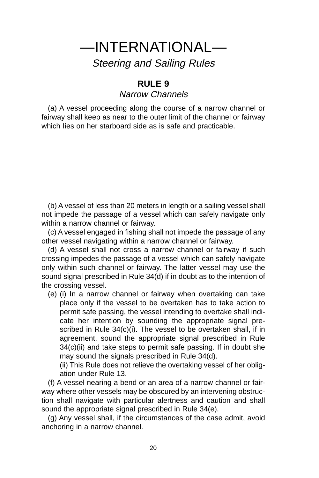Steering and Sailing Rules

## **RULE 9**

Narrow Channels

(a) A vessel proceeding along the course of a narrow channel or fairway shall keep as near to the outer limit of the channel or fairway which Iies on her starboard side as is safe and practicable.

(b) A vessel of less than 20 meters in length or a sailing vessel shall not impede the passage of a vessel which can safely navigate only within a narrow channel or fairway.

(c) A vessel engaged in fishing shall not impede the passage of any other vessel navigating within a narrow channel or fairway.

(d) A vessel shall not cross a narrow channel or fairway if such crossing impedes the passage of a vessel which can safely navigate only within such channel or fairway. The latter vessel may use the sound signal prescribed in Rule 34(d) if in doubt as to the intention of the crossing vessel.

(e) (i) In a narrow channel or fairway when overtaking can take place only if the vessel to be overtaken has to take action to permit safe passing, the vessel intending to overtake shall indicate her intention by sounding the appropriate signal prescribed in Rule 34(c)(i). The vessel to be overtaken shall, if in agreement, sound the appropriate signal prescribed in Rule 34(c)(ii) and take steps to permit safe passing. If in doubt she may sound the signals prescribed in Rule 34(d).

(ii) This Rule does not relieve the overtaking vessel of her obligation under Rule 13.

(f) A vessel nearing a bend or an area of a narrow channel or fairway where other vessels may be obscured by an intervening obstruction shall navigate with particular alertness and caution and shall sound the appropriate signal prescribed in Rule 34(e).

(g) Any vessel shall, if the circumstances of the case admit, avoid anchoring in a narrow channel.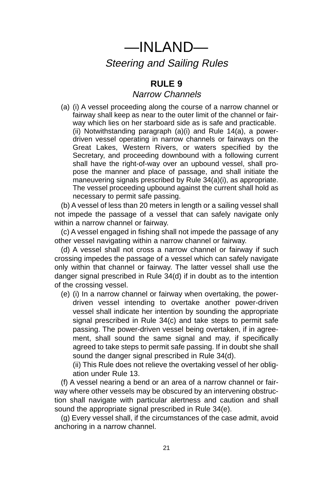# —INLAND— Steering and Sailing Rules

### **RULE 9**

#### Narrow Channels

(a) (i) A vessel proceeding along the course of a narrow channel or fairway shall keep as near to the outer limit of the channel or fairway which lies on her starboard side as is safe and practicable. (ii) Notwithstanding paragraph (a)(i) and Rule 14(a), a powerdriven vessel operating in narrow channels or fairways on the Great Lakes, Western Rivers, or waters specified by the Secretary, and proceeding downbound with a following current shall have the right-of-way over an upbound vessel, shall propose the manner and place of passage, and shall initiate the maneuvering signals prescribed by Rule 34(a)(i), as appropriate. The vessel proceeding upbound against the current shall hold as necessary to permit safe passing.

(b) A vessel of less than 20 meters in length or a sailing vessel shall not impede the passage of a vessel that can safely navigate only within a narrow channel or fairway.

(c) A vessel engaged in fishing shall not impede the passage of any other vessel navigating within a narrow channel or fairway.

(d) A vessel shall not cross a narrow channel or fairway if such crossing impedes the passage of a vessel which can safely navigate only within that channel or fairway. The latter vessel shall use the danger signal prescribed in Rule 34(d) if in doubt as to the intention of the crossing vessel.

(e) (i) In a narrow channel or fairway when overtaking, the powerdriven vessel intending to overtake another power-driven vessel shall indicate her intention by sounding the appropriate signal prescribed in Rule 34(c) and take steps to permit safe passing. The power-driven vessel being overtaken, if in agreement, shall sound the same signal and may, if specifically agreed to take steps to permit safe passing. If in doubt she shall sound the danger signal prescribed in Rule 34(d).

(ii) This Rule does not relieve the overtaking vessel of her obligation under Rule 13.

(f) A vessel nearing a bend or an area of a narrow channel or fairway where other vessels may be obscured by an intervening obstruction shall navigate with particular alertness and caution and shall sound the appropriate signal prescribed in Rule 34(e).

(g) Every vessel shall, if the circumstances of the case admit, avoid anchoring in a narrow channel.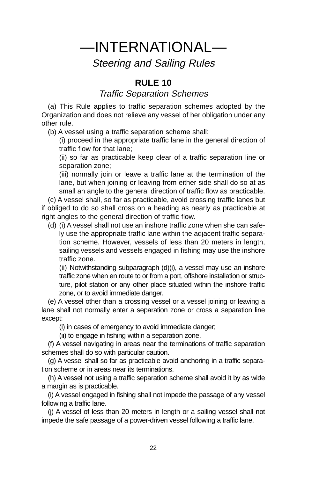## Steering and Sailing Rules

## **RULE 10**

#### Traffic Separation Schemes

(a) This Rule applies to traffic separation schemes adopted by the Organization and does not relieve any vessel of her obligation under any other rule.

(b) A vessel using a traffic separation scheme shall:

(i) proceed in the appropriate traffic lane in the general direction of traffic flow for that lane;

(ii) so far as practicable keep clear of a traffic separation line or separation zone;

(iii) normally join or leave a traffic lane at the termination of the lane, but when joining or leaving from either side shall do so at as small an angle to the general direction of traffic flow as practicable.

(c) A vessel shall, so far as practicable, avoid crossing traffic lanes but if obliged to do so shall cross on a heading as nearly as practicable at right angles to the general direction of traffic flow.

(d) (i) A vessel shall not use an inshore traffic zone when she can safely use the appropriate traffic lane within the adjacent traffic separation scheme. However, vessels of less than 20 meters in length, sailing vessels and vessels engaged in fishing may use the inshore traffic zone.

(ii) Notwithstanding subparagraph (d)(i), a vessel may use an inshore traffic zone when en route to or from a port, offshore installation or structure, pilot station or any other place situated within the inshore traffic zone, or to avoid immediate danger.

(e) A vessel other than a crossing vessel or a vessel joining or leaving a lane shall not normally enter a separation zone or cross a separation line except:

(i) in cases of emergency to avoid immediate danger;

(ii) to engage in fishing within a separation zone.

(f) A vessel navigating in areas near the terminations of traffic separation schemes shall do so with particular caution.

(g) A vessel shall so far as practicable avoid anchoring in a traffic separation scheme or in areas near its terminations.

(h) A vessel not using a traffic separation scheme shall avoid it by as wide a margin as is practicable.

(i) A vessel engaged in fishing shall not impede the passage of any vessel following a traffic lane.

(j) A vessel of less than 20 meters in length or a sailing vessel shall not impede the safe passage of a power-driven vessel following a traffic lane.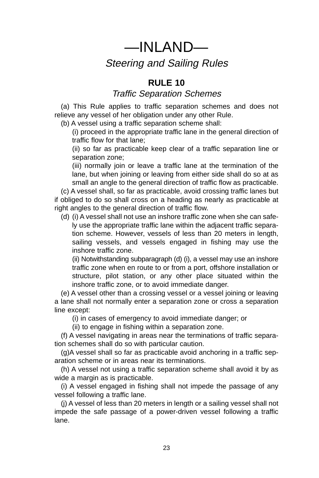# —INLAND— Steering and Sailing Rules

#### **RULE 10**

#### Traffic Separation Schemes

(a) This Rule applies to traffic separation schemes and does not relieve any vessel of her obligation under any other Rule.

(b) A vessel using a traffic separation scheme shall:

(i) proceed in the appropriate traffic lane in the general direction of traffic flow for that lane;

(ii) so far as practicable keep clear of a traffic separation line or separation zone;

(iii) normally join or leave a traffic lane at the termination of the lane, but when joining or leaving from either side shall do so at as small an angle to the general direction of traffic flow as practicable.

(c) A vessel shall, so far as practicable, avoid crossing traffic lanes but if obliged to do so shall cross on a heading as nearly as practicable at right angles to the general direction of traffic flow.

(d) (i) A vessel shall not use an inshore traffic zone when she can safely use the appropriate traffic lane within the adjacent traffic separation scheme. However, vessels of less than 20 meters in length, sailing vessels, and vessels engaged in fishing may use the inshore traffic zone.

(ii) Notwithstanding subparagraph (d) (i), a vessel may use an inshore traffic zone when en route to or from a port, offshore installation or structure, pilot station, or any other place situated within the inshore traffic zone, or to avoid immediate danger.

(e) A vessel other than a crossing vessel or a vessel joining or leaving a lane shall not normally enter a separation zone or cross a separation line except:

(i) in cases of emergency to avoid immediate danger; or

(ii) to engage in fishing within a separation zone.

(f) A vessel navigating in areas near the terminations of traffic separation schemes shall do so with particular caution.

(g)A vessel shall so far as practicable avoid anchoring in a traffic separation scheme or in areas near its terminations.

(h) A vessel not using a traffic separation scheme shall avoid it by as wide a margin as is practicable.

(i) A vessel engaged in fishing shall not impede the passage of any vessel following a traffic lane.

(j) A vessel of less than 20 meters in length or a sailing vessel shall not impede the safe passage of a power-driven vessel following a traffic lane.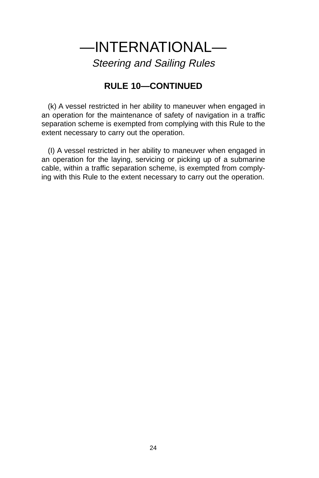# —INTERNATIONAL— Steering and Sailing Rules

## **RULE 10—CONTINUED**

(k) A vessel restricted in her ability to maneuver when engaged in an operation for the maintenance of safety of navigation in a traffic separation scheme is exempted from complying with this Rule to the extent necessary to carry out the operation.

(I) A vessel restricted in her ability to maneuver when engaged in an operation for the laying, servicing or picking up of a submarine cable, within a traffic separation scheme, is exempted from complying with this Rule to the extent necessary to carry out the operation.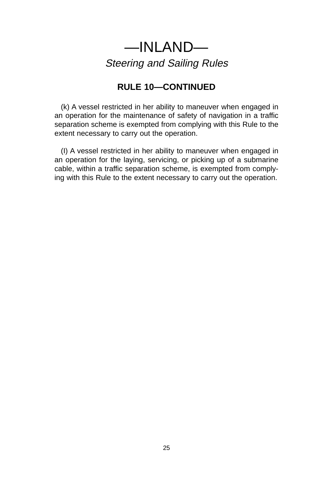# —INLAND— Steering and Sailing Rules

## **RULE 10—CONTINUED**

(k) A vessel restricted in her ability to maneuver when engaged in an operation for the maintenance of safety of navigation in a traffic separation scheme is exempted from complying with this Rule to the extent necessary to carry out the operation.

(I) A vessel restricted in her ability to maneuver when engaged in an operation for the laying, servicing, or picking up of a submarine cable, within a traffic separation scheme, is exempted from complying with this Rule to the extent necessary to carry out the operation.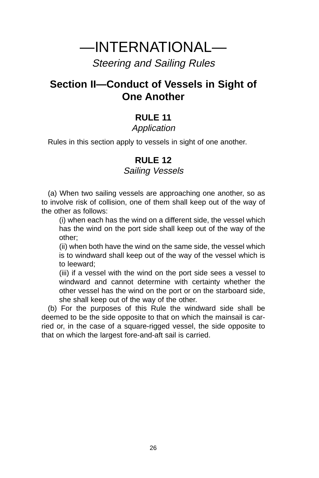## Steering and Sailing Rules

## **Section II—Conduct of Vessels in Sight of One Another**

## **RULE 11**

### Application

Rules in this section apply to vessels in sight of one another.

### **RULE 12**

#### Sailing Vessels

(a) When two sailing vessels are approaching one another, so as to involve risk of collision, one of them shall keep out of the way of the other as follows:

(i) when each has the wind on a different side, the vessel which has the wind on the port side shall keep out of the way of the other;

(ii) when both have the wind on the same side, the vessel which is to windward shall keep out of the way of the vessel which is to leeward;

(iii) if a vessel with the wind on the port side sees a vessel to windward and cannot determine with certainty whether the other vessel has the wind on the port or on the starboard side, she shall keep out of the way of the other.

(b) For the purposes of this Rule the windward side shall be deemed to be the side opposite to that on which the mainsail is carried or, in the case of a square-rigged vessel, the side opposite to that on which the largest fore-and-aft sail is carried.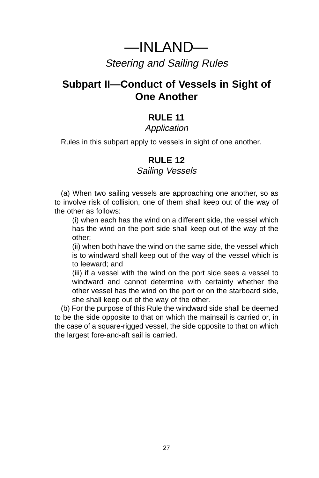## —INLAND— Steering and Sailing Rules

## **Subpart II—Conduct of Vessels in Sight of One Another**

### **RULE 11**

#### Application

Rules in this subpart apply to vessels in sight of one another.

#### **RULE 12**

Sailing Vessels

(a) When two sailing vessels are approaching one another, so as to involve risk of collision, one of them shall keep out of the way of the other as follows:

(i) when each has the wind on a different side, the vessel which has the wind on the port side shall keep out of the way of the other;

(ii) when both have the wind on the same side, the vessel which is to windward shall keep out of the way of the vessel which is to leeward; and

(iii) if a vessel with the wind on the port side sees a vessel to windward and cannot determine with certainty whether the other vessel has the wind on the port or on the starboard side, she shall keep out of the way of the other.

(b) For the purpose of this Rule the windward side shall be deemed to be the side opposite to that on which the mainsail is carried or, in the case of a square-rigged vessel, the side opposite to that on which the largest fore-and-aft sail is carried.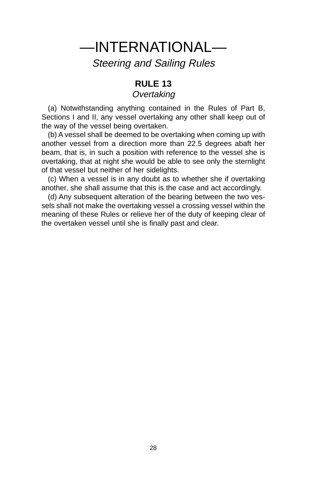## Steering and Sailing Rules

#### **RULE 13**

#### **Overtaking**

(a) Notwithstanding anything contained in the Rules of Part B, Sections I and II, any vessel overtaking any other shall keep out of the way of the vessel being overtaken.

(b) A vessel shall be deemed to be overtaking when coming up with another vessel from a direction more than 22.5 degrees abaft her beam, that is, in such a position with reference to the vessel she is overtaking, that at night she would be able to see only the sternlight of that vessel but neither of her sidelights.

(c) When a vessel is in any doubt as to whether she if overtaking another, she shall assume that this is the case and act accordingly.

(d) Any subsequent alteration of the bearing between the two vessels shall not make the overtaking vessel a crossing vessel within the meaning of these Rules or relieve her of the duty of keeping clear of the overtaken vessel until she is finally past and clear.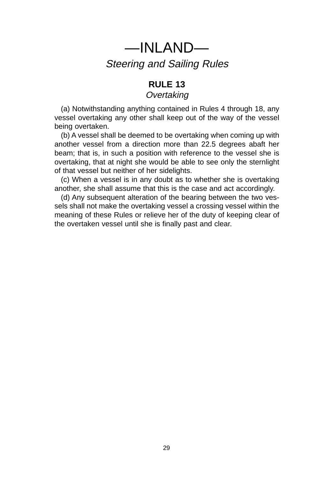## —INLAND— Steering and Sailing Rules

## **RULE 13**

#### **Overtaking**

(a) Notwithstanding anything contained in Rules 4 through 18, any vessel overtaking any other shall keep out of the way of the vessel being overtaken.

(b) A vessel shall be deemed to be overtaking when coming up with another vessel from a direction more than 22.5 degrees abaft her beam; that is, in such a position with reference to the vessel she is overtaking, that at night she would be able to see only the sternlight of that vessel but neither of her sidelights.

(c) When a vessel is in any doubt as to whether she is overtaking another, she shall assume that this is the case and act accordingly.

(d) Any subsequent alteration of the bearing between the two vessels shall not make the overtaking vessel a crossing vessel within the meaning of these Rules or relieve her of the duty of keeping clear of the overtaken vessel until she is finally past and clear.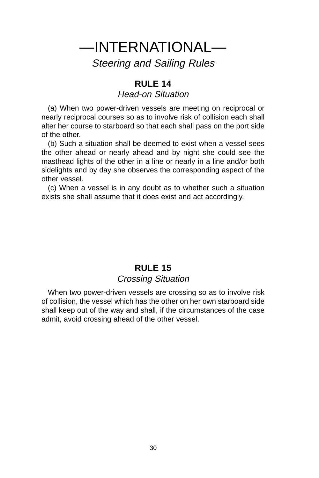## —INTERNATIONAL— Steering and Sailing Rules

#### **RULE 14**

#### Head-on Situation

(a) When two power-driven vessels are meeting on reciprocal or nearly reciprocal courses so as to involve risk of collision each shall alter her course to starboard so that each shall pass on the port side of the other.

(b) Such a situation shall be deemed to exist when a vessel sees the other ahead or nearly ahead and by night she could see the masthead lights of the other in a line or nearly in a line and/or both sidelights and by day she observes the corresponding aspect of the other vessel.

(c) When a vessel is in any doubt as to whether such a situation exists she shall assume that it does exist and act accordingly.

### **RULE 15** Crossing Situation

When two power-driven vessels are crossing so as to involve risk of collision, the vessel which has the other on her own starboard side shall keep out of the way and shall, if the circumstances of the case admit, avoid crossing ahead of the other vessel.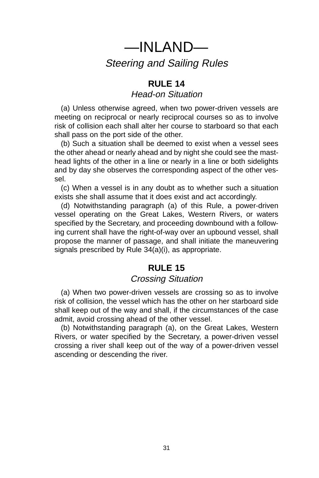## —INLAND— Steering and Sailing Rules

#### **RULE 14**

#### Head-on Situation

(a) Unless otherwise agreed, when two power-driven vessels are meeting on reciprocal or nearly reciprocal courses so as to involve risk of collision each shall alter her course to starboard so that each shall pass on the port side of the other.

(b) Such a situation shall be deemed to exist when a vessel sees the other ahead or nearly ahead and by night she could see the masthead lights of the other in a line or nearly in a line or both sidelights and by day she observes the corresponding aspect of the other vessel.

(c) When a vessel is in any doubt as to whether such a situation exists she shall assume that it does exist and act accordingly.

(d) Notwithstanding paragraph (a) of this Rule, a power-driven vessel operating on the Great Lakes, Western Rivers, or waters specified by the Secretary, and proceeding downbound with a following current shall have the right-of-way over an upbound vessel, shall propose the manner of passage, and shall initiate the maneuvering signals prescribed by Rule 34(a)(i), as appropriate.

#### **RULE 15**

#### Crossing Situation

(a) When two power-driven vessels are crossing so as to involve risk of collision, the vessel which has the other on her starboard side shall keep out of the way and shall, if the circumstances of the case admit, avoid crossing ahead of the other vessel.

(b) Notwithstanding paragraph (a), on the Great Lakes, Western Rivers, or water specified by the Secretary, a power-driven vessel crossing a river shall keep out of the way of a power-driven vessel ascending or descending the river.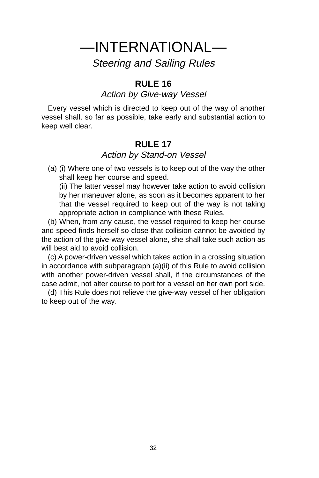### Steering and Sailing Rules

#### **RULE 16**

#### Action by Give-way Vessel

Every vessel which is directed to keep out of the way of another vessel shall, so far as possible, take early and substantial action to keep well clear.

#### **RULE 17**

#### Action by Stand-on Vessel

(a) (i) Where one of two vessels is to keep out of the way the other shall keep her course and speed.

(ii) The latter vessel may however take action to avoid collision by her maneuver alone, as soon as it becomes apparent to her that the vessel required to keep out of the way is not taking appropriate action in compliance with these Rules.

(b) When, from any cause, the vessel required to keep her course and speed finds herself so close that collision cannot be avoided by the action of the give-way vessel alone, she shall take such action as will best aid to avoid collision.

(c) A power-driven vessel which takes action in a crossing situation in accordance with subparagraph (a)(ii) of this Rule to avoid collision with another power-driven vessel shall, if the circumstances of the case admit, not alter course to port for a vessel on her own port side.

(d) This Rule does not relieve the give-way vessel of her obligation to keep out of the way.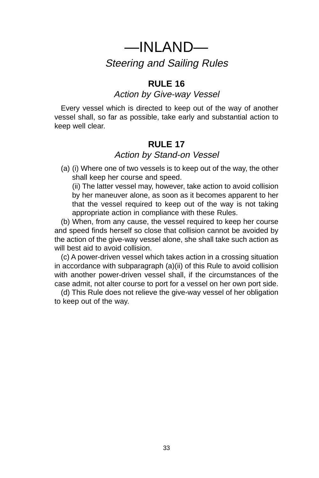## —INLAND— Steering and Sailing Rules

#### **RULE 16**

#### Action by Give-way Vessel

Every vessel which is directed to keep out of the way of another vessel shall, so far as possible, take early and substantial action to keep well clear.

#### **RULE 17**

#### Action by Stand-on Vessel

(a) (i) Where one of two vessels is to keep out of the way, the other shall keep her course and speed.

(ii) The latter vessel may, however, take action to avoid collision by her maneuver alone, as soon as it becomes apparent to her that the vessel required to keep out of the way is not taking appropriate action in compliance with these Rules.

(b) When, from any cause, the vessel required to keep her course and speed finds herself so close that collision cannot be avoided by the action of the give-way vessel alone, she shall take such action as will best aid to avoid collision.

(c) A power-driven vessel which takes action in a crossing situation in accordance with subparagraph (a)(ii) of this Rule to avoid collision with another power-driven vessel shall, if the circumstances of the case admit, not alter course to port for a vessel on her own port side.

(d) This Rule does not relieve the give-way vessel of her obligation to keep out of the way.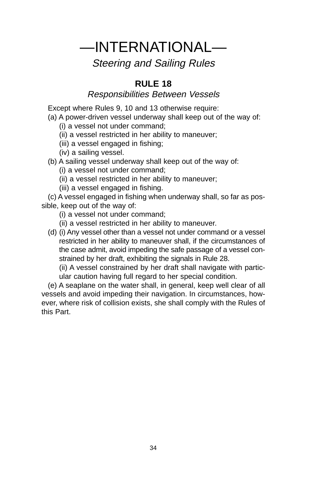## Steering and Sailing Rules

### **RULE 18**

#### Responsibilities Between Vessels

Except where Rules 9, 10 and 13 otherwise require:

(a) A power-driven vessel underway shall keep out of the way of:

(i) a vessel not under command;

(ii) a vessel restricted in her ability to maneuver;

(iii) a vessel engaged in fishing;

(iv) a sailing vessel.

(b) A sailing vessel underway shall keep out of the way of:

(i) a vessel not under command;

(ii) a vessel restricted in her ability to maneuver;

(iii) a vessel engaged in fishing.

(c) A vessel engaged in fishing when underway shall, so far as possible, keep out of the way of:

(i) a vessel not under command;

(ii) a vessel restricted in her ability to maneuver.

(d) (i) Any vessel other than a vessel not under command or a vessel restricted in her ability to maneuver shall, if the circumstances of the case admit, avoid impeding the safe passage of a vessel constrained by her draft, exhibiting the signals in Rule 28.

(ii) A vessel constrained by her draft shall navigate with particular caution having full regard to her special condition.

(e) A seaplane on the water shall, in general, keep well clear of all vessels and avoid impeding their navigation. In circumstances, however, where risk of collision exists, she shall comply with the Rules of this Part.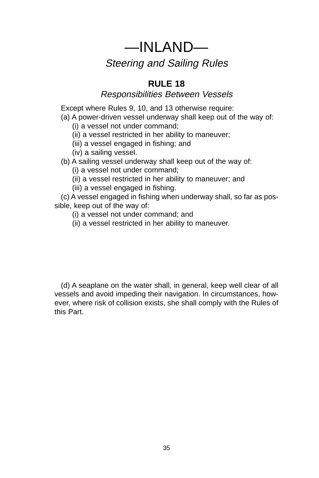## Steering and Sailing Rules

### **RULE 18**

#### Responsibilities Between Vessels

Except where Rules 9, 10, and 13 otherwise require:

(a) A power-driven vessel underway shall keep out of the way of:

(i) a vessel not under command;

(ii) a vessel restricted in her ability to maneuver;

(iii) a vessel engaged in fishing; and

(iv) a sailing vessel.

#### (b) A sailing vessel underway shall keep out of the way of:

(i) a vessel not under command;

(ii) a vessel restricted in her ability to maneuver; and

(iii) a vessel engaged in fishing.

(c) A vessel engaged in fishing when underway shall, so far as possible, keep out of the way of:

- (i) a vessel not under command; and
- (ii) a vessel restricted in her ability to maneuver.

(d) A seaplane on the water shall, in general, keep well clear of all vessels and avoid impeding their navigation. In circumstances, however, where risk of collision exists, she shall comply with the Rules of this Part.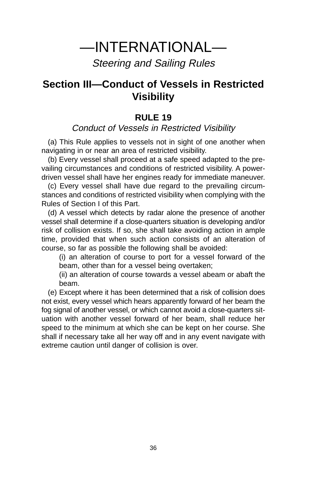—INTERNATIONAL— Steering and Sailing Rules

## **Section III—Conduct of Vessels in Restricted Visibility**

#### **RULE 19**

#### Conduct of Vessels in Restricted Visibility

(a) This Rule applies to vessels not in sight of one another when navigating in or near an area of restricted visibility.

(b) Every vessel shall proceed at a safe speed adapted to the prevailing circumstances and conditions of restricted visibility. A powerdriven vessel shall have her engines ready for immediate maneuver.

(c) Every vessel shall have due regard to the prevailing circumstances and conditions of restricted visibility when complying with the Rules of Section I of this Part.

(d) A vessel which detects by radar alone the presence of another vessel shall determine if a close-quarters situation is developing and/or risk of collision exists. If so, she shall take avoiding action in ample time, provided that when such action consists of an alteration of course, so far as possible the following shall be avoided:

(i) an alteration of course to port for a vessel forward of the beam, other than for a vessel being overtaken;

(ii) an alteration of course towards a vessel abeam or abaft the beam.

(e) Except where it has been determined that a risk of collision does not exist, every vessel which hears apparently forward of her beam the fog signal of another vessel, or which cannot avoid a close-quarters situation with another vessel forward of her beam, shall reduce her speed to the minimum at which she can be kept on her course. She shall if necessary take all her way off and in any event navigate with extreme caution until danger of collision is over.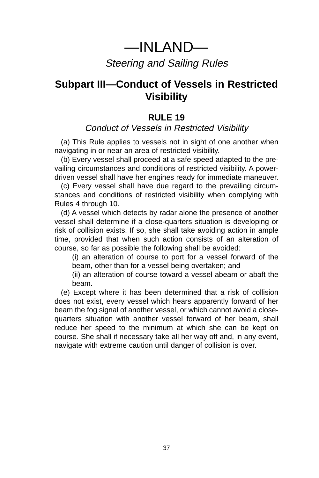## Steering and Sailing Rules

## **Subpart III—Conduct of Vessels in Restricted Visibility**

#### **RULE 19**

#### Conduct of Vessels in Restricted Visibility

(a) This Rule applies to vessels not in sight of one another when navigating in or near an area of restricted visibility.

(b) Every vessel shall proceed at a safe speed adapted to the prevailing circumstances and conditions of restricted visibility. A powerdriven vessel shall have her engines ready for immediate maneuver.

(c) Every vessel shall have due regard to the prevailing circumstances and conditions of restricted visibility when complying with Rules 4 through 10.

(d) A vessel which detects by radar alone the presence of another vessel shall determine if a close-quarters situation is developing or risk of collision exists. If so, she shall take avoiding action in ample time, provided that when such action consists of an alteration of course, so far as possible the following shall be avoided:

(i) an alteration of course to port for a vessel forward of the beam, other than for a vessel being overtaken; and

(ii) an alteration of course toward a vessel abeam or abaft the beam.

(e) Except where it has been determined that a risk of collision does not exist, every vessel which hears apparently forward of her beam the fog signal of another vessel, or which cannot avoid a closequarters situation with another vessel forward of her beam, shall reduce her speed to the minimum at which she can be kept on course. She shall if necessary take all her way off and, in any event, navigate with extreme caution until danger of collision is over.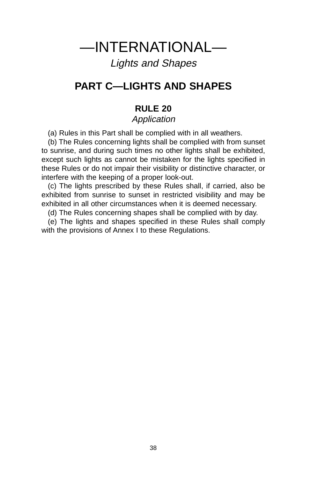### Lights and Shapes

## **PART C—LIGHTS AND SHAPES**

#### **RULE 20**

### Application

(a) Rules in this Part shall be complied with in all weathers.

(b) The Rules concerning lights shall be complied with from sunset to sunrise, and during such times no other lights shall be exhibited, except such lights as cannot be mistaken for the lights specified in these Rules or do not impair their visibility or distinctive character, or interfere with the keeping of a proper look-out.

(c) The lights prescribed by these Rules shall, if carried, also be exhibited from sunrise to sunset in restricted visibility and may be exhibited in all other circumstances when it is deemed necessary.

(d) The Rules concerning shapes shall be complied with by day.

(e) The lights and shapes specified in these Rules shall comply with the provisions of Annex I to these Regulations.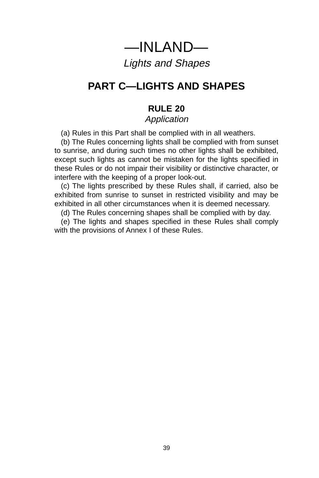## Lights and Shapes

## **PART C—LIGHTS AND SHAPES**

#### **RULE 20**

#### Application

(a) Rules in this Part shall be complied with in all weathers.

(b) The Rules concerning lights shall be complied with from sunset to sunrise, and during such times no other lights shall be exhibited, except such lights as cannot be mistaken for the lights specified in these Rules or do not impair their visibility or distinctive character, or interfere with the keeping of a proper look-out.

(c) The lights prescribed by these Rules shall, if carried, also be exhibited from sunrise to sunset in restricted visibility and may be exhibited in all other circumstances when it is deemed necessary.

(d) The Rules concerning shapes shall be complied with by day.

(e) The lights and shapes specified in these Rules shall comply with the provisions of Annex I of these Rules.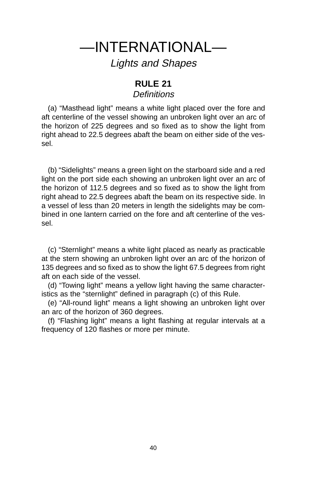### Lights and Shapes

#### **RULE 21**

#### **Definitions**

(a) "Masthead light" means a white light placed over the fore and aft centerline of the vessel showing an unbroken light over an arc of the horizon of 225 degrees and so fixed as to show the light from right ahead to 22.5 degrees abaft the beam on either side of the vessel.

(b) "Sidelights" means a green light on the starboard side and a red light on the port side each showing an unbroken light over an arc of the horizon of 112.5 degrees and so fixed as to show the light from right ahead to 22.5 degrees abaft the beam on its respective side. In a vessel of less than 20 meters in length the sidelights may be combined in one lantern carried on the fore and aft centerline of the vessel.

(c) "Sternlight" means a white light placed as nearly as practicable at the stern showing an unbroken light over an arc of the horizon of 135 degrees and so fixed as to show the light 67.5 degrees from right aft on each side of the vessel.

(d) "Towing light" means a yellow light having the same characteristics as the "sternlight" defined in paragraph (c) of this Rule.

(e) "All-round light" means a light showing an unbroken light over an arc of the horizon of 360 degrees.

(f) "Flashing light" means a light flashing at regular intervals at a frequency of 120 flashes or more per minute.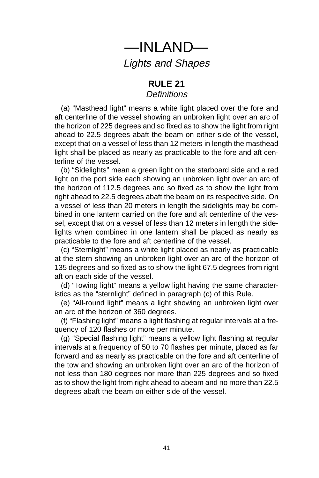## —INLAND— Lights and Shapes

#### **RULE 21 Definitions**

(a) "Masthead light" means a white light placed over the fore and aft centerline of the vessel showing an unbroken light over an arc of the horizon of 225 degrees and so fixed as to show the light from right ahead to 22.5 degrees abaft the beam on either side of the vessel, except that on a vessel of less than 12 meters in length the masthead light shall be placed as nearly as practicable to the fore and aft centerline of the vessel.

(b) "Sidelights" mean a green light on the starboard side and a red light on the port side each showing an unbroken light over an arc of the horizon of 112.5 degrees and so fixed as to show the light from right ahead to 22.5 degrees abaft the beam on its respective side. On a vessel of less than 20 meters in length the sidelights may be combined in one lantern carried on the fore and aft centerline of the vessel, except that on a vessel of less than 12 meters in length the sidelights when combined in one lantern shall be placed as nearly as practicable to the fore and aft centerline of the vessel.

(c) "Sternlight" means a white light placed as nearly as practicable at the stern showing an unbroken light over an arc of the horizon of 135 degrees and so fixed as to show the light 67.5 degrees from right aft on each side of the vessel.

(d) "Towing light" means a yellow light having the same characteristics as the "sternlight" defined in paragraph (c) of this Rule.

(e) "All-round light" means a light showing an unbroken light over an arc of the horizon of 360 degrees.

(f) "Flashing light" means a light flashing at regular intervals at a frequency of 120 flashes or more per minute.

(g) "Special flashing light" means a yellow light flashing at regular intervals at a frequency of 50 to 70 flashes per minute, placed as far forward and as nearly as practicable on the fore and aft centerline of the tow and showing an unbroken light over an arc of the horizon of not less than 180 degrees nor more than 225 degrees and so fixed as to show the light from right ahead to abeam and no more than 22.5 degrees abaft the beam on either side of the vessel.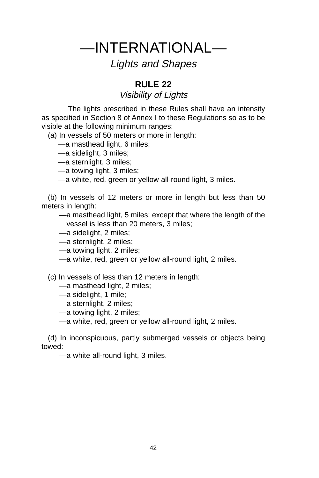### Lights and Shapes

### **RULE 22**

#### Visibility of Lights

The lights prescribed in these Rules shall have an intensity as specified in Section 8 of Annex I to these Regulations so as to be visible at the following minimum ranges:

(a) In vessels of 50 meters or more in length:

—a masthead light, 6 miles;

- —a sidelight, 3 miles;
- —a sternlight, 3 miles;
- —a towing light, 3 miles;
- —a white, red, green or yellow all-round light, 3 miles.

(b) In vessels of 12 meters or more in length but less than 50 meters in length:

- —a masthead light, 5 miles; except that where the length of the vessel is less than 20 meters, 3 miles;
- —a sidelight, 2 miles;
- —a sternlight, 2 miles;
- —a towing light, 2 miles;
- —a white, red, green or yellow all-round light, 2 miles.

(c) In vessels of less than 12 meters in length:

- —a masthead light, 2 miles;
- —a sidelight, 1 mile;
- —a sternlight, 2 miles;
- —a towing light, 2 miles;
- —a white, red, green or yellow all-round light, 2 miles.

(d) In inconspicuous, partly submerged vessels or objects being towed:

—a white all-round light, 3 miles.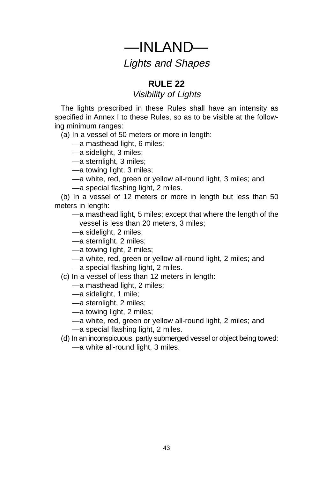## Lights and Shapes

### **RULE 22**

#### Visibility of Lights

The lights prescribed in these Rules shall have an intensity as specified in Annex I to these Rules, so as to be visible at the following minimum ranges:

(a) In a vessel of 50 meters or more in length:

—a masthead light, 6 miles;

- —a sidelight, 3 miles;
- —a sternlight, 3 miles;
- —a towing light, 3 miles;
- —a white, red, green or yellow all-round light, 3 miles; and
- —a special flashing light, 2 miles.

(b) In a vessel of 12 meters or more in length but less than 50 meters in length:

- —a masthead light, 5 miles; except that where the length of the vessel is less than 20 meters, 3 miles;
- —a sidelight, 2 miles;
- —a sternlight, 2 miles;
- —a towing light, 2 miles;
- —a white, red, green or yellow all-round light, 2 miles; and —a special flashing light, 2 miles.
- (c) In a vessel of less than 12 meters in length:
	- —a masthead light, 2 miles;
	- —a sidelight, 1 mile;
	- —a sternlight, 2 miles;
	- —a towing light, 2 miles;
	- —a white, red, green or yellow all-round light, 2 miles; and
	- —a special flashing light, 2 miles.
- (d) In an inconspicuous, partly submerged vessel or object being towed:
	- —a white all-round light, 3 miles.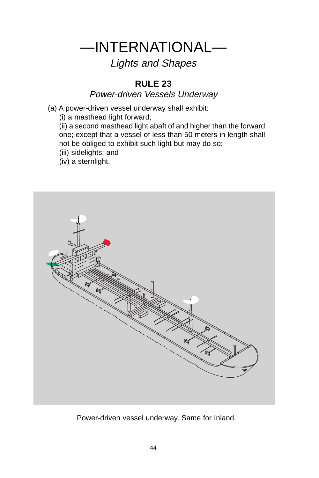## Lights and Shapes

### **RULE 23**

#### Power-driven Vessels Underway

(a) A power-driven vessel underway shall exhibit:

(i) a masthead light forward;

(ii) a second masthead light abaft of and higher than the forward one; except that a vessel of less than 50 meters in length shall not be obliged to exhibit such light but may do so;

(iii) sidelights; and

(iv) a sternlight.



Power-driven vessel underway. Same for Inland.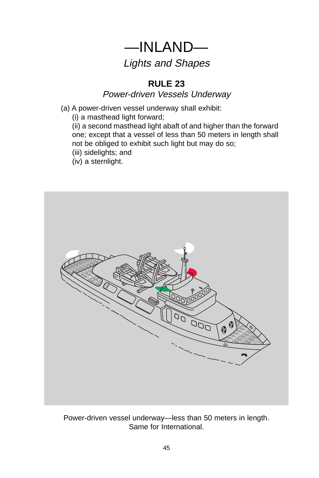## Lights and Shapes

### **RULE 23**

### Power-driven Vessels Underway

(a) A power-driven vessel underway shall exhibit:

(i) a masthead light forward;

(ii) a second masthead light abaft of and higher than the forward one; except that a vessel of less than 50 meters in length shall not be obliged to exhibit such light but may do so;

(iii) sidelights; and

(iv) a sternlight.



Power-driven vessel underway—less than 50 meters in length. Same for International.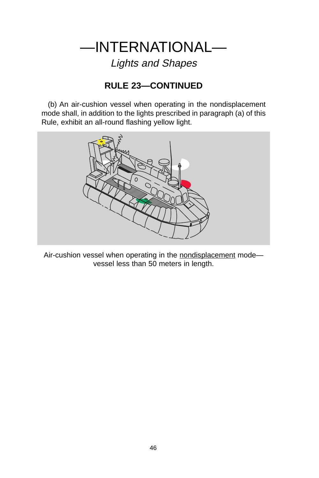### Lights and Shapes

### **RULE 23—CONTINUED**

(b) An air-cushion vessel when operating in the nondisplacement mode shall, in addition to the lights prescribed in paragraph (a) of this Rule, exhibit an all-round flashing yellow light.



Air-cushion vessel when operating in the nondisplacement modevessel less than 50 meters in length.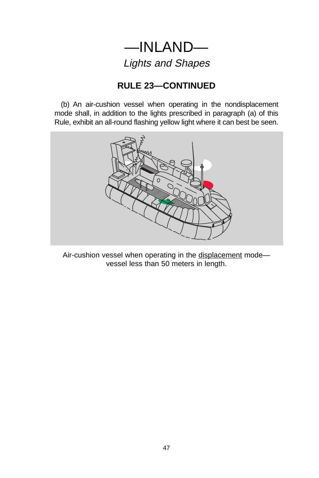## —INLAND— Lights and Shapes

### **RULE 23—CONTINUED**

(b) An air-cushion vessel when operating in the nondisplacement mode shall, in addition to the lights prescribed in paragraph (a) of this Rule, exhibit an all-round flashing yellow light where it can best be seen.



Air-cushion vessel when operating in the displacement mode vessel less than 50 meters in length.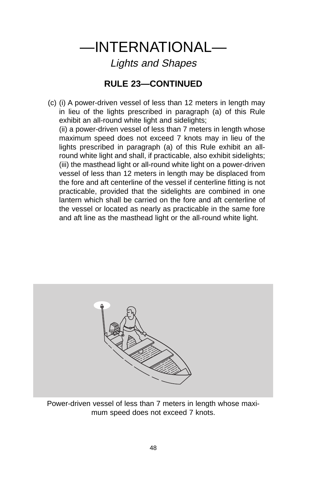Lights and Shapes

### **RULE 23—CONTINUED**

(c) (i) A power-driven vessel of less than 12 meters in length may in lieu of the lights prescribed in paragraph (a) of this Rule exhibit an all-round white light and sidelights;

(ii) a power-driven vessel of less than 7 meters in length whose maximum speed does not exceed 7 knots may in lieu of the lights prescribed in paragraph (a) of this Rule exhibit an allround white light and shall, if practicable, also exhibit sidelights; (iii) the masthead light or all-round white light on a power-driven vessel of less than 12 meters in length may be displaced from the fore and aft centerline of the vessel if centerline fitting is not practicable, provided that the sidelights are combined in one lantern which shall be carried on the fore and aft centerline of the vessel or located as nearly as practicable in the same fore and aft line as the masthead light or the all-round white light.



Power-driven vessel of less than 7 meters in length whose maximum speed does not exceed 7 knots.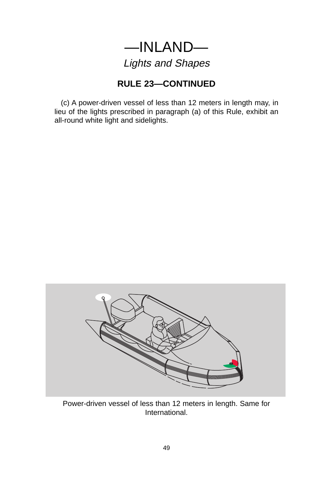Lights and Shapes

### **RULE 23—CONTINUED**

(c) A power-driven vessel of less than 12 meters in length may, in lieu of the lights prescribed in paragraph (a) of this Rule, exhibit an all-round white light and sidelights.



Power-driven vessel of less than 12 meters in length. Same for International.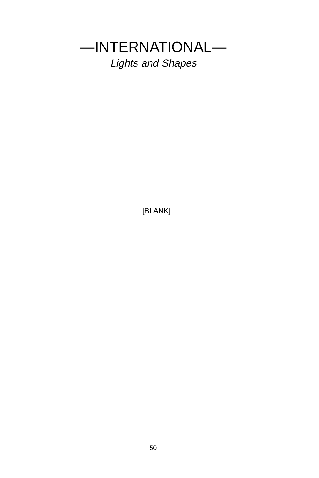## —INTERNATIONAL— Lights and Shapes

[BLANK]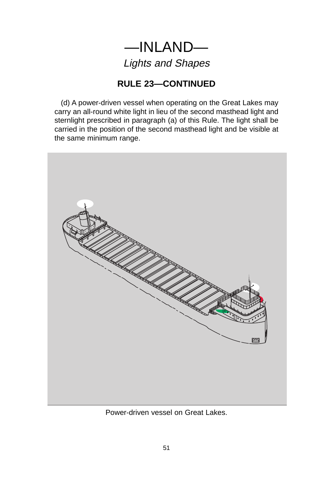Lights and Shapes

### **RULE 23—CONTINUED**

(d) A power-driven vessel when operating on the Great Lakes may carry an all-round white light in lieu of the second masthead light and sternlight prescribed in paragraph (a) of this Rule. The light shall be carried in the position of the second masthead light and be visible at the same minimum range.



Power-driven vessel on Great Lakes.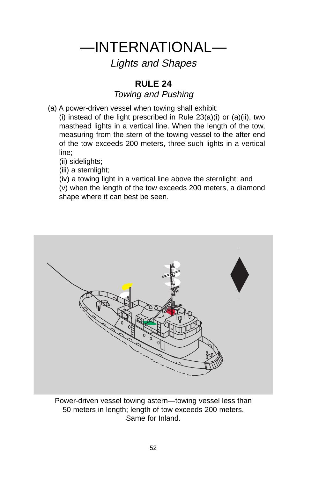## Lights and Shapes

### **RULE 24**

#### Towing and Pushing

(a) A power-driven vessel when towing shall exhibit:

(i) instead of the light prescribed in Rule  $23(a)(i)$  or  $(a)(ii)$ , two masthead lights in a vertical line. When the length of the tow, measuring from the stern of the towing vessel to the after end of the tow exceeds 200 meters, three such lights in a vertical line;

(ii) sidelights;

(iii) a sternlight;

(iv) a towing light in a vertical line above the sternlight; and

(v) when the length of the tow exceeds 200 meters, a diamond shape where it can best be seen.



Power-driven vessel towing astern—towing vessel less than 50 meters in length; length of tow exceeds 200 meters. Same for Inland.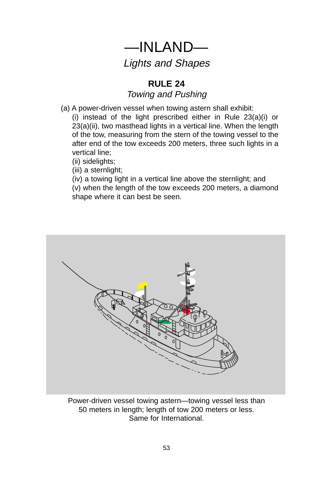## —INLAND— Lights and Shapes

#### **RULE 24**

#### Towing and Pushing

(a) A power-driven vessel when towing astern shall exhibit: (i) instead of the light prescribed either in Rule 23(a)(i) or 23(a)(ii), two masthead lights in a vertical line. When the length of the tow, measuring from the stern of the towing vessel to the after end of the tow exceeds 200 meters, three such lights in a vertical line;

(ii) sidelights;

(iii) a sternlight;

(iv) a towing light in a vertical line above the sternlight; and (v) when the length of the tow exceeds 200 meters, a diamond shape where it can best be seen.



Power-driven vessel towing astern—towing vessel less than 50 meters in length; length of tow 200 meters or less. Same for International.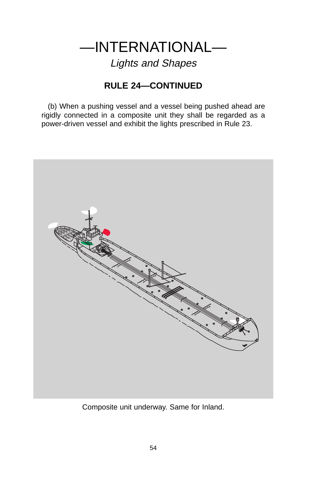### Lights and Shapes

### **RULE 24—CONTINUED**

(b) When a pushing vessel and a vessel being pushed ahead are rigidly connected in a composite unit they shall be regarded as a power-driven vessel and exhibit the lights prescribed in Rule 23.



Composite unit underway. Same for Inland.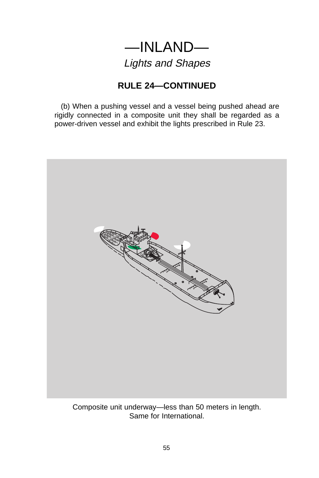## —INLAND— Lights and Shapes

### **RULE 24—CONTINUED**

(b) When a pushing vessel and a vessel being pushed ahead are rigidly connected in a composite unit they shall be regarded as a power-driven vessel and exhibit the lights prescribed in Rule 23.



Same for International.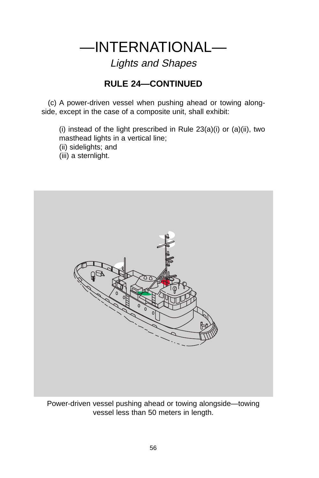### Lights and Shapes

### **RULE 24—CONTINUED**

(c) A power-driven vessel when pushing ahead or towing alongside, except in the case of a composite unit, shall exhibit:

(i) instead of the light prescribed in Rule 23(a)(i) or (a)(ii), two masthead lights in a vertical line;

(ii) sidelights; and

(iii) a sternlight.



Power-driven vessel pushing ahead or towing alongside—towing vessel less than 50 meters in length.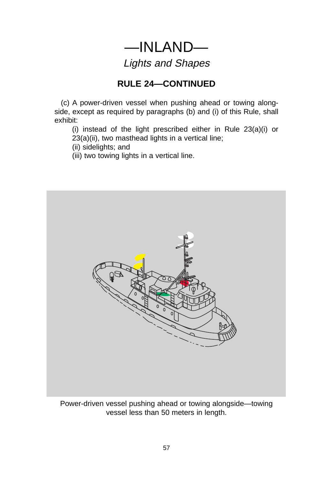## Lights and Shapes

### **RULE 24—CONTINUED**

(c) A power-driven vessel when pushing ahead or towing alongside, except as required by paragraphs (b) and (i) of this Rule, shall exhibit:

(i) instead of the light prescribed either in Rule 23(a)(i) or 23(a)(ii), two masthead lights in a vertical line;

(ii) sidelights; and

(iii) two towing lights in a vertical line.



Power-driven vessel pushing ahead or towing alongside—towing vessel less than 50 meters in length.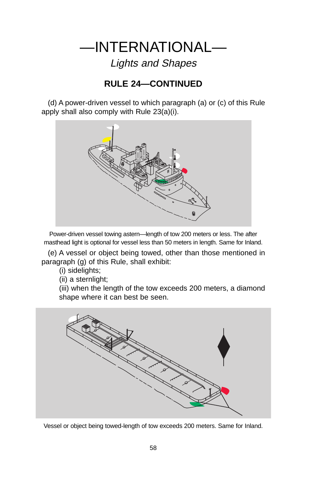## Lights and Shapes

## **RULE 24—CONTINUED**

(d) A power-driven vessel to which paragraph (a) or (c) of this Rule apply shall also comply with Rule 23(a)(i).



Power-driven vessel towing astern—length of tow 200 meters or less. The after masthead light is optional for vessel less than 50 meters in length. Same for Inland.

(e) A vessel or object being towed, other than those mentioned in paragraph (g) of this Rule, shall exhibit:

(i) sidelights;

(ii) a sternlight;

(iii) when the length of the tow exceeds 200 meters, a diamond shape where it can best be seen.



Vessel or object being towed-length of tow exceeds 200 meters. Same for Inland.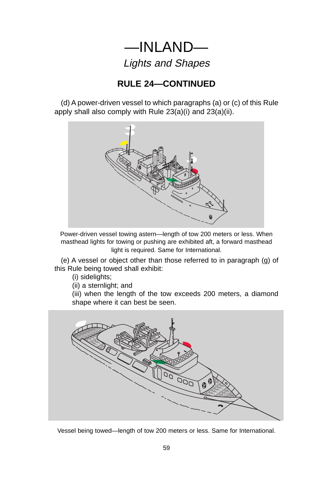## —INLAND— Lights and Shapes

## **RULE 24—CONTINUED**

(d) A power-driven vessel to which paragraphs (a) or (c) of this Rule apply shall also comply with Rule 23(a)(i) and 23(a)(ii).



Power-driven vessel towing astern—length of tow 200 meters or less. When masthead lights for towing or pushing are exhibited aft, a forward masthead light is required. Same for International.

(e) A vessel or object other than those referred to in paragraph (g) of this Rule being towed shall exhibit:

(i) sidelights;

(ii) a sternlight; and

(iii) when the length of the tow exceeds 200 meters, a diamond shape where it can best be seen.



Vessel being towed—length of tow 200 meters or less. Same for International.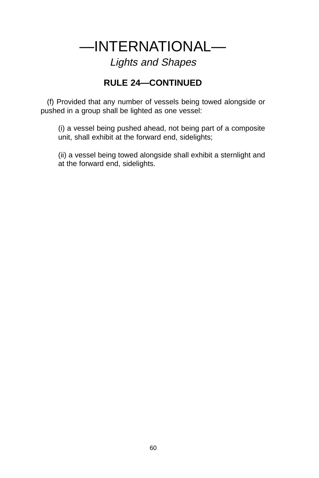### Lights and Shapes

#### **RULE 24—CONTINUED**

(f) Provided that any number of vessels being towed alongside or pushed in a group shall be lighted as one vessel:

(i) a vessel being pushed ahead, not being part of a composite unit, shall exhibit at the forward end, sidelights;

(ii) a vessel being towed alongside shall exhibit a sternlight and at the forward end, sidelights.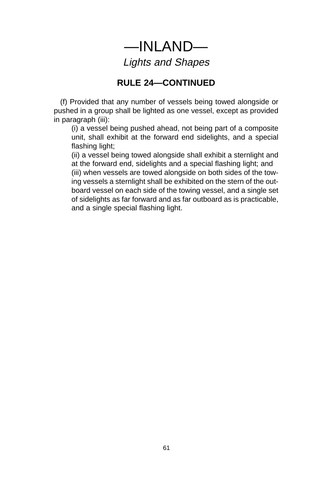Lights and Shapes

#### **RULE 24—CONTINUED**

(f) Provided that any number of vessels being towed alongside or pushed in a group shall be lighted as one vessel, except as provided in paragraph (iii):

(i) a vessel being pushed ahead, not being part of a composite unit, shall exhibit at the forward end sidelights, and a special flashing light;

(ii) a vessel being towed alongside shall exhibit a sternlight and at the forward end, sidelights and a special flashing light; and (iii) when vessels are towed alongside on both sides of the towing vessels a sternlight shall be exhibited on the stern of the outboard vessel on each side of the towing vessel, and a single set of sidelights as far forward and as far outboard as is practicable, and a single special flashing light.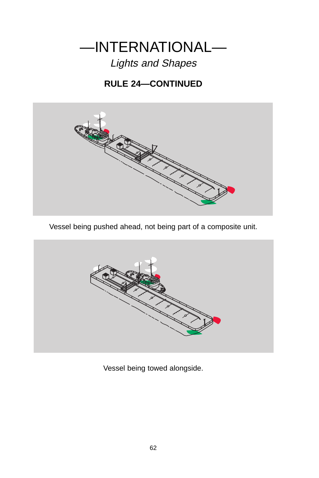## Lights and Shapes

## **RULE 24—CONTINUED**



Vessel being pushed ahead, not being part of a composite unit.



Vessel being towed alongside.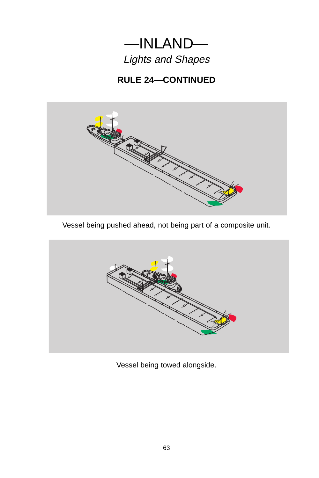# —INLAND— Lights and Shapes

### **RULE 24—CONTINUED**



Vessel being pushed ahead, not being part of a composite unit.



Vessel being towed alongside.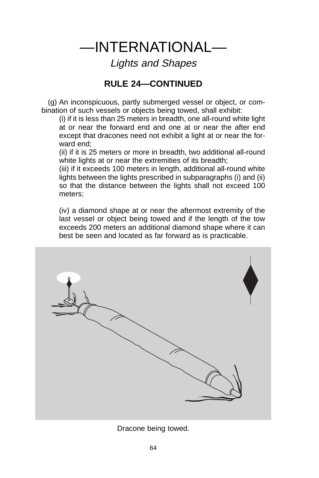### Lights and Shapes

#### **RULE 24—CONTINUED**

(g) An inconspicuous, partly submerged vessel or object, or combination of such vessels or objects being towed, shall exhibit:

(i) if it is less than 25 meters in breadth, one all-round white light at or near the forward end and one at or near the after end except that dracones need not exhibit a light at or near the forward end;

(ii) if it is 25 meters or more in breadth, two additional all-round white lights at or near the extremities of its breadth:

(iii) if it exceeds 100 meters in length, additional all-round white lights between the lights prescribed in subparagraphs (i) and (ii) so that the distance between the lights shall not exceed 100 meters;

(iv) a diamond shape at or near the aftermost extremity of the last vessel or object being towed and if the length of the tow exceeds 200 meters an additional diamond shape where it can best be seen and located as far forward as is practicable.



Dracone being towed.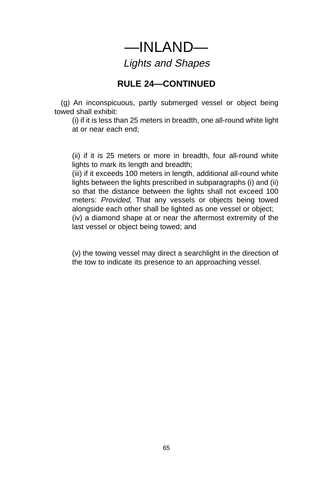### Lights and Shapes

#### **RULE 24—CONTINUED**

(g) An inconspicuous, partly submerged vessel or object being towed shall exhibit:

(i) if it is less than 25 meters in breadth, one all-round white light at or near each end;

(ii) if it is 25 meters or more in breadth, four all-round white lights to mark its length and breadth;

(iii) if it exceeds 100 meters in length, additional all-round white lights between the lights prescribed in subparagraphs (i) and (ii) so that the distance between the lights shall not exceed 100 meters: Provided, That any vessels or objects being towed alongside each other shall be lighted as one vessel or object; (iv) a diamond shape at or near the aftermost extremity of the last vessel or object being towed; and

(v) the towing vessel may direct a searchlight in the direction of the tow to indicate its presence to an approaching vessel.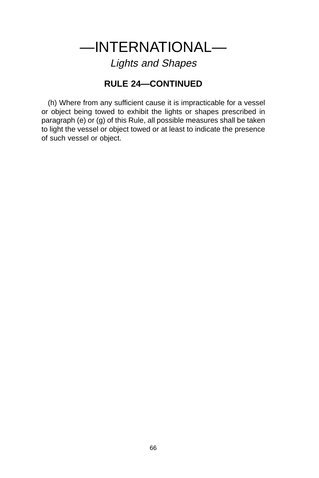Lights and Shapes

#### **RULE 24—CONTINUED**

(h) Where from any sufficient cause it is impracticable for a vessel or object being towed to exhibit the lights or shapes prescribed in paragraph (e) or (g) of this Rule, all possible measures shall be taken to light the vessel or object towed or at least to indicate the presence of such vessel or object.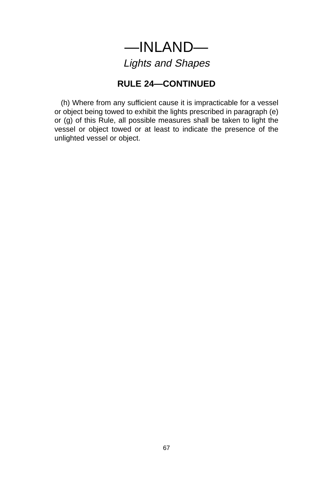Lights and Shapes

#### **RULE 24—CONTINUED**

(h) Where from any sufficient cause it is impracticable for a vessel or object being towed to exhibit the lights prescribed in paragraph (e) or (g) of this Rule, all possible measures shall be taken to light the vessel or object towed or at least to indicate the presence of the unlighted vessel or object.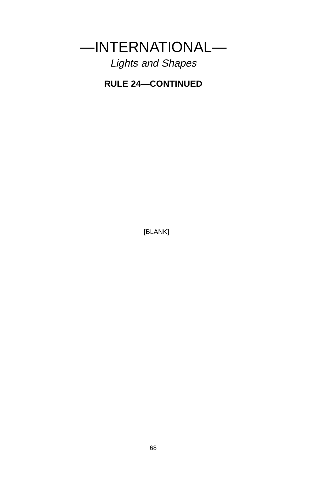### Lights and Shapes

### **RULE 24—CONTINUED**

[BLANK]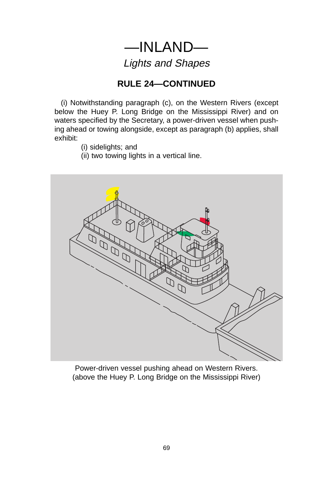Lights and Shapes

#### **RULE 24—CONTINUED**

(i) Notwithstanding paragraph (c), on the Western Rivers (except below the Huey P. Long Bridge on the Mississippi River) and on waters specified by the Secretary, a power-driven vessel when pushing ahead or towing alongside, except as paragraph (b) applies, shall exhibit:

- (i) sidelights; and
- (ii) two towing lights in a vertical line.



Power-driven vessel pushing ahead on Western Rivers. (above the Huey P. Long Bridge on the Mississippi River)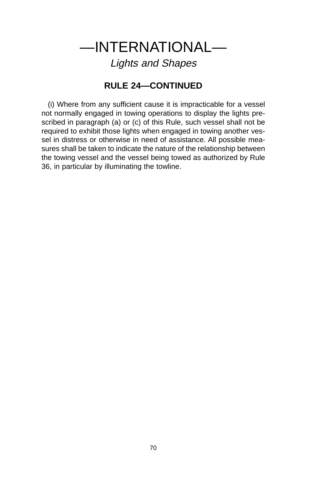### Lights and Shapes

#### **RULE 24—CONTINUED**

(i) Where from any sufficient cause it is impracticable for a vessel not normally engaged in towing operations to display the lights prescribed in paragraph (a) or (c) of this Rule, such vessel shall not be required to exhibit those lights when engaged in towing another vessel in distress or otherwise in need of assistance. All possible measures shall be taken to indicate the nature of the relationship between the towing vessel and the vessel being towed as authorized by Rule 36, in particular by illuminating the towline.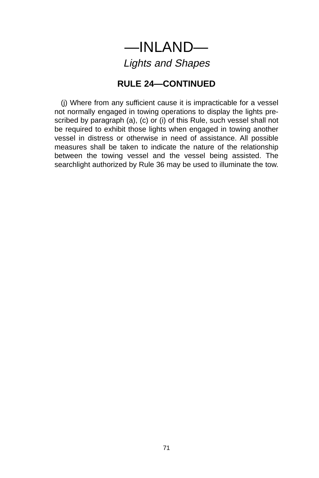Lights and Shapes

#### **RULE 24—CONTINUED**

(j) Where from any sufficient cause it is impracticable for a vessel not normally engaged in towing operations to display the lights prescribed by paragraph (a), (c) or (i) of this Rule, such vessel shall not be required to exhibit those lights when engaged in towing another vessel in distress or otherwise in need of assistance. All possible measures shall be taken to indicate the nature of the relationship between the towing vessel and the vessel being assisted. The searchlight authorized by Rule 36 may be used to illuminate the tow.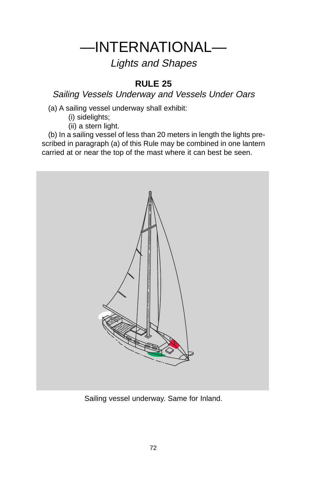### Lights and Shapes

#### **RULE 25**

#### Sailing Vessels Underway and Vessels Under Oars

(a) A sailing vessel underway shall exhibit:

- (i) sidelights;
	- (ii) a stern light.

(b) In a sailing vessel of less than 20 meters in length the lights prescribed in paragraph (a) of this Rule may be combined in one lantern carried at or near the top of the mast where it can best be seen.



Sailing vessel underway. Same for Inland.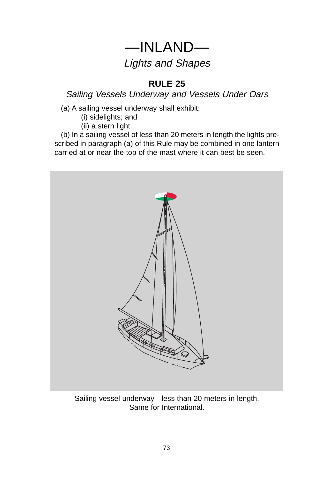### Lights and Shapes

### **RULE 25**

#### Sailing Vessels Underway and Vessels Under Oars

(a) A sailing vessel underway shall exhibit:

- (i) sidelights; and
- (ii) a stern light.

(b) In a sailing vessel of less than 20 meters in length the lights prescribed in paragraph (a) of this Rule may be combined in one lantern carried at or near the top of the mast where it can best be seen.



Sailing vessel underway—less than 20 meters in length. Same for International.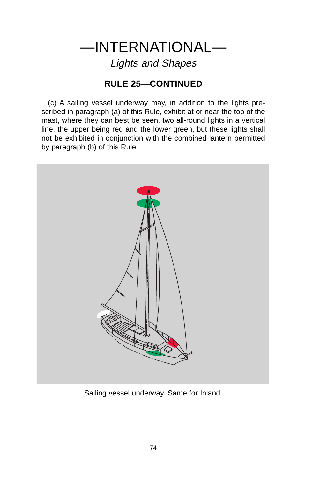Lights and Shapes

#### **RULE 25—CONTINUED**

(c) A sailing vessel underway may, in addition to the lights prescribed in paragraph (a) of this Rule, exhibit at or near the top of the mast, where they can best be seen, two all-round lights in a vertical line, the upper being red and the lower green, but these lights shall not be exhibited in conjunction with the combined lantern permitted by paragraph (b) of this Rule.



Sailing vessel underway. Same for Inland.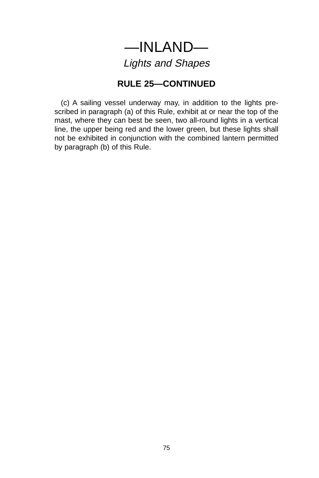Lights and Shapes

#### **RULE 25—CONTINUED**

(c) A sailing vessel underway may, in addition to the lights prescribed in paragraph (a) of this Rule, exhibit at or near the top of the mast, where they can best be seen, two all-round lights in a vertical line, the upper being red and the lower green, but these lights shall not be exhibited in conjunction with the combined lantern permitted by paragraph (b) of this Rule.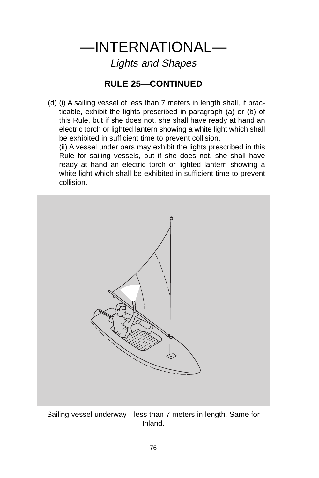Lights and Shapes

### **RULE 25—CONTINUED**

(d) (i) A sailing vessel of less than 7 meters in length shall, if practicable, exhibit the lights prescribed in paragraph (a) or (b) of this Rule, but if she does not, she shall have ready at hand an electric torch or lighted lantern showing a white light which shall be exhibited in sufficient time to prevent collision.

(ii) A vessel under oars may exhibit the lights prescribed in this Rule for sailing vessels, but if she does not, she shall have ready at hand an electric torch or lighted lantern showing a white light which shall be exhibited in sufficient time to prevent collision.



Sailing vessel underway—less than 7 meters in length. Same for Inland.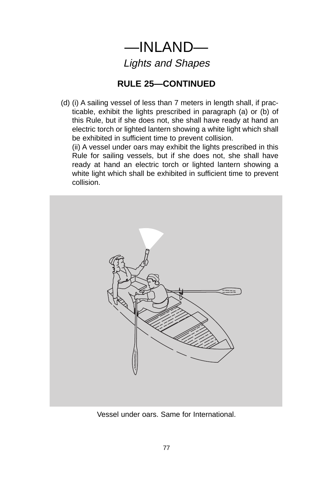### Lights and Shapes

### **RULE 25—CONTINUED**

(d) (i) A sailing vessel of less than 7 meters in length shall, if practicable, exhibit the lights prescribed in paragraph (a) or (b) of this Rule, but if she does not, she shall have ready at hand an electric torch or lighted lantern showing a white light which shall be exhibited in sufficient time to prevent collision.

(ii) A vessel under oars may exhibit the lights prescribed in this Rule for sailing vessels, but if she does not, she shall have ready at hand an electric torch or lighted lantern showing a white light which shall be exhibited in sufficient time to prevent collision.



Vessel under oars. Same for International.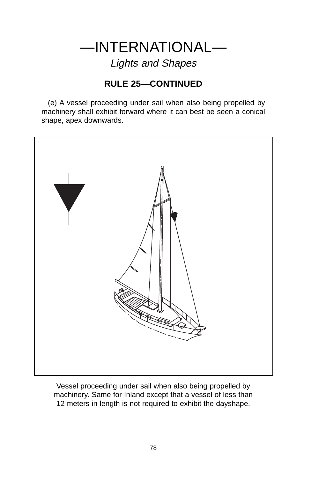Lights and Shapes

### **RULE 25—CONTINUED**

(e) A vessel proceeding under sail when also being propelled by machinery shall exhibit forward where it can best be seen a conical shape, apex downwards.



Vessel proceeding under sail when also being propelled by machinery. Same for Inland except that a vessel of less than 12 meters in length is not required to exhibit the dayshape.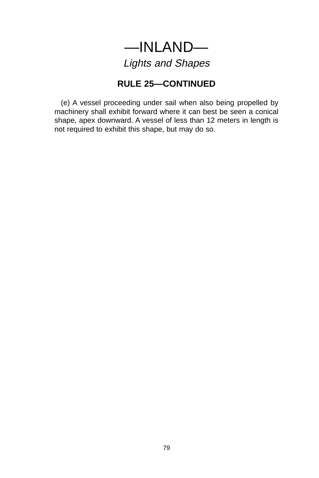Lights and Shapes

#### **RULE 25—CONTINUED**

(e) A vessel proceeding under sail when also being propelled by machinery shall exhibit forward where it can best be seen a conical shape, apex downward. A vessel of less than 12 meters in length is not required to exhibit this shape, but may do so.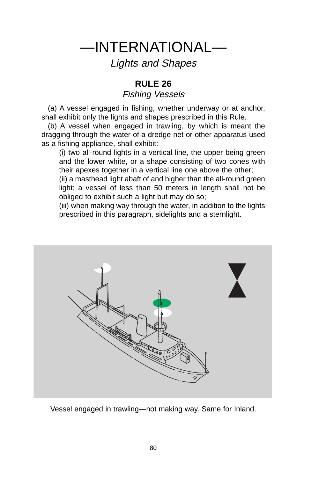### Lights and Shapes

#### **RULE 26**

#### Fishing Vessels

(a) A vessel engaged in fishing, whether underway or at anchor, shall exhibit only the lights and shapes prescribed in this Rule.

(b) A vessel when engaged in trawling, by which is meant the dragging through the water of a dredge net or other apparatus used as a fishing appliance, shall exhibit:

(i) two all-round lights in a vertical line, the upper being green and the lower white, or a shape consisting of two cones with their apexes together in a vertical line one above the other;

(ii) a masthead light abaft of and higher than the all-round green light; a vessel of less than 50 meters in length shall not be obliged to exhibit such a light but may do so;

(iii) when making way through the water, in addition to the lights prescribed in this paragraph, sidelights and a sternlight.



Vessel engaged in trawling—not making way. Same for Inland.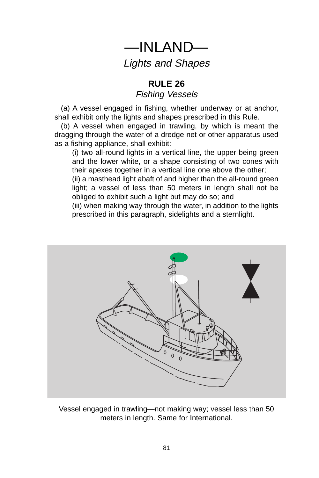# —INLAND— Lights and Shapes

#### **RULE 26**

Fishing Vessels

(a) A vessel engaged in fishing, whether underway or at anchor, shall exhibit only the lights and shapes prescribed in this Rule.

(b) A vessel when engaged in trawling, by which is meant the dragging through the water of a dredge net or other apparatus used as a fishing appliance, shall exhibit:

(i) two all-round lights in a vertical line, the upper being green and the lower white, or a shape consisting of two cones with their apexes together in a vertical line one above the other;

(ii) a masthead light abaft of and higher than the all-round green light; a vessel of less than 50 meters in length shall not be obliged to exhibit such a light but may do so; and

(iii) when making way through the water, in addition to the lights prescribed in this paragraph, sidelights and a sternlight.



Vessel engaged in trawling—not making way; vessel less than 50 meters in length. Same for International.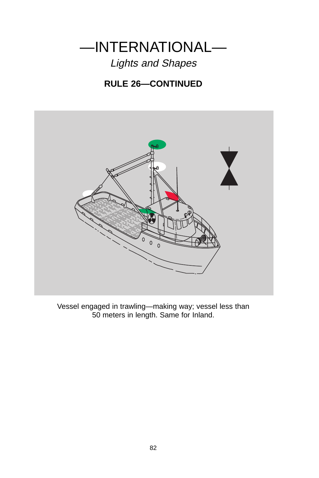### Lights and Shapes

### **RULE 26—CONTINUED**



Vessel engaged in trawling—making way; vessel less than 50 meters in length. Same for Inland.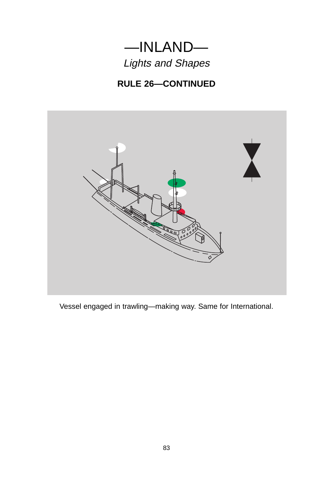# —INLAND— Lights and Shapes

### **RULE 26—CONTINUED**



Vessel engaged in trawling—making way. Same for International.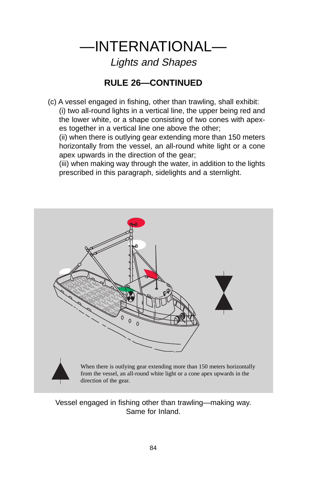### Lights and Shapes

### **RULE 26—CONTINUED**

(c) A vessel engaged in fishing, other than trawling, shall exhibit: (i) two all-round lights in a vertical line, the upper being red and the lower white, or a shape consisting of two cones with apexes together in a vertical line one above the other;

(ii) when there is outlying gear extending more than 150 meters horizontally from the vessel, an all-round white light or a cone apex upwards in the direction of the gear;

(iii) when making way through the water, in addition to the lights prescribed in this paragraph, sidelights and a sternlight.



Vessel engaged in fishing other than trawling—making way. Same for Inland.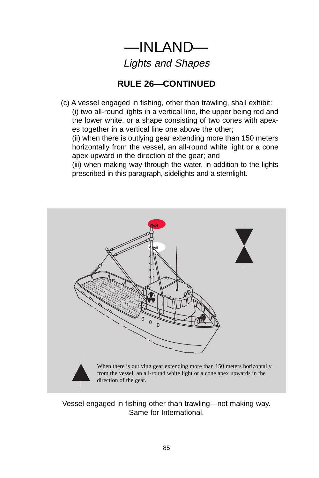### Lights and Shapes

### **RULE 26—CONTINUED**

(c) A vessel engaged in fishing, other than trawling, shall exhibit: (i) two all-round lights in a vertical line, the upper being red and the lower white, or a shape consisting of two cones with apexes together in a vertical line one above the other;

(ii) when there is outlying gear extending more than 150 meters horizontally from the vessel, an all-round white light or a cone apex upward in the direction of the gear; and

(iii) when making way through the water, in addition to the lights prescribed in this paragraph, sidelights and a sternlight.



Vessel engaged in fishing other than trawling—not making way. Same for International.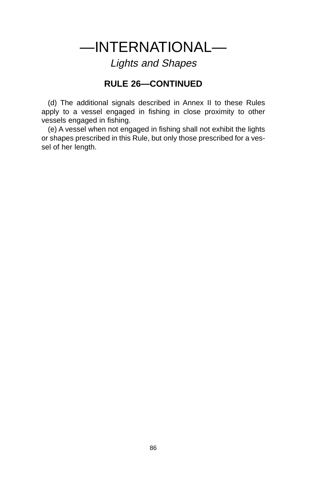### Lights and Shapes

#### **RULE 26—CONTINUED**

(d) The additional signals described in Annex II to these Rules apply to a vessel engaged in fishing in close proximity to other vessels engaged in fishing.

(e) A vessel when not engaged in fishing shall not exhibit the lights or shapes prescribed in this Rule, but only those prescribed for a vessel of her length.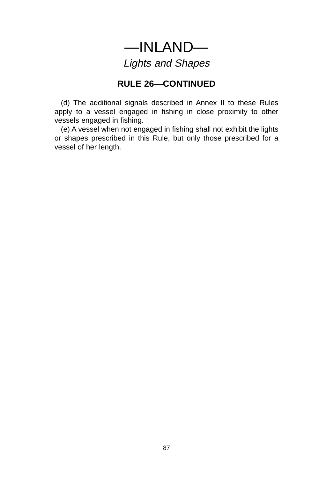### Lights and Shapes

#### **RULE 26—CONTINUED**

(d) The additional signals described in Annex II to these Rules apply to a vessel engaged in fishing in close proximity to other vessels engaged in fishing.

(e) A vessel when not engaged in fishing shall not exhibit the lights or shapes prescribed in this Rule, but only those prescribed for a vessel of her length.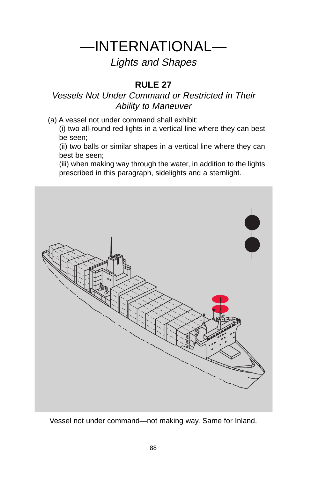### Lights and Shapes

### **RULE 27**

#### Vessels Not Under Command or Restricted in Their Ability to Maneuver

(a) A vessel not under command shall exhibit:

(i) two all-round red lights in a vertical line where they can best be seen;

(ii) two balls or similar shapes in a vertical line where they can best be seen;

(iii) when making way through the water, in addition to the lights prescribed in this paragraph, sidelights and a sternlight.



Vessel not under command—not making way. Same for Inland.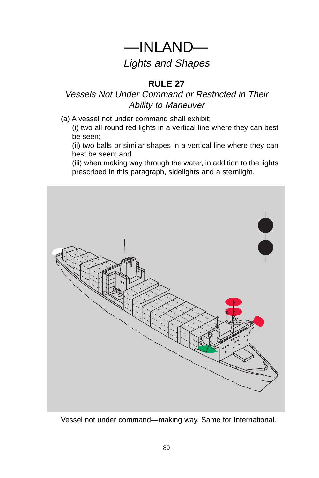### Lights and Shapes

### **RULE 27**

#### Vessels Not Under Command or Restricted in Their Ability to Maneuver

(a) A vessel not under command shall exhibit:

(i) two all-round red lights in a vertical line where they can best be seen;

(ii) two balls or similar shapes in a vertical line where they can best be seen; and

(iii) when making way through the water, in addition to the lights prescribed in this paragraph, sidelights and a sternlight.



Vessel not under command—making way. Same for International.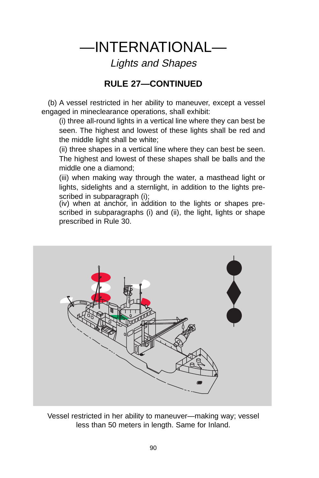### Lights and Shapes

### **RULE 27—CONTINUED**

(b) A vessel restricted in her ability to maneuver, except a vessel engaged in mineclearance operations, shall exhibit:

(i) three all-round lights in a vertical line where they can best be seen. The highest and lowest of these lights shall be red and the middle light shall be white;

(ii) three shapes in a vertical line where they can best be seen. The highest and lowest of these shapes shall be balls and the middle one a diamond;

(iii) when making way through the water, a masthead light or lights, sidelights and a sternlight, in addition to the lights prescribed in subparagraph (i);

(iv) when at anchor, in addition to the lights or shapes prescribed in subparagraphs (i) and (ii), the light, lights or shape prescribed in Rule 30.



Vessel restricted in her ability to maneuver—making way; vessel less than 50 meters in length. Same for Inland.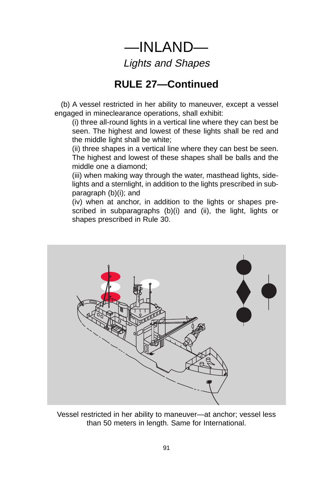### Lights and Shapes

### **RULE 27—Continued**

(b) A vessel restricted in her ability to maneuver, except a vessel engaged in mineclearance operations, shall exhibit:

(i) three all-round lights in a vertical line where they can best be seen. The highest and lowest of these lights shall be red and the middle light shall be white;

(ii) three shapes in a vertical line where they can best be seen. The highest and lowest of these shapes shall be balls and the middle one a diamond;

(iii) when making way through the water, masthead lights, sidelights and a sternlight, in addition to the lights prescribed in subparagraph (b)(i); and

(iv) when at anchor, in addition to the lights or shapes prescribed in subparagraphs (b)(i) and (ii), the light, lights or shapes prescribed in Rule 30.



Vessel restricted in her ability to maneuver—at anchor; vessel less than 50 meters in length. Same for International.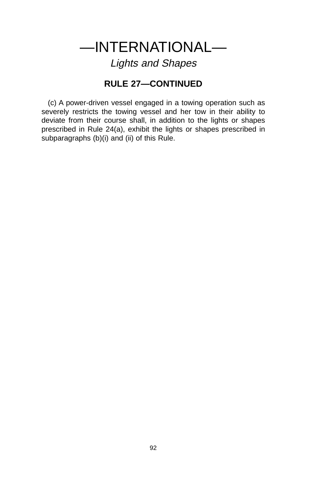Lights and Shapes

#### **RULE 27—CONTINUED**

(c) A power-driven vessel engaged in a towing operation such as severely restricts the towing vessel and her tow in their ability to deviate from their course shall, in addition to the lights or shapes prescribed in Rule 24(a), exhibit the lights or shapes prescribed in subparagraphs (b)(i) and (ii) of this Rule.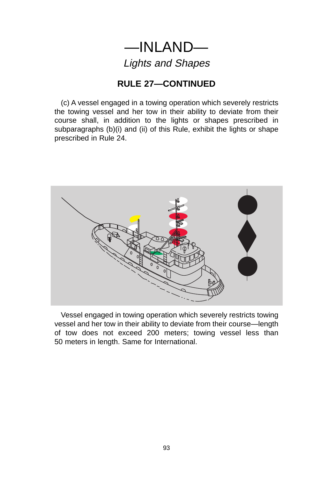### —INLAND— Lights and Shapes

#### **RULE 27—CONTINUED**

(c) A vessel engaged in a towing operation which severely restricts the towing vessel and her tow in their ability to deviate from their course shall, in addition to the lights or shapes prescribed in subparagraphs (b)(i) and (ii) of this Rule, exhibit the lights or shape prescribed in Rule 24.



Vessel engaged in towing operation which severely restricts towing vessel and her tow in their ability to deviate from their course—length of tow does not exceed 200 meters; towing vessel less than 50 meters in length. Same for International.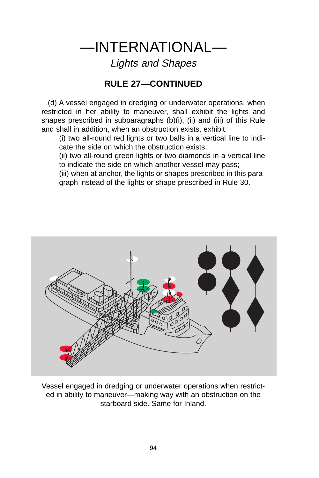Lights and Shapes

#### **RULE 27—CONTINUED**

(d) A vessel engaged in dredging or underwater operations, when restricted in her ability to maneuver, shall exhibit the lights and shapes prescribed in subparagraphs (b)(i), (ii) and (iii) of this Rule and shall in addition, when an obstruction exists, exhibit:

(i) two all-round red lights or two balls in a vertical line to indicate the side on which the obstruction exists;

(ii) two all-round green lights or two diamonds in a vertical line to indicate the side on which another vessel may pass;

(iii) when at anchor, the lights or shapes prescribed in this paragraph instead of the lights or shape prescribed in Rule 30.



Vessel engaged in dredging or underwater operations when restricted in ability to maneuver—making way with an obstruction on the starboard side. Same for Inland.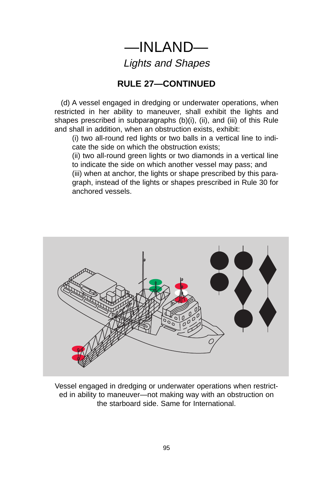### Lights and Shapes

#### **RULE 27—CONTINUED**

(d) A vessel engaged in dredging or underwater operations, when restricted in her ability to maneuver, shall exhibit the lights and shapes prescribed in subparagraphs (b)(i), (ii), and (iii) of this Rule and shall in addition, when an obstruction exists, exhibit:

(i) two all-round red lights or two balls in a vertical line to indicate the side on which the obstruction exists;

(ii) two all-round green lights or two diamonds in a vertical line to indicate the side on which another vessel may pass; and (iii) when at anchor, the lights or shape prescribed by this paragraph, instead of the lights or shapes prescribed in Rule 30 for anchored vessels.



Vessel engaged in dredging or underwater operations when restricted in ability to maneuver—not making way with an obstruction on the starboard side. Same for International.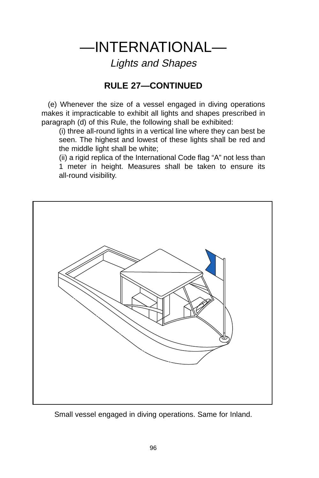### Lights and Shapes

#### **RULE 27—CONTINUED**

(e) Whenever the size of a vessel engaged in diving operations makes it impracticable to exhibit all lights and shapes prescribed in paragraph (d) of this Rule, the following shall be exhibited:

(i) three all-round lights in a vertical line where they can best be seen. The highest and lowest of these lights shall be red and the middle light shall be white;

(ii) a rigid replica of the International Code flag "A" not less than 1 meter in height. Measures shall be taken to ensure its all-round visibility.



Small vessel engaged in diving operations. Same for Inland.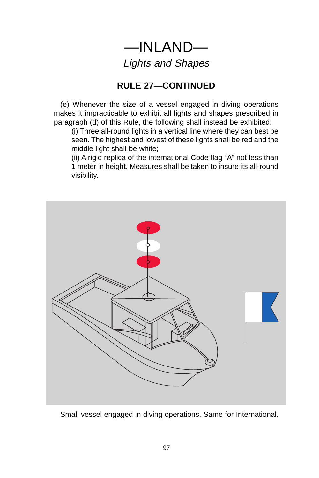# $-$ INI AND $-$

### Lights and Shapes

#### **RULE 27—CONTINUED**

(e) Whenever the size of a vessel engaged in diving operations makes it impracticable to exhibit all lights and shapes prescribed in paragraph (d) of this Rule, the following shall instead be exhibited:

(i) Three all-round lights in a vertical line where they can best be seen. The highest and lowest of these lights shall be red and the middle light shall be white;

(ii) A rigid replica of the international Code flag "A" not less than 1 meter in height. Measures shall be taken to insure its all-round visibility.



Small vessel engaged in diving operations. Same for International.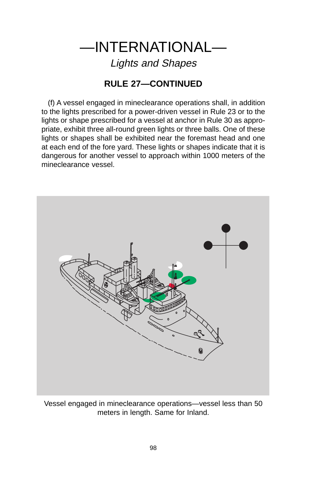### Lights and Shapes

#### **RULE 27—CONTINUED**

(f) A vessel engaged in mineclearance operations shall, in addition to the lights prescribed for a power-driven vessel in Rule 23 or to the lights or shape prescribed for a vessel at anchor in Rule 30 as appropriate, exhibit three all-round green lights or three balls. One of these lights or shapes shall be exhibited near the foremast head and one at each end of the fore yard. These lights or shapes indicate that it is dangerous for another vessel to approach within 1000 meters of the mineclearance vessel.



Vessel engaged in mineclearance operations—vessel less than 50 meters in length. Same for Inland.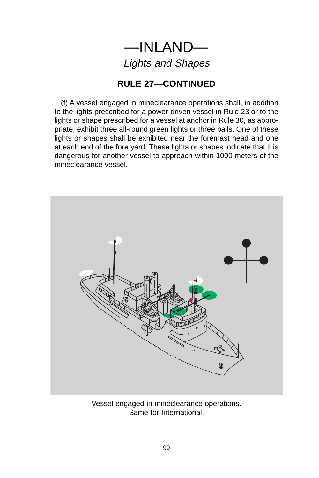# —INLAND—

Lights and Shapes

### **RULE 27—CONTINUED**

(f) A vessel engaged in mineclearance operations shall, in addition to the lights prescribed for a power-driven vessel in Rule 23 or to the lights or shape prescribed for a vessel at anchor in Rule 30, as appropriate, exhibit three all-round green lights or three balls. One of these lights or shapes shall be exhibited near the foremast head and one at each end of the fore yard. These lights or shapes indicate that it is dangerous for another vessel to approach within 1000 meters of the mineclearance vessel.



Vessel engaged in mineclearance operations. Same for International.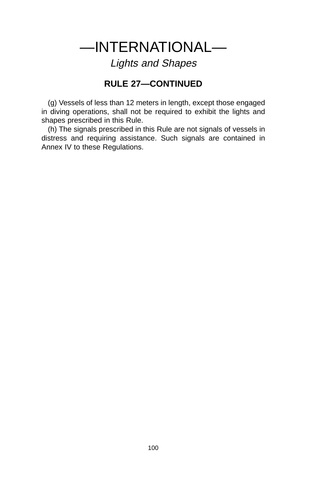### Lights and Shapes

### **RULE 27—CONTINUED**

(g) Vessels of less than 12 meters in length, except those engaged in diving operations, shall not be required to exhibit the lights and shapes prescribed in this Rule.

(h) The signals prescribed in this Rule are not signals of vessels in distress and requiring assistance. Such signals are contained in Annex IV to these Regulations.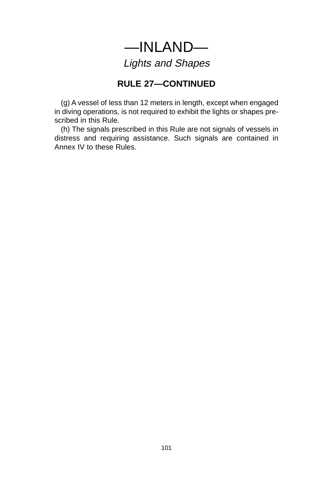## —INLAND—

## Lights and Shapes

#### **RULE 27—CONTINUED**

(g) A vessel of less than 12 meters in length, except when engaged in diving operations, is not required to exhibit the lights or shapes prescribed in this Rule.

(h) The signals prescribed in this Rule are not signals of vessels in distress and requiring assistance. Such signals are contained in Annex IV to these Rules.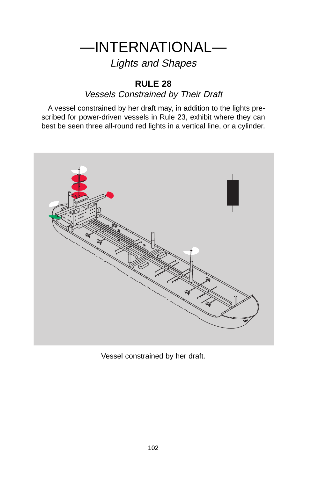## Lights and Shapes

### **RULE 28**

#### Vessels Constrained by Their Draft

A vessel constrained by her draft may, in addition to the lights prescribed for power-driven vessels in Rule 23, exhibit where they can best be seen three all-round red lights in a vertical line, or a cylinder.



Vessel constrained by her draft.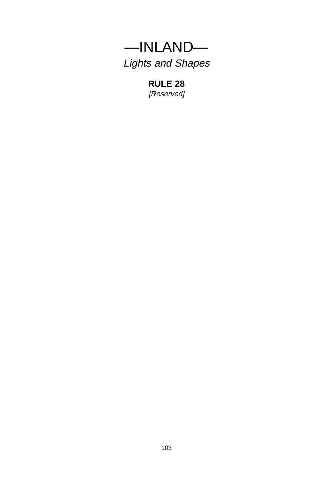—INLAND— Lights and Shapes

**RULE 28**

[Reserved]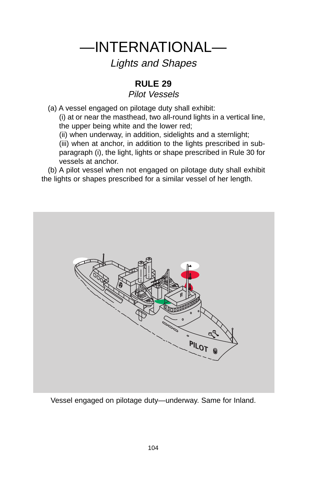## Lights and Shapes

### **RULE 29**

Pilot Vessels

(a) A vessel engaged on pilotage duty shall exhibit:

(i) at or near the masthead, two all-round lights in a vertical line, the upper being white and the lower red;

(ii) when underway, in addition, sidelights and a sternlight;

(iii) when at anchor, in addition to the lights prescribed in subparagraph (i), the light, lights or shape prescribed in Rule 30 for vessels at anchor.

(b) A pilot vessel when not engaged on pilotage duty shall exhibit the lights or shapes prescribed for a similar vessel of her length.



Vessel engaged on pilotage duty—underway. Same for Inland.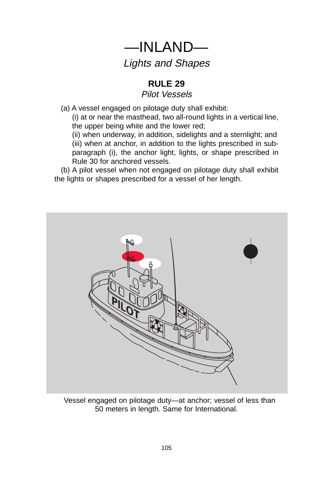## —INLAND— Lights and Shapes

### **RULE 29**

Pilot Vessels

(a) A vessel engaged on pilotage duty shall exhibit:

(i) at or near the masthead, two all-round lights in a vertical line, the upper being white and the lower red;

(ii) when underway, in addition, sidelights and a sternlight; and (iii) when at anchor, in addition to the lights prescribed in subparagraph (i), the anchor light, lights, or shape prescribed in Rule 30 for anchored vessels.

(b) A pilot vessel when not engaged on pilotage duty shall exhibit the lights or shapes prescribed for a vessel of her length.



Vessel engaged on pilotage duty—at anchor; vessel of less than 50 meters in length. Same for International.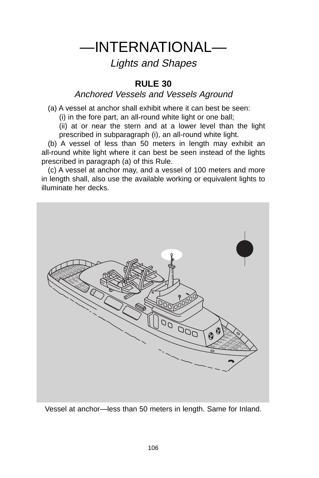## Lights and Shapes

### **RULE 30**

### Anchored Vessels and Vessels Aground

(a) A vessel at anchor shall exhibit where it can best be seen:

(i) in the fore part, an all-round white light or one ball;

(ii) at or near the stern and at a lower level than the light prescribed in subparagraph (i), an all-round white light.

(b) A vessel of less than 50 meters in length may exhibit an all-round white light where it can best be seen instead of the lights prescribed in paragraph (a) of this Rule.

(c) A vessel at anchor may, and a vessel of 100 meters and more in length shall, also use the available working or equivalent lights to illuminate her decks.



Vessel at anchor—less than 50 meters in length. Same for Inland.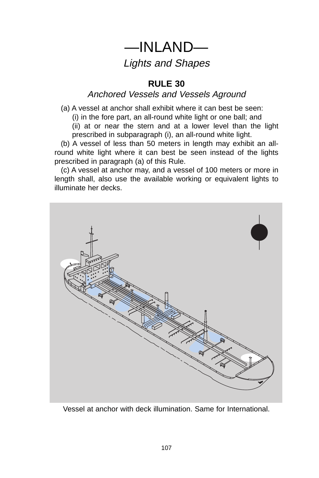# —INLAND—

## Lights and Shapes

#### **RULE 30**

### Anchored Vessels and Vessels Aground

(a) A vessel at anchor shall exhibit where it can best be seen:

(i) in the fore part, an all-round white light or one ball; and

(ii) at or near the stern and at a lower level than the light prescribed in subparagraph (i), an all-round white light.

(b) A vessel of less than 50 meters in length may exhibit an allround white light where it can best be seen instead of the lights prescribed in paragraph (a) of this Rule.

(c) A vessel at anchor may, and a vessel of 100 meters or more in length shall, also use the available working or equivalent lights to illuminate her decks.



Vessel at anchor with deck illumination. Same for International.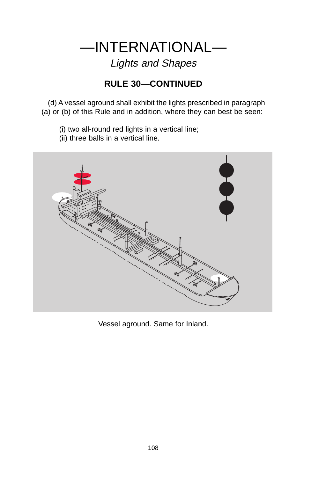## Lights and Shapes

### **RULE 30—CONTINUED**

(d) A vessel aground shall exhibit the lights prescribed in paragraph (a) or (b) of this Rule and in addition, where they can best be seen:

- (i) two all-round red lights in a vertical line;
- (ii) three balls in a vertical line.



Vessel aground. Same for Inland.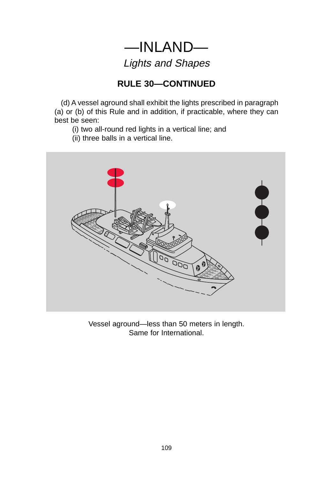# —INLAND—

## Lights and Shapes

### **RULE 30—CONTINUED**

(d) A vessel aground shall exhibit the lights prescribed in paragraph (a) or (b) of this Rule and in addition, if practicable, where they can best be seen:

(i) two all-round red lights in a vertical line; and

(ii) three balls in a vertical line.



Vessel aground—less than 50 meters in length. Same for International.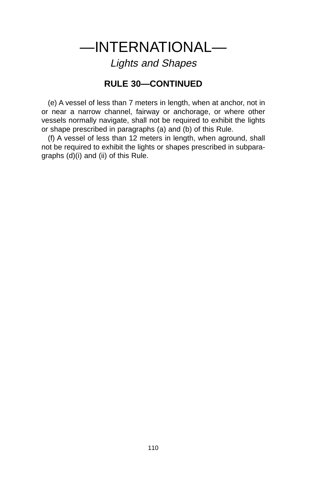## Lights and Shapes

#### **RULE 30—CONTINUED**

(e) A vessel of less than 7 meters in length, when at anchor, not in or near a narrow channel, fairway or anchorage, or where other vessels normally navigate, shall not be required to exhibit the lights or shape prescribed in paragraphs (a) and (b) of this Rule.

(f) A vessel of less than 12 meters in length, when aground, shall not be required to exhibit the lights or shapes prescribed in subparagraphs (d)(i) and (ii) of this Rule.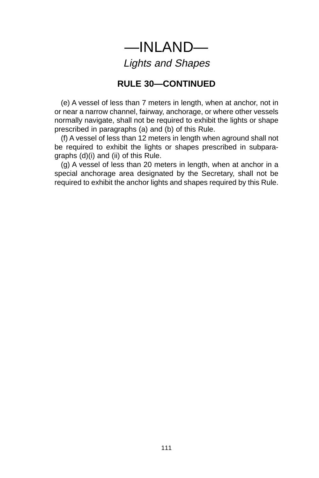## —INLAND—

## Lights and Shapes

#### **RULE 30—CONTINUED**

(e) A vessel of less than 7 meters in length, when at anchor, not in or near a narrow channel, fairway, anchorage, or where other vessels normally navigate, shall not be required to exhibit the lights or shape prescribed in paragraphs (a) and (b) of this Rule.

(f) A vessel of less than 12 meters in length when aground shall not be required to exhibit the lights or shapes prescribed in subparagraphs (d)(i) and (ii) of this Rule.

(g) A vessel of less than 20 meters in length, when at anchor in a special anchorage area designated by the Secretary, shall not be required to exhibit the anchor lights and shapes required by this Rule.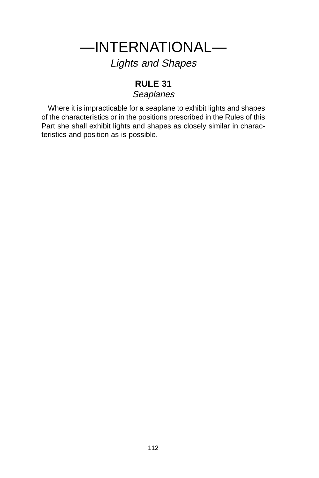### Lights and Shapes

#### **RULE 31**

**Seaplanes** 

Where it is impracticable for a seaplane to exhibit lights and shapes of the characteristics or in the positions prescribed in the Rules of this Part she shall exhibit lights and shapes as closely similar in characteristics and position as is possible.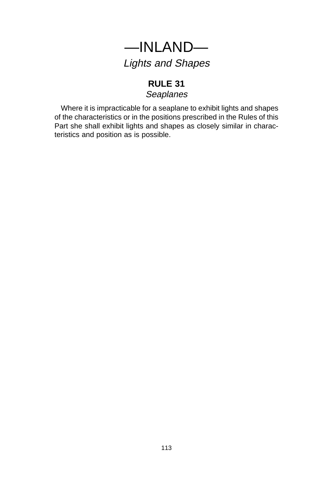## —INLAND— Lights and Shapes

## **RULE 31**

**Seaplanes** 

Where it is impracticable for a seaplane to exhibit lights and shapes of the characteristics or in the positions prescribed in the Rules of this Part she shall exhibit lights and shapes as closely similar in characteristics and position as is possible.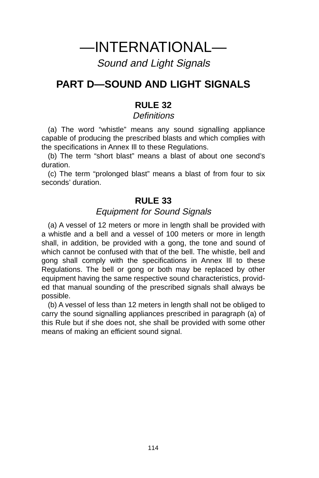### Sound and Light Signals

## **PART D—SOUND AND LIGHT SIGNALS**

#### **RULE 32**

#### **Definitions**

(a) The word "whistle" means any sound signalling appliance capable of producing the prescribed blasts and which complies with the specifications in Annex Ill to these Regulations.

(b) The term "short blast" means a blast of about one second's duration.

(c) The term "prolonged blast" means a blast of from four to six seconds' duration.

#### **RULE 33**

#### Equipment for Sound Signals

(a) A vessel of 12 meters or more in length shall be provided with a whistle and a bell and a vessel of 100 meters or more in length shall, in addition, be provided with a gong, the tone and sound of which cannot be confused with that of the bell. The whistle, bell and gong shall comply with the specifications in Annex lIl to these Regulations. The bell or gong or both may be replaced by other equipment having the same respective sound characteristics, provided that manual sounding of the prescribed signals shall always be possible.

(b) A vessel of less than 12 meters in length shall not be obliged to carry the sound signalling appliances prescribed in paragraph (a) of this Rule but if she does not, she shall be provided with some other means of making an efficient sound signal.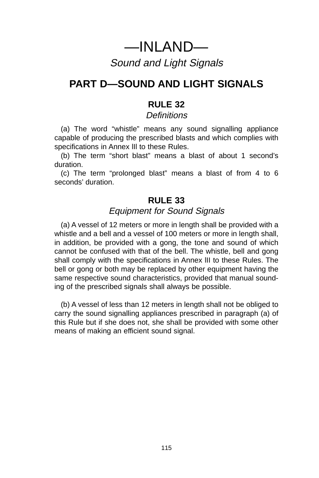## —INLAND—

### Sound and Light Signals

## **PART D—SOUND AND LIGHT SIGNALS**

#### **RULE 32**

#### **Definitions**

(a) The word "whistle" means any sound signalling appliance capable of producing the prescribed blasts and which complies with specifications in Annex lIl to these Rules.

(b) The term "short blast" means a blast of about 1 second's duration.

(c) The term "prolonged blast" means a blast of from 4 to 6 seconds' duration.

#### **RULE 33**

#### Equipment for Sound Signals

(a) A vessel of 12 meters or more in length shall be provided with a whistle and a bell and a vessel of 100 meters or more in length shall, in addition, be provided with a gong, the tone and sound of which cannot be confused with that of the bell. The whistle, bell and gong shall comply with the specifications in Annex lII to these Rules. The bell or gong or both may be replaced by other equipment having the same respective sound characteristics, provided that manual sounding of the prescribed signals shall always be possible.

(b) A vessel of less than 12 meters in length shall not be obliged to carry the sound signalling appliances prescribed in paragraph (a) of this Rule but if she does not, she shall be provided with some other means of making an efficient sound signal.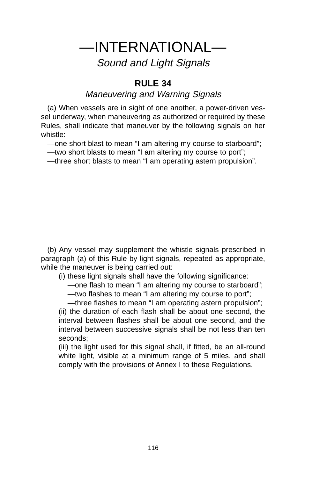## —INTERNATIONAL— Sound and Light Signals

#### **RULE 34**

#### Maneuvering and Warning Signals

(a) When vessels are in sight of one another, a power-driven vessel underway, when maneuvering as authorized or required by these Rules, shall indicate that maneuver by the following signals on her whistle:

—one short blast to mean "I am altering my course to starboard";

—two short blasts to mean "I am altering my course to port";

—three short blasts to mean "I am operating astern propulsion".

(b) Any vessel may supplement the whistle signals prescribed in paragraph (a) of this Rule by light signals, repeated as appropriate, while the maneuver is being carried out:

(i) these light signals shall have the following significance:

—one flash to mean "I am altering my course to starboard";

—two flashes to mean "I am altering my course to port";

—three flashes to mean "I am operating astern propulsion";

(ii) the duration of each flash shall be about one second, the interval between flashes shall be about one second, and the interval between successive signals shall be not less than ten seconds;

(iii) the light used for this signal shall, if fitted, be an all-round white light, visible at a minimum range of 5 miles, and shall comply with the provisions of Annex I to these Regulations.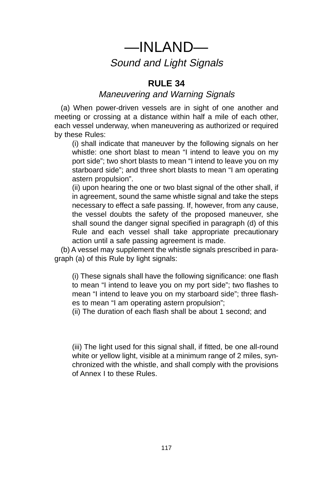## —INLAND— Sound and Light Signals

#### **RULE 34**

#### Maneuvering and Warning Signals

(a) When power-driven vessels are in sight of one another and meeting or crossing at a distance within half a mile of each other, each vessel underway, when maneuvering as authorized or required by these Rules:

(i) shall indicate that maneuver by the following signals on her whistle: one short blast to mean "I intend to leave you on my port side"; two short blasts to mean "I intend to leave you on my starboard side"; and three short blasts to mean "I am operating astern propulsion".

(ii) upon hearing the one or two blast signal of the other shall, if in agreement, sound the same whistle signal and take the steps necessary to effect a safe passing. If, however, from any cause, the vessel doubts the safety of the proposed maneuver, she shall sound the danger signal specified in paragraph (d) of this Rule and each vessel shall take appropriate precautionary action until a safe passing agreement is made.

(b) A vessel may supplement the whistle signals prescribed in paragraph (a) of this Rule by light signals:

(i) These signals shall have the following significance: one flash to mean "I intend to leave you on my port side"; two flashes to mean "I intend to leave you on my starboard side"; three flashes to mean "I am operating astern propulsion";

(ii) The duration of each flash shall be about 1 second; and

(iii) The light used for this signal shall, if fitted, be one all-round white or yellow light, visible at a minimum range of 2 miles, synchronized with the whistle, and shall comply with the provisions of Annex I to these Rules.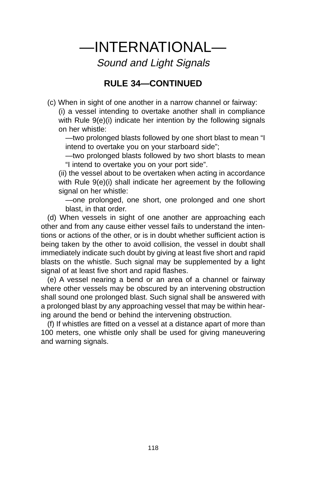Sound and Light Signals

#### **RULE 34—CONTINUED**

(c) When in sight of one another in a narrow channel or fairway: (i) a vessel intending to overtake another shall in compliance with Rule 9(e)(i) indicate her intention by the following signals on her whistle:

—two prolonged blasts followed by one short blast to mean "I intend to overtake you on your starboard side";

—two prolonged blasts followed by two short blasts to mean "I intend to overtake you on your port side".

(ii) the vessel about to be overtaken when acting in accordance with Rule 9(e)(i) shall indicate her agreement by the following signal on her whistle:

—one prolonged, one short, one prolonged and one short blast, in that order.

(d) When vessels in sight of one another are approaching each other and from any cause either vessel fails to understand the intentions or actions of the other, or is in doubt whether sufficient action is being taken by the other to avoid collision, the vessel in doubt shall immediately indicate such doubt by giving at least five short and rapid blasts on the whistle. Such signal may be supplemented by a light signal of at least five short and rapid flashes.

(e) A vessel nearing a bend or an area of a channel or fairway where other vessels may be obscured by an intervening obstruction shall sound one prolonged blast. Such signal shall be answered with a prolonged blast by any approaching vessel that may be within hearing around the bend or behind the intervening obstruction.

(f) If whistles are fitted on a vessel at a distance apart of more than 100 meters, one whistle only shall be used for giving maneuvering and warning signals.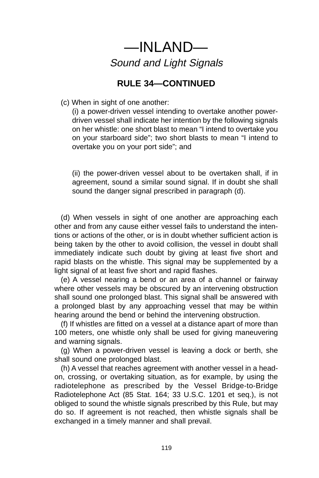## —INLAND— Sound and Light Signals

#### **RULE 34—CONTINUED**

(c) When in sight of one another:

(i) a power-driven vessel intending to overtake another powerdriven vessel shall indicate her intention by the following signals on her whistle: one short blast to mean "I intend to overtake you on your starboard side"; two short blasts to mean "I intend to overtake you on your port side"; and

(ii) the power-driven vessel about to be overtaken shall, if in agreement, sound a similar sound signal. If in doubt she shall sound the danger signal prescribed in paragraph (d).

(d) When vessels in sight of one another are approaching each other and from any cause either vessel fails to understand the intentions or actions of the other, or is in doubt whether sufficient action is being taken by the other to avoid collision, the vessel in doubt shall immediately indicate such doubt by giving at least five short and rapid blasts on the whistle. This signal may be supplemented by a light signal of at least five short and rapid flashes.

(e) A vessel nearing a bend or an area of a channel or fairway where other vessels may be obscured by an intervening obstruction shall sound one prolonged blast. This signal shall be answered with a prolonged blast by any approaching vessel that may be within hearing around the bend or behind the intervening obstruction.

(f) If whistles are fitted on a vessel at a distance apart of more than 100 meters, one whistle only shall be used for giving maneuvering and warning signals.

(g) When a power-driven vessel is leaving a dock or berth, she shall sound one prolonged blast.

(h) A vessel that reaches agreement with another vessel in a headon, crossing, or overtaking situation, as for example, by using the radiotelephone as prescribed by the Vessel Bridge-to-Bridge Radiotelephone Act (85 Stat. 164; 33 U.S.C. 1201 et seq.), is not obliged to sound the whistle signals prescribed by this Rule, but may do so. If agreement is not reached, then whistle signals shall be exchanged in a timely manner and shall prevail.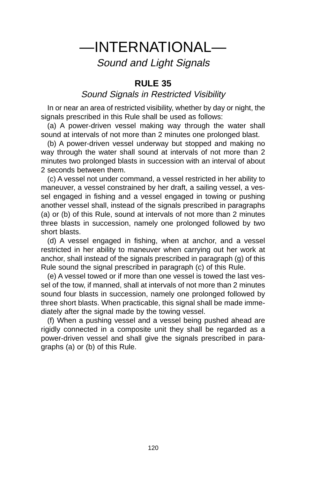## —INTERNATIONAL— Sound and Light Signals

#### **RULE 35**

#### Sound Signals in Restricted Visibility

In or near an area of restricted visibility, whether by day or night, the signals prescribed in this Rule shall be used as follows:

(a) A power-driven vessel making way through the water shall sound at intervals of not more than 2 minutes one prolonged blast.

(b) A power-driven vessel underway but stopped and making no way through the water shall sound at intervals of not more than 2 minutes two prolonged blasts in succession with an interval of about 2 seconds between them.

(c) A vessel not under command, a vessel restricted in her ability to maneuver, a vessel constrained by her draft, a sailing vessel, a vessel engaged in fishing and a vessel engaged in towing or pushing another vessel shall, instead of the signals prescribed in paragraphs (a) or (b) of this Rule, sound at intervals of not more than 2 minutes three blasts in succession, namely one prolonged followed by two short blasts.

(d) A vessel engaged in fishing, when at anchor, and a vessel restricted in her ability to maneuver when carrying out her work at anchor, shall instead of the signals prescribed in paragraph (g) of this Rule sound the signal prescribed in paragraph (c) of this Rule.

(e) A vessel towed or if more than one vessel is towed the last vessel of the tow, if manned, shall at intervals of not more than 2 minutes sound four blasts in succession, namely one prolonged followed by three short blasts. When practicable, this signal shall be made immediately after the signal made by the towing vessel.

(f) When a pushing vessel and a vessel being pushed ahead are rigidly connected in a composite unit they shall be regarded as a power-driven vessel and shall give the signals prescribed in paragraphs (a) or (b) of this Rule.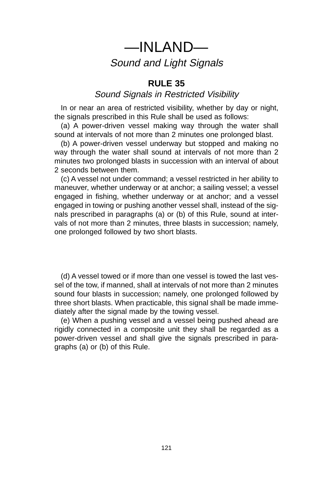## —INLAND— Sound and Light Signals

#### **RULE 35**

#### Sound Signals in Restricted Visibility

In or near an area of restricted visibility, whether by day or night, the signals prescribed in this Rule shall be used as follows:

(a) A power-driven vessel making way through the water shall sound at intervals of not more than 2 minutes one prolonged blast.

(b) A power-driven vessel underway but stopped and making no way through the water shall sound at intervals of not more than 2 minutes two prolonged blasts in succession with an interval of about 2 seconds between them.

(c) A vessel not under command; a vessel restricted in her ability to maneuver, whether underway or at anchor; a sailing vessel; a vessel engaged in fishing, whether underway or at anchor; and a vessel engaged in towing or pushing another vessel shall, instead of the signals prescribed in paragraphs (a) or (b) of this Rule, sound at intervals of not more than 2 minutes, three blasts in succession; namely, one prolonged followed by two short blasts.

(d) A vessel towed or if more than one vessel is towed the last vessel of the tow, if manned, shall at intervals of not more than 2 minutes sound four blasts in succession; namely, one prolonged followed by three short blasts. When practicable, this signal shall be made immediately after the signal made by the towing vessel.

(e) When a pushing vessel and a vessel being pushed ahead are rigidly connected in a composite unit they shall be regarded as a power-driven vessel and shall give the signals prescribed in paragraphs (a) or (b) of this Rule.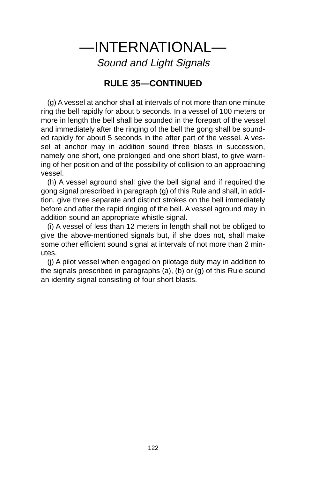Sound and Light Signals

### **RULE 35—CONTINUED**

(g) A vessel at anchor shall at intervals of not more than one minute ring the bell rapidly for about 5 seconds. In a vessel of 100 meters or more in length the bell shall be sounded in the forepart of the vessel and immediately after the ringing of the bell the gong shall be sounded rapidly for about 5 seconds in the after part of the vessel. A vessel at anchor may in addition sound three blasts in succession, namely one short, one prolonged and one short blast, to give warning of her position and of the possibility of collision to an approaching vessel.

(h) A vessel aground shall give the bell signal and if required the gong signal prescribed in paragraph (g) of this Rule and shall, in addition, give three separate and distinct strokes on the bell immediately before and after the rapid ringing of the bell. A vessel aground may in addition sound an appropriate whistle signal.

(i) A vessel of less than 12 meters in length shall not be obliged to give the above-mentioned signals but, if she does not, shall make some other efficient sound signal at intervals of not more than 2 minutes.

(j) A pilot vessel when engaged on pilotage duty may in addition to the signals prescribed in paragraphs (a), (b) or (g) of this Rule sound an identity signal consisting of four short blasts.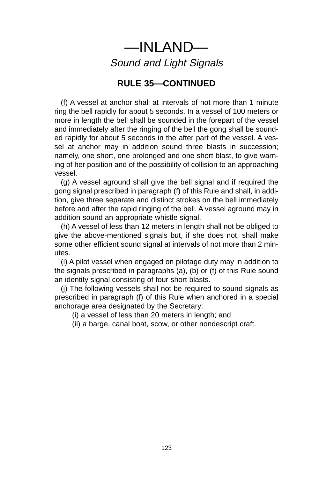## —INLAND— Sound and Light Signals

#### **RULE 35—CONTINUED**

(f) A vessel at anchor shall at intervals of not more than 1 minute ring the bell rapidly for about 5 seconds. In a vessel of 100 meters or more in length the bell shall be sounded in the forepart of the vessel and immediately after the ringing of the bell the gong shall be sounded rapidly for about 5 seconds in the after part of the vessel. A vessel at anchor may in addition sound three blasts in succession; namely, one short, one prolonged and one short blast, to give warning of her position and of the possibility of collision to an approaching vessel.

(g) A vessel aground shall give the bell signal and if required the gong signal prescribed in paragraph (f) of this Rule and shall, in addition, give three separate and distinct strokes on the bell immediately before and after the rapid ringing of the bell. A vessel aground may in addition sound an appropriate whistle signal.

(h) A vessel of less than 12 meters in length shall not be obliged to give the above-mentioned signals but, if she does not, shall make some other efficient sound signal at intervals of not more than 2 minutes.

(i) A pilot vessel when engaged on pilotage duty may in addition to the signals prescribed in paragraphs (a), (b) or (f) of this Rule sound an identity signal consisting of four short blasts.

(j) The following vessels shall not be required to sound signals as prescribed in paragraph (f) of this Rule when anchored in a special anchorage area designated by the Secretary:

(i) a vessel of less than 20 meters in length; and

(ii) a barge, canal boat, scow, or other nondescript craft.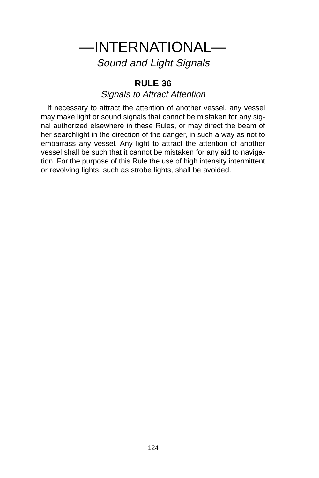## —INTERNATIONAL— Sound and Light Signals

#### **RULE 36**

#### Signals to Attract Attention

If necessary to attract the attention of another vessel, any vessel may make light or sound signals that cannot be mistaken for any signal authorized elsewhere in these Rules, or may direct the beam of her searchlight in the direction of the danger, in such a way as not to embarrass any vessel. Any light to attract the attention of another vessel shall be such that it cannot be mistaken for any aid to navigation. For the purpose of this Rule the use of high intensity intermittent or revolving lights, such as strobe lights, shall be avoided.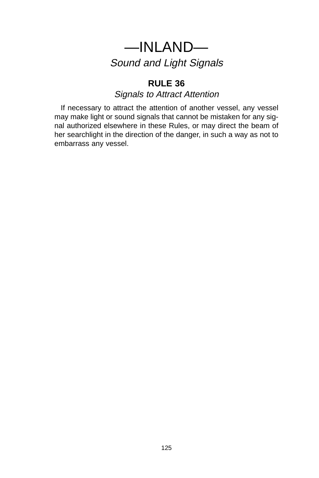## —INLAND— Sound and Light Signals

#### **RULE 36**

Signals to Attract Attention

If necessary to attract the attention of another vessel, any vessel may make light or sound signals that cannot be mistaken for any signal authorized elsewhere in these Rules, or may direct the beam of her searchlight in the direction of the danger, in such a way as not to embarrass any vessel.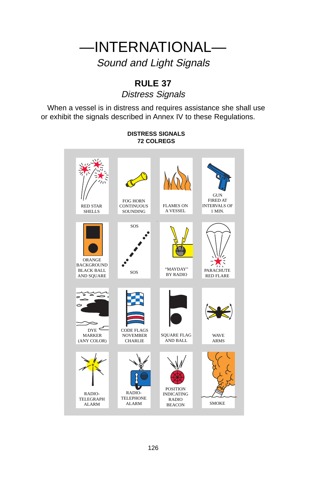## —INTERNATIONAL— Sound and Light Signals

## **RULE 37**

Distress Signals

When a vessel is in distress and requires assistance she shall use or exhibit the signals described in Annex IV to these Regulations.

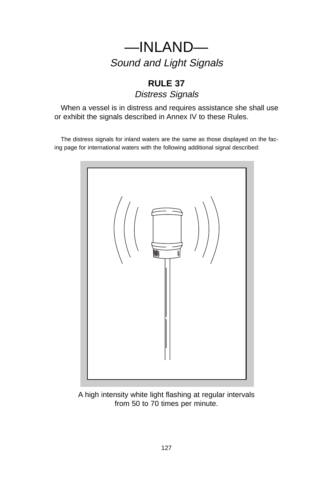## —INLAND— Sound and Light Signals

### **RULE 37** Distress Signals

When a vessel is in distress and requires assistance she shall use or exhibit the signals described in Annex IV to these Rules.

The distress signals for inland waters are the same as those displayed on the facing page for international waters with the following additional signal described:



A high intensity white light flashing at regular intervals from 50 to 70 times per minute.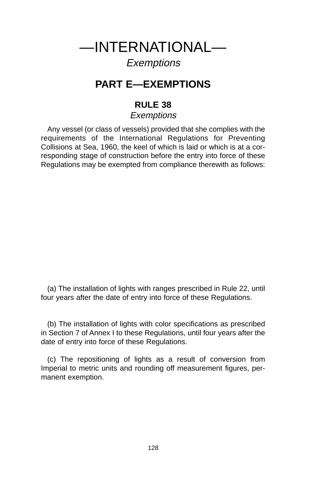### **Exemptions**

## **PART E—EXEMPTIONS**

#### **RULE 38**

#### **Exemptions**

Any vessel (or class of vessels) provided that she complies with the requirements of the International Regulations for Preventing Collisions at Sea, 1960, the keel of which is laid or which is at a corresponding stage of construction before the entry into force of these Regulations may be exempted from compliance therewith as follows:

(a) The installation of lights with ranges prescribed in Rule 22, until four years after the date of entry into force of these Regulations.

(b) The installation of lights with color specifications as prescribed in Section 7 of Annex I to these Regulations, until four years after the date of entry into force of these Regulations.

(c) The repositioning of lights as a result of conversion from Imperial to metric units and rounding off measurement figures, permanent exemption.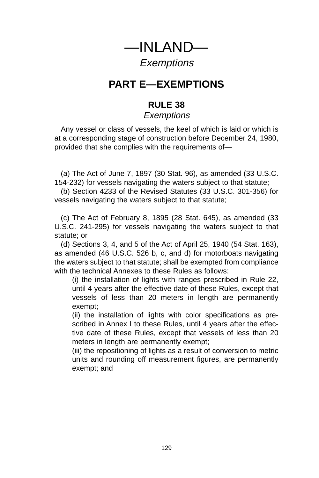

#### **Exemptions**

### **PART E—EXEMPTIONS**

#### **RULE 38**

#### **Exemptions**

Any vessel or class of vessels, the keel of which is laid or which is at a corresponding stage of construction before December 24, 1980, provided that she complies with the requirements of—

(a) The Act of June 7, 1897 (30 Stat. 96), as amended (33 U.S.C. 154-232) for vessels navigating the waters subject to that statute;

(b) Section 4233 of the Revised Statutes (33 U.S.C. 301-356) for vessels navigating the waters subject to that statute;

(c) The Act of February 8, 1895 (28 Stat. 645), as amended (33 U.S.C. 241-295) for vessels navigating the waters subject to that statute; or

(d) Sections 3, 4, and 5 of the Act of April 25, 1940 (54 Stat. 163), as amended (46 U.S.C. 526 b, c, and d) for motorboats navigating the waters subject to that statute; shall be exempted from compliance with the technical Annexes to these Rules as follows:

(i) the installation of lights with ranges prescribed in Rule 22, until 4 years after the effective date of these Rules, except that vessels of less than 20 meters in length are permanently exempt;

(ii) the installation of lights with color specifications as prescribed in Annex I to these Rules, until 4 years after the effective date of these Rules, except that vessels of less than 20 meters in length are permanently exempt;

(iii) the repositioning of lights as a result of conversion to metric units and rounding off measurement figures, are permanently exempt; and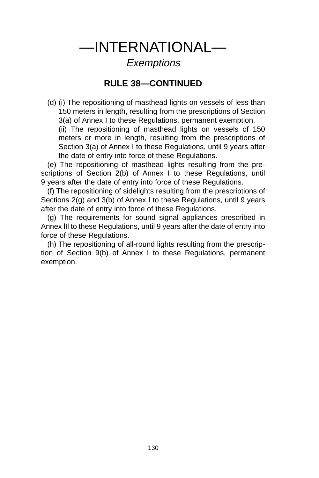### **Exemptions**

### **RULE 38—CONTINUED**

(d) (i) The repositioning of masthead lights on vessels of less than 150 meters in length, resulting from the prescriptions of Section 3(a) of Annex I to these Regulations, permanent exemption.

(ii) The repositioning of masthead lights on vessels of 150 meters or more in length, resulting from the prescriptions of Section 3(a) of Annex I to these Regulations, until 9 years after the date of entry into force of these Regulations.

(e) The repositioning of masthead lights resulting from the prescriptions of Section 2(b) of Annex I to these Regulations, until 9 years after the date of entry into force of these Regulations.

(f) The repositioning of sidelights resulting from the prescriptions of Sections 2(g) and 3(b) of Annex I to these Regulations, until 9 years after the date of entry into force of these Regulations.

(g) The requirements for sound signal appliances prescribed in Annex lIl to these Regulations, until 9 years after the date of entry into force of these Regulations.

(h) The repositioning of all-round lights resulting from the prescription of Section 9(b) of Annex I to these Regulations, permanent exemption.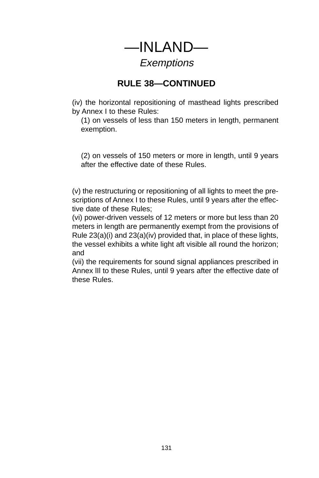—INLAND—

### **Exemptions**

#### **RULE 38—CONTINUED**

(iv) the horizontal repositioning of masthead lights prescribed by Annex I to these Rules:

(1) on vessels of less than 150 meters in length, permanent exemption.

(2) on vessels of 150 meters or more in length, until 9 years after the effective date of these Rules.

(v) the restructuring or repositioning of all lights to meet the prescriptions of Annex I to these Rules, until 9 years after the effective date of these Rules;

(vi) power-driven vessels of 12 meters or more but less than 20 meters in length are permanently exempt from the provisions of Rule 23(a)(i) and 23(a)(iv) provided that, in place of these lights, the vessel exhibits a white light aft visible all round the horizon; and

(vii) the requirements for sound signal appliances prescribed in Annex lIl to these Rules, until 9 years after the effective date of these Rules.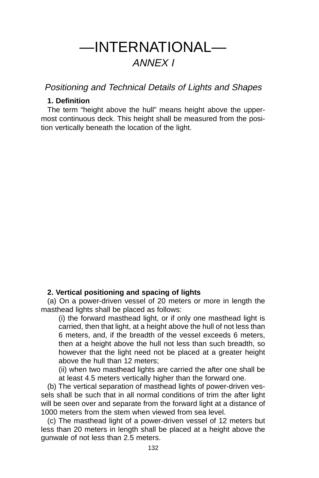## —INTERNATIONAL— ANNEX I

Positioning and Technical Details of Lights and Shapes

#### **1. Definition**

The term "height above the hull" means height above the uppermost continuous deck. This height shall be measured from the position vertically beneath the location of the light.

#### **2. Vertical positioning and spacing of lights**

(a) On a power-driven vessel of 20 meters or more in length the masthead lights shall be placed as follows:

(i) the forward masthead light, or if only one masthead light is carried, then that light, at a height above the hull of not less than 6 meters, and, if the breadth of the vessel exceeds 6 meters, then at a height above the hull not less than such breadth, so however that the light need not be placed at a greater height above the hull than 12 meters;

(ii) when two masthead lights are carried the after one shall be at least 4.5 meters vertically higher than the forward one.

(b) The vertical separation of masthead lights of power-driven vessels shall be such that in all normal conditions of trim the after light will be seen over and separate from the forward light at a distance of 1000 meters from the stem when viewed from sea level.

(c) The masthead light of a power-driven vessel of 12 meters but less than 20 meters in length shall be placed at a height above the gunwale of not less than 2.5 meters.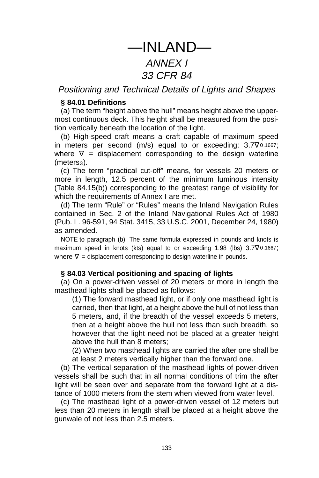—INLAND— ANNEX I 33 CFR 84

Positioning and Technical Details of Lights and Shapes

#### **§ 84.01 Definitions**

(a) The term "height above the hull" means height above the uppermost continuous deck. This height shall be measured from the position vertically beneath the location of the light.

(b) High-speed craft means a craft capable of maximum speed in meters per second (m/s) equal to or exceeding: 3.7∇0.1667; where  $\nabla$  = displacement corresponding to the design waterline  $(meters<sub>3</sub>)$ .

(c) The term "practical cut-off" means, for vessels 20 meters or more in length, 12.5 percent of the minimum luminous intensity (Table 84.15(b)) corresponding to the greatest range of visibility for which the requirements of Annex I are met.

(d) The term "Rule" or "Rules" means the Inland Navigation Rules contained in Sec. 2 of the Inland Navigational Rules Act of 1980 (Pub. L. 96-591, 94 Stat. 3415, 33 U.S.C. 2001, December 24, 1980) as amended.

NOTE to paragraph (b): The same formula expressed in pounds and knots is maximum speed in knots (kts) equal to or exceeding 1.98 (lbs) 3.7∇0.1667; where  $\nabla$  = displacement corresponding to design waterline in pounds.

#### **§ 84.03 Vertical positioning and spacing of lights**

(a) On a power-driven vessel of 20 meters or more in length the masthead lights shall be placed as follows:

(1) The forward masthead light, or if only one masthead light is carried, then that light, at a height above the hull of not less than 5 meters, and, if the breadth of the vessel exceeds 5 meters, then at a height above the hull not less than such breadth, so however that the light need not be placed at a greater height above the hull than 8 meters;

(2) When two masthead lights are carried the after one shall be at least 2 meters vertically higher than the forward one.

(b) The vertical separation of the masthead lights of power-driven vessels shall be such that in all normal conditions of trim the after light will be seen over and separate from the forward light at a distance of 1000 meters from the stem when viewed from water level.

(c) The masthead light of a power-driven vessel of 12 meters but less than 20 meters in length shall be placed at a height above the gunwale of not less than 2.5 meters.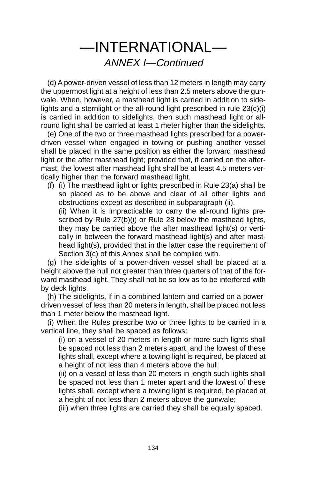## —INTERNATIONAL— ANNEX I—Continued

(d) A power-driven vessel of less than 12 meters in length may carry the uppermost light at a height of less than 2.5 meters above the gunwale. When, however, a masthead light is carried in addition to sidelights and a sternlight or the all-round light prescribed in rule 23(c)(i) is carried in addition to sidelights, then such masthead light or allround light shall be carried at least 1 meter higher than the sidelights.

(e) One of the two or three masthead lights prescribed for a powerdriven vessel when engaged in towing or pushing another vessel shall be placed in the same position as either the forward masthead light or the after masthead light; provided that, if carried on the aftermast, the lowest after masthead light shall be at least 4.5 meters vertically higher than the forward masthead light.

(f) (i) The masthead light or lights prescribed in Rule 23(a) shall be so placed as to be above and clear of all other lights and obstructions except as described in subparagraph (ii).

(ii) When it is impracticable to carry the all-round lights prescribed by Rule 27(b)(i) or Rule 28 below the masthead lights, they may be carried above the after masthead light(s) or vertically in between the forward masthead light(s) and after masthead light(s), provided that in the latter case the requirement of Section 3(c) of this Annex shall be complied with.

(g) The sidelights of a power-driven vessel shall be placed at a height above the hull not greater than three quarters of that of the forward masthead light. They shall not be so low as to be interfered with by deck lights.

(h) The sidelights, if in a combined lantern and carried on a powerdriven vessel of less than 20 meters in length, shall be placed not less than 1 meter below the masthead light.

(i) When the Rules prescribe two or three lights to be carried in a vertical line, they shall be spaced as follows:

(i) on a vessel of 20 meters in length or more such lights shall be spaced not less than 2 meters apart, and the lowest of these lights shall, except where a towing light is required, be placed at a height of not less than 4 meters above the hull;

(ii) on a vessel of less than 20 meters in length such lights shall be spaced not less than 1 meter apart and the lowest of these lights shall, except where a towing light is required, be placed at a height of not less than 2 meters above the gunwale;

(iii) when three lights are carried they shall be equally spaced.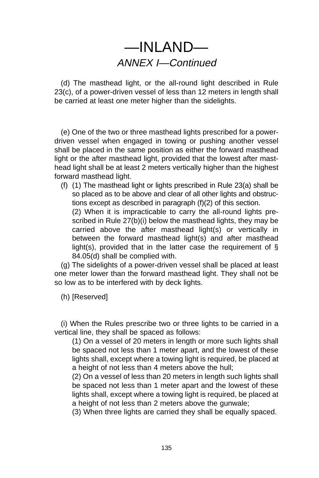# —INLAND— ANNEX I—Continued

(d) The masthead light, or the all-round light described in Rule 23(c), of a power-driven vessel of less than 12 meters in length shall be carried at least one meter higher than the sidelights.

(e) One of the two or three masthead lights prescribed for a powerdriven vessel when engaged in towing or pushing another vessel shall be placed in the same position as either the forward masthead light or the after masthead light, provided that the lowest after masthead light shall be at least 2 meters vertically higher than the highest forward masthead light.

(f) (1) The masthead light or lights prescribed in Rule 23(a) shall be so placed as to be above and clear of all other lights and obstructions except as described in paragraph (f)(2) of this section.

(2) When it is impracticable to carry the all-round lights prescribed in Rule 27(b)(i) below the masthead lights, they may be carried above the after masthead light(s) or vertically in between the forward masthead light(s) and after masthead light(s), provided that in the latter case the requirement of  $\S$ 84.05(d) shall be complied with.

(g) The sidelights of a power-driven vessel shall be placed at least one meter lower than the forward masthead light. They shall not be so low as to be interfered with by deck lights.

(h) [Reserved]

(i) When the Rules prescribe two or three lights to be carried in a vertical line, they shall be spaced as follows:

(1) On a vessel of 20 meters in length or more such lights shall be spaced not less than 1 meter apart, and the lowest of these lights shall, except where a towing light is required, be placed at a height of not less than 4 meters above the hull;

(2) On a vessel of less than 20 meters in length such lights shall be spaced not less than 1 meter apart and the lowest of these lights shall, except where a towing light is required, be placed at a height of not less than 2 meters above the gunwale;

(3) When three lights are carried they shall be equally spaced.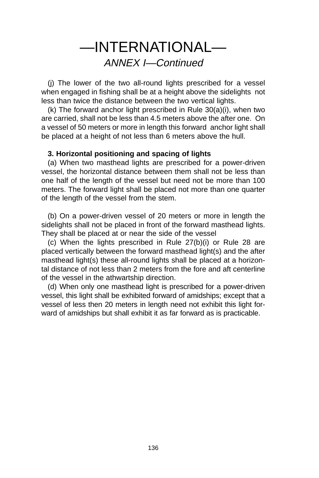# —INTERNATIONAL— ANNEX I—Continued

(j) The lower of the two all-round lights prescribed for a vessel when engaged in fishing shall be at a height above the sidelights not less than twice the distance between the two vertical lights.

(k) The forward anchor light prescribed in Rule 30(a)(i), when two are carried, shall not be less than 4.5 meters above the after one. On a vessel of 50 meters or more in length this forward anchor light shall be placed at a height of not less than 6 meters above the hull.

### **3. Horizontal positioning and spacing of lights**

(a) When two masthead lights are prescribed for a power-driven vessel, the horizontal distance between them shall not be less than one half of the length of the vessel but need not be more than 100 meters. The forward light shall be placed not more than one quarter of the length of the vessel from the stem.

(b) On a power-driven vessel of 20 meters or more in length the sidelights shall not be placed in front of the forward masthead lights. They shall be placed at or near the side of the vessel

(c) When the lights prescribed in Rule 27(b)(i) or Rule 28 are placed vertically between the forward masthead light(s) and the after masthead light(s) these all-round lights shall be placed at a horizontal distance of not less than 2 meters from the fore and aft centerline of the vessel in the athwartship direction.

(d) When only one masthead light is prescribed for a power-driven vessel, this light shall be exhibited forward of amidships; except that a vessel of less then 20 meters in length need not exhibit this light forward of amidships but shall exhibit it as far forward as is practicable.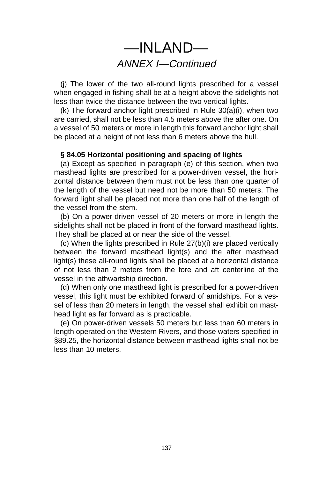# —INLAND— ANNEX I—Continued

(j) The lower of the two all-round lights prescribed for a vessel when engaged in fishing shall be at a height above the sidelights not less than twice the distance between the two vertical lights.

(k) The forward anchor light prescribed in Rule 30(a)(i), when two are carried, shall not be less than 4.5 meters above the after one. On a vessel of 50 meters or more in length this forward anchor light shall be placed at a height of not less than 6 meters above the hull.

#### **§ 84.05 Horizontal positioning and spacing of lights**

(a) Except as specified in paragraph (e) of this section, when two masthead lights are prescribed for a power-driven vessel, the horizontal distance between them must not be less than one quarter of the length of the vessel but need not be more than 50 meters. The forward light shall be placed not more than one half of the length of the vessel from the stem.

(b) On a power-driven vessel of 20 meters or more in length the sidelights shall not be placed in front of the forward masthead lights. They shall be placed at or near the side of the vessel.

(c) When the lights prescribed in Rule 27(b)(i) are placed vertically between the forward masthead light(s) and the after masthead light(s) these all-round lights shall be placed at a horizontal distance of not less than 2 meters from the fore and aft centerline of the vessel in the athwartship direction.

(d) When only one masthead light is prescribed for a power-driven vessel, this light must be exhibited forward of amidships. For a vessel of less than 20 meters in length, the vessel shall exhibit on masthead light as far forward as is practicable.

(e) On power-driven vessels 50 meters but less than 60 meters in length operated on the Western Rivers, and those waters specified in §89.25, the horizontal distance between masthead lights shall not be less than 10 meters.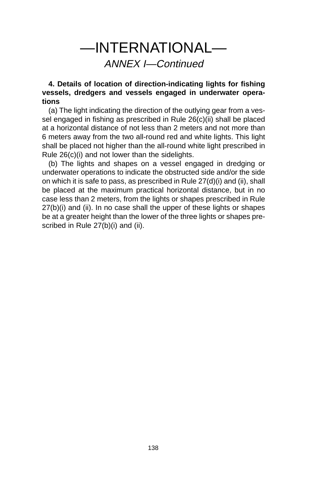# —INTERNATIONAL— ANNEX I—Continued

**4. Details of location of direction-indicating lights for fishing vessels, dredgers and vessels engaged in underwater operations**

(a) The light indicating the direction of the outlying gear from a vessel engaged in fishing as prescribed in Rule 26(c)(ii) shall be placed at a horizontal distance of not less than 2 meters and not more than 6 meters away from the two all-round red and white lights. This light shall be placed not higher than the all-round white light prescribed in Rule 26(c)(i) and not lower than the sidelights.

(b) The lights and shapes on a vessel engaged in dredging or underwater operations to indicate the obstructed side and/or the side on which it is safe to pass, as prescribed in Rule 27(d)(i) and (ii), shall be placed at the maximum practical horizontal distance, but in no case less than 2 meters, from the lights or shapes prescribed in Rule 27(b)(i) and (ii). In no case shall the upper of these lights or shapes be at a greater height than the lower of the three lights or shapes prescribed in Rule 27(b)(i) and (ii).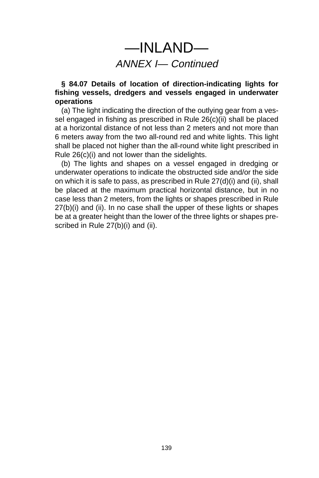

**§ 84.07 Details of location of direction-indicating lights for fishing vessels, dredgers and vessels engaged in underwater operations**

(a) The light indicating the direction of the outlying gear from a vessel engaged in fishing as prescribed in Rule 26(c)(ii) shall be placed at a horizontal distance of not less than 2 meters and not more than 6 meters away from the two all-round red and white lights. This light shall be placed not higher than the all-round white light prescribed in Rule 26(c)(i) and not lower than the sidelights.

(b) The lights and shapes on a vessel engaged in dredging or underwater operations to indicate the obstructed side and/or the side on which it is safe to pass, as prescribed in Rule 27(d)(i) and (ii), shall be placed at the maximum practical horizontal distance, but in no case less than 2 meters, from the lights or shapes prescribed in Rule 27(b)(i) and (ii). In no case shall the upper of these lights or shapes be at a greater height than the lower of the three lights or shapes prescribed in Rule 27(b)(i) and (ii).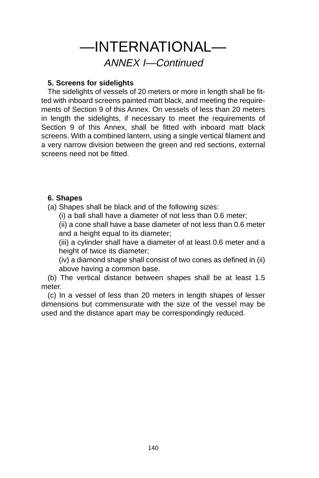# —INTERNATIONAL— ANNEX I—Continued

### **5. Screens for sidelights**

The sidelights of vessels of 20 meters or more in length shall be fitted with inboard screens painted matt black, and meeting the requirements of Section 9 of this Annex. On vessels of less than 20 meters in length the sidelights, if necessary to meet the requirements of Section 9 of this Annex, shall be fitted with inboard matt black screens. With a combined lantern, using a single vertical filament and a very narrow division between the green and red sections, external screens need not be fitted.

### **6. Shapes**

(a) Shapes shall be black and of the following sizes:

(i) a ball shall have a diameter of not less than 0.6 meter;

(ii) a cone shall have a base diameter of not less than 0.6 meter and a height equal to its diameter:

(iii) a cylinder shall have a diameter of at least 0.6 meter and a height of twice its diameter;

(iv) a diamond shape shall consist of two cones as defined in (ii) above having a common base.

(b) The vertical distance between shapes shall be at least 1.5 meter.

(c) In a vessel of less than 20 meters in length shapes of lesser dimensions but commensurate with the size of the vessel may be used and the distance apart may be correspondingly reduced.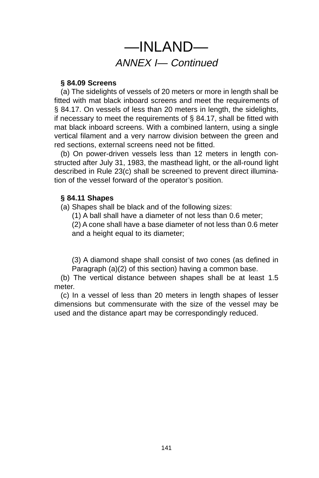# —INLAND— ANNEX I— Continued

#### **§ 84.09 Screens**

(a) The sidelights of vessels of 20 meters or more in length shall be fitted with mat black inboard screens and meet the requirements of § 84.17. On vessels of less than 20 meters in length, the sidelights, if necessary to meet the requirements of  $\S$  84.17, shall be fitted with mat black inboard screens. With a combined lantern, using a single vertical filament and a very narrow division between the green and red sections, external screens need not be fitted.

(b) On power-driven vessels less than 12 meters in length constructed after July 31, 1983, the masthead light, or the all-round light described in Rule 23(c) shall be screened to prevent direct illumination of the vessel forward of the operator's position.

#### **§ 84.11 Shapes**

(a) Shapes shall be black and of the following sizes:

(1) A ball shall have a diameter of not less than 0.6 meter;

(2) A cone shall have a base diameter of not less than 0.6 meter and a height equal to its diameter;

(3) A diamond shape shall consist of two cones (as defined in Paragraph (a)(2) of this section) having a common base.

(b) The vertical distance between shapes shall be at least 1.5 meter.

(c) In a vessel of less than 20 meters in length shapes of lesser dimensions but commensurate with the size of the vessel may be used and the distance apart may be correspondingly reduced.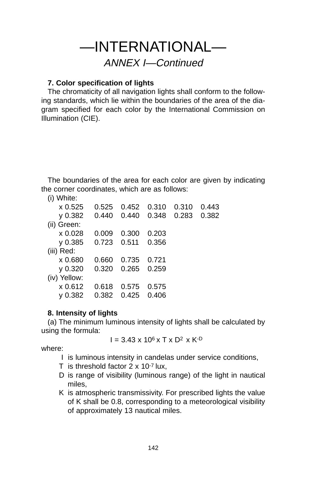# —INTERNATIONAL— ANNEX I—Continued

### **7. Color specification of lights**

The chromaticity of all navigation lights shall conform to the following standards, which lie within the boundaries of the area of the diagram specified for each color by the International Commission on Illumination (CIE).

The boundaries of the area for each color are given by indicating the corner coordinates, which are as follows:

| (i) White: |
|------------|
|------------|

| x 0.525      | 0.525 | 0.452 | 0.310 | 0.310 | 0.443 |
|--------------|-------|-------|-------|-------|-------|
| y 0.382      | 0.440 | 0.440 | 0.348 | 0.283 | 0.382 |
| (ii) Green:  |       |       |       |       |       |
| x 0.028      | 0.009 | 0.300 | 0.203 |       |       |
| y 0.385      | 0.723 | 0.511 | 0.356 |       |       |
| (iii) Red:   |       |       |       |       |       |
| x 0.680      | 0.660 | 0.735 | 0.721 |       |       |
| y 0.320      | 0.320 | 0.265 | 0.259 |       |       |
| (iv) Yellow: |       |       |       |       |       |
| x 0.612      | 0.618 | 0.575 | 0.575 |       |       |
| v 0.382      | 0.382 | 0.425 | 0.406 |       |       |
|              |       |       |       |       |       |

### **8. Intensity of lights**

(a) The minimum luminous intensity of lights shall be calculated by using the formula:

$$
I = 3.43 \times 10^6 \times T \times D^2 \times K^{-D}
$$

where:

- I is luminous intensity in candelas under service conditions,
- T is threshold factor  $2 \times 10^{-7}$  lux,
- D is range of visibility (luminous range) of the light in nautical miles,
- K is atmospheric transmissivity. For prescribed lights the value of K shall be 0.8, corresponding to a meteorological visibility of approximately 13 nautical miles.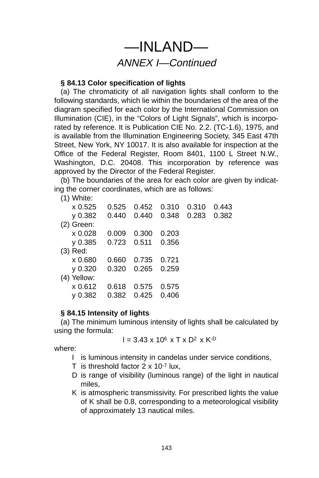# —INLAND— ANNEX I—Continued

### **§ 84.13 Color specification of lights**

(a) The chromaticity of all navigation lights shall conform to the following standards, which lie within the boundaries of the area of the diagram specified for each color by the International Commission on Illumination (CIE), in the "Colors of Light Signals", which is incorporated by reference. It is Publication CIE No. 2.2. (TC-1.6), 1975, and is available from the Illumination Engineering Society, 345 East 47th Street, New York, NY 10017. It is also available for inspection at the Office of the Federal Register, Room 8401, 1100 L Street N.W., Washington, D.C. 20408. This incorporation by reference was approved by the Director of the Federal Register.

(b) The boundaries of the area for each color are given by indicating the corner coordinates, which are as follows:

(1) White:

| $x$ 0.525    | 0.525 | 0.452 | 0.310                   | 0.310 | 0.443 |
|--------------|-------|-------|-------------------------|-------|-------|
| y 0.382      | 0.440 |       | $0.440$ $0.348$ $0.283$ |       | 0.382 |
| $(2)$ Green: |       |       |                         |       |       |
| x 0.028      | 0.009 | 0.300 | 0.203                   |       |       |
| y 0.385      | 0.723 | 0.511 | 0.356                   |       |       |
| $(3)$ Red:   |       |       |                         |       |       |
| x 0.680      | 0.660 | 0.735 | 0.721                   |       |       |
| y 0.320      | 0.320 | 0.265 | 0.259                   |       |       |
| (4) Yellow:  |       |       |                         |       |       |
| x0.612       | 0.618 | 0.575 | 0.575                   |       |       |
| y 0.382      | 0.382 | 0.425 | 0.406                   |       |       |
|              |       |       |                         |       |       |

### **§ 84.15 Intensity of lights**

(a) The minimum luminous intensity of lights shall be calculated by using the formula:

$$
I = 3.43 \times 10^6 \times T \times D^2 \times K^{-D}
$$

where:

- I is luminous intensity in candelas under service conditions,
- T is threshold factor  $2 \times 10^{-7}$  lux,
- D is range of visibility (luminous range) of the light in nautical miles,
- K is atmospheric transmissivity. For prescribed lights the value of K shall be 0.8, corresponding to a meteorological visibility of approximately 13 nautical miles.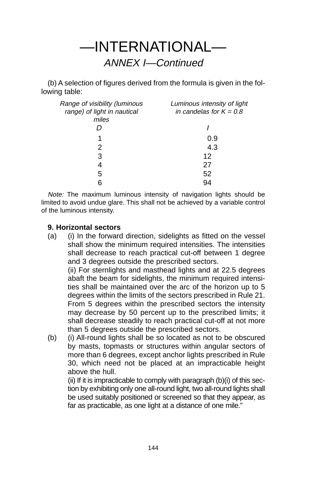—INTERNATIONAL— ANNEX I—Continued

(b) A selection of figures derived from the formula is given in the following table:

| Range of visibility (luminous | Luminous intensity of light |  |  |  |
|-------------------------------|-----------------------------|--|--|--|
| range) of light in nautical   | in candelas for $K = 0.8$   |  |  |  |
| miles                         |                             |  |  |  |
|                               |                             |  |  |  |
|                               | 0.9                         |  |  |  |
| 2                             | 4.3                         |  |  |  |
| 3                             | 12                          |  |  |  |
|                               | 27                          |  |  |  |
| 5                             | 52                          |  |  |  |
|                               | 94                          |  |  |  |

Note: The maximum luminous intensity of navigation lights should be limited to avoid undue glare. This shall not be achieved by a variable control of the luminous intensity.

#### **9. Horizontal sectors**

(a) (i) In the forward direction, sidelights as fitted on the vessel shall show the minimum required intensities. The intensities shall decrease to reach practical cut-off between 1 degree and 3 degrees outside the prescribed sectors.

(ii) For sternlights and masthead lights and at 22.5 degrees abaft the beam for sidelights, the minimum required intensities shall be maintained over the arc of the horizon up to 5 degrees within the limits of the sectors prescribed in Rule 21. From 5 degrees within the prescribed sectors the intensity may decrease by 50 percent up to the prescribed limits; it shall decrease steadily to reach practical cut-off at not more than 5 degrees outside the prescribed sectors.

(b) (i) All-round lights shall be so located as not to be obscured by masts, topmasts or structures within angular sectors of more than 6 degrees, except anchor lights prescribed in Rule 30, which need not be placed at an impracticable height above the hull.

(ii) If it is impracticable to comply with paragraph (b)(i) of this section by exhibiting only one all-round light, two all-round lights shall be used suitably positioned or screened so that they appear, as far as practicable, as one light at a distance of one mile."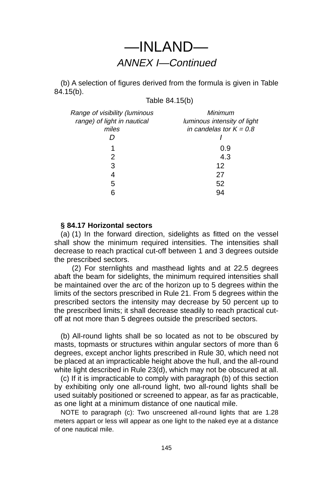# —INLAND— ANNEX I—Continued

(b) A selection of figures derived from the formula is given in Table 84.15(b).

#### Table 84.15(b)

| Range of visibility (luminous | Minimum                     |
|-------------------------------|-----------------------------|
| range) of light in nautical   | luminous intensity of light |
| miles                         | in candelas tor $K = 0.8$   |
|                               |                             |
|                               | 0.9                         |
| 2                             | 4.3                         |
| 3                             | 12                          |
| 4                             | 27                          |
| 5                             | 52                          |
| 6                             | 94                          |
|                               |                             |

#### **§ 84.17 Horizontal sectors**

(a) (1) In the forward direction, sidelights as fitted on the vessel shall show the minimum required intensities. The intensities shall decrease to reach practical cut-off between 1 and 3 degrees outside the prescribed sectors.

(2) For sternlights and masthead lights and at 22.5 degrees abaft the beam for sidelights, the minimum required intensities shall be maintained over the arc of the horizon up to 5 degrees within the limits of the sectors prescribed in Rule 21. From 5 degrees within the prescribed sectors the intensity may decrease by 50 percent up to the prescribed limits; it shall decrease steadily to reach practical cutoff at not more than 5 degrees outside the prescribed sectors.

(b) All-round lights shall be so located as not to be obscured by masts, topmasts or structures within angular sectors of more than 6 degrees, except anchor lights prescribed in Rule 30, which need not be placed at an impracticable height above the hull, and the all-round white light described in Rule 23(d), which may not be obscured at all.

(c) If it is impracticable to comply with paragraph (b) of this section by exhibiting only one all-round light, two all-round lights shall be used suitably positioned or screened to appear, as far as practicable, as one light at a minimum distance of one nautical mile.

NOTE to paragraph (c): Two unscreened all-round lights that are 1.28 meters appart or less will appear as one light to the naked eye at a distance of one nautical mile.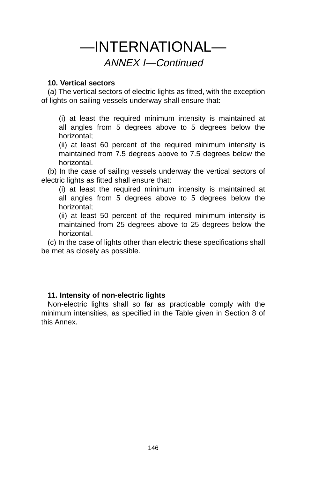# —INTERNATIONAL— ANNEX I—Continued

### **10. Vertical sectors**

(a) The vertical sectors of electric lights as fitted, with the exception of lights on sailing vessels underway shall ensure that:

(i) at least the required minimum intensity is maintained at all angles from 5 degrees above to 5 degrees below the horizontal;

(ii) at least 60 percent of the required minimum intensity is maintained from 7.5 degrees above to 7.5 degrees below the horizontal.

(b) In the case of sailing vessels underway the vertical sectors of electric lights as fitted shall ensure that:

(i) at least the required minimum intensity is maintained at all angles from 5 degrees above to 5 degrees below the horizontal;

(ii) at least 50 percent of the required minimum intensity is maintained from 25 degrees above to 25 degrees below the horizontal.

(c) In the case of lights other than electric these specifications shall be met as closely as possible.

### **11. Intensity of non-electric lights**

Non-electric lights shall so far as practicable comply with the minimum intensities, as specified in the Table given in Section 8 of this Annex.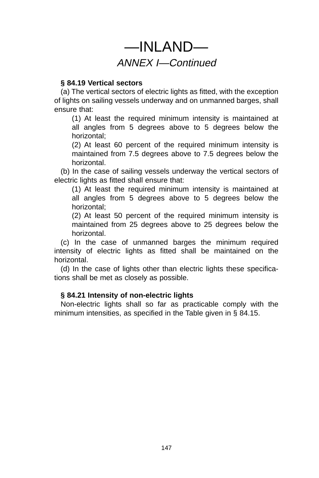# —INLAND— ANNEX I—Continued

#### **§ 84.19 Vertical sectors**

(a) The vertical sectors of electric lights as fitted, with the exception of lights on sailing vessels underway and on unmanned barges, shall ensure that:

(1) At least the required minimum intensity is maintained at all angles from 5 degrees above to 5 degrees below the horizontal;

(2) At least 60 percent of the required minimum intensity is maintained from 7.5 degrees above to 7.5 degrees below the horizontal.

(b) In the case of sailing vessels underway the vertical sectors of electric lights as fitted shall ensure that:

(1) At least the required minimum intensity is maintained at all angles from 5 degrees above to 5 degrees below the horizontal;

(2) At least 50 percent of the required minimum intensity is maintained from 25 degrees above to 25 degrees below the horizontal.

(c) In the case of unmanned barges the minimum required intensity of electric lights as fitted shall be maintained on the horizontal.

(d) In the case of lights other than electric lights these specifications shall be met as closely as possible.

#### **§ 84.21 Intensity of non-electric lights**

Non-electric lights shall so far as practicable comply with the minimum intensities, as specified in the Table given in § 84.15.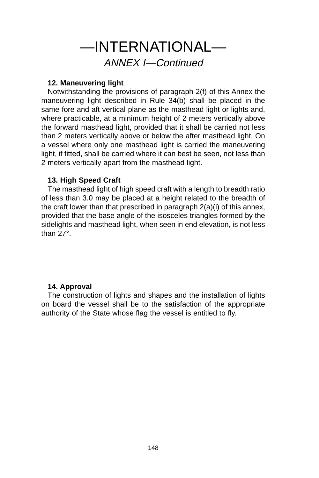# —INTERNATIONAL— ANNEX I—Continued

### **12. Maneuvering light**

Notwithstanding the provisions of paragraph 2(f) of this Annex the maneuvering light described in Rule 34(b) shall be placed in the same fore and aft vertical plane as the masthead light or lights and, where practicable, at a minimum height of 2 meters vertically above the forward masthead light, provided that it shall be carried not less than 2 meters vertically above or below the after masthead light. On a vessel where only one masthead light is carried the maneuvering light, if fitted, shall be carried where it can best be seen, not less than 2 meters vertically apart from the masthead light.

### **13. High Speed Craft**

The masthead light of high speed craft with a length to breadth ratio of less than 3.0 may be placed at a height related to the breadth of the craft lower than that prescribed in paragraph 2(a)(i) of this annex, provided that the base angle of the isosceles triangles formed by the sidelights and masthead light, when seen in end elevation, is not less than 27°.

### **14. Approval**

The construction of lights and shapes and the installation of lights on board the vessel shall be to the satisfaction of the appropriate authority of the State whose flag the vessel is entitled to fly.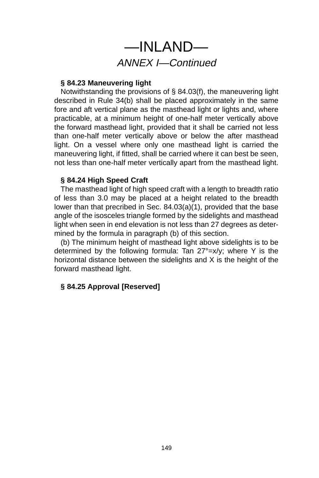# —INLAND— ANNEX I—Continued

#### **§ 84.23 Maneuvering light**

Notwithstanding the provisions of § 84.03(f), the maneuvering light described in Rule 34(b) shall be placed approximately in the same fore and aft vertical plane as the masthead light or lights and, where practicable, at a minimum height of one-half meter vertically above the forward masthead light, provided that it shall be carried not less than one-half meter vertically above or below the after masthead light. On a vessel where only one masthead light is carried the maneuvering light, if fitted, shall be carried where it can best be seen, not less than one-half meter vertically apart from the masthead light.

#### **§ 84.24 High Speed Craft**

The masthead light of high speed craft with a length to breadth ratio of less than 3.0 may be placed at a height related to the breadth lower than that precribed in Sec. 84.03(a)(1), provided that the base angle of the isosceles triangle formed by the sidelights and masthead light when seen in end elevation is not less than 27 degrees as determined by the formula in paragraph (b) of this section.

(b) The minimum height of masthead light above sidelights is to be determined by the following formula: Tan  $27^\circ = x/y$ ; where Y is the horizontal distance between the sidelights and X is the height of the forward masthead light.

### **§ 84.25 Approval [Reserved]**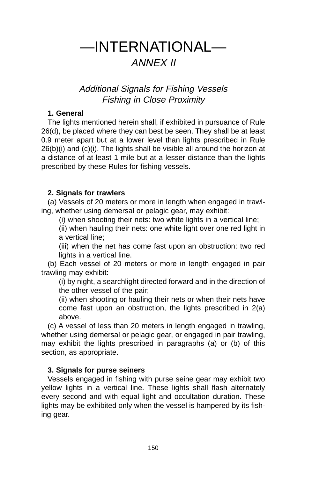# —INTERNATIONAL— ANNEX II

# Additional Signals for Fishing Vessels Fishing in Close Proximity

### **1. General**

The lights mentioned herein shall, if exhibited in pursuance of Rule 26(d), be placed where they can best be seen. They shall be at least 0.9 meter apart but at a lower level than lights prescribed in Rule 26(b)(i) and (c)(i). The lights shall be visible all around the horizon at a distance of at least 1 mile but at a lesser distance than the lights prescribed by these Rules for fishing vessels.

### **2. Signals for trawlers**

(a) Vessels of 20 meters or more in length when engaged in trawling, whether using demersal or pelagic gear, may exhibit:

(i) when shooting their nets: two white lights in a vertical line;

(ii) when hauling their nets: one white light over one red light in a vertical line;

(iii) when the net has come fast upon an obstruction: two red lights in a vertical line.

(b) Each vessel of 20 meters or more in length engaged in pair trawling may exhibit:

(i) by night, a searchlight directed forward and in the direction of the other vessel of the pair;

(ii) when shooting or hauling their nets or when their nets have come fast upon an obstruction, the lights prescribed in 2(a) above.

(c) A vessel of less than 20 meters in length engaged in trawling, whether using demersal or pelagic gear, or engaged in pair trawling, may exhibit the lights prescribed in paragraphs (a) or (b) of this section, as appropriate.

### **3. Signals for purse seiners**

Vessels engaged in fishing with purse seine gear may exhibit two yellow lights in a vertical line. These lights shall flash alternately every second and with equal light and occultation duration. These lights may be exhibited only when the vessel is hampered by its fishing gear.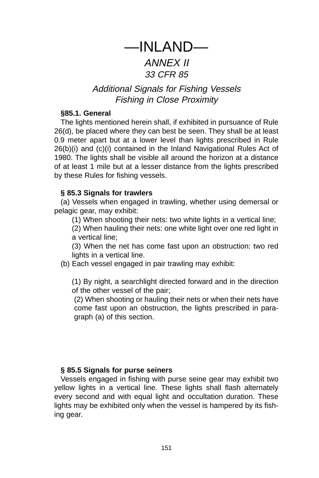

Additional Signals for Fishing Vessels Fishing in Close Proximity

#### **§85.1. General**

The lights mentioned herein shall, if exhibited in pursuance of Rule 26(d), be placed where they can best be seen. They shall be at least 0.9 meter apart but at a lower level than lights prescribed in Rule 26(b)(i) and (c)(i) contained in the Inland Navigational Rules Act of 1980. The lights shall be visible all around the horizon at a distance of at least 1 mile but at a lesser distance from the lights prescribed by these Rules for fishing vessels.

#### **§ 85.3 Signals for trawlers**

(a) Vessels when engaged in trawling, whether using demersal or pelagic gear, may exhibit:

(1) When shooting their nets: two white lights in a vertical line;

(2) When hauling their nets: one white light over one red light in a vertical line;

(3) When the net has come fast upon an obstruction: two red lights in a vertical line.

(b) Each vessel engaged in pair trawling may exhibit:

(1) By night, a searchlight directed forward and in the direction of the other vessel of the pair;

(2) When shooting or hauling their nets or when their nets have come fast upon an obstruction, the lights prescribed in paragraph (a) of this section.

#### **§ 85.5 Signals for purse seiners**

Vessels engaged in fishing with purse seine gear may exhibit two yellow lights in a vertical line. These lights shall flash alternately every second and with equal light and occultation duration. These lights may be exhibited only when the vessel is hampered by its fishing gear.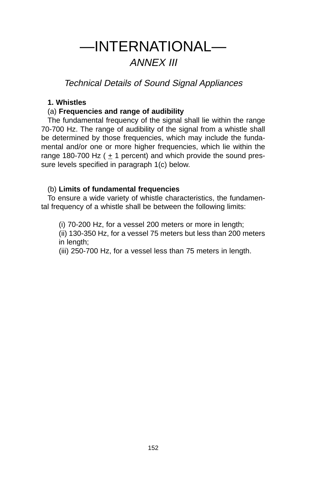# —INTERNATIONAL— ANNEX III

# Technical Details of Sound Signal Appliances

### **1. Whistles**

## (a) **Frequencies and range of audibility**

The fundamental frequency of the signal shall lie within the range 70-700 Hz. The range of audibility of the signal from a whistle shall be determined by those frequencies, which may include the fundamental and/or one or more higher frequencies, which lie within the range 180-700 Hz ( $\pm$  1 percent) and which provide the sound pressure levels specified in paragraph 1(c) below.

### (b) **Limits of fundamental frequencies**

To ensure a wide variety of whistle characteristics, the fundamental frequency of a whistle shall be between the following limits:

(i) 70-200 Hz, for a vessel 200 meters or more in length;

(ii) 130-350 Hz, for a vessel 75 meters but less than 200 meters in length;

(iii) 250-700 Hz, for a vessel less than 75 meters in length.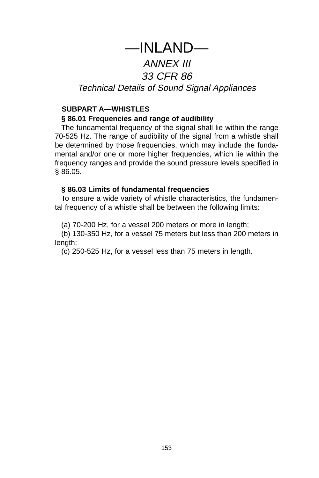

# ANNEX III 33 CFR 86 Technical Details of Sound Signal Appliances

### **SUBPART A—WHISTLES**

#### **§ 86.01 Frequencies and range of audibility**

The fundamental frequency of the signal shall lie within the range 70-525 Hz. The range of audibility of the signal from a whistle shall be determined by those frequencies, which may include the fundamental and/or one or more higher frequencies, which lie within the frequency ranges and provide the sound pressure levels specified in § 86.05.

#### **§ 86.03 Limits of fundamental frequencies**

To ensure a wide variety of whistle characteristics, the fundamental frequency of a whistle shall be between the following limits:

(a) 70-200 Hz, for a vessel 200 meters or more in length;

(b) 130-350 Hz, for a vessel 75 meters but less than 200 meters in length;

(c) 250-525 Hz, for a vessel less than 75 meters in length.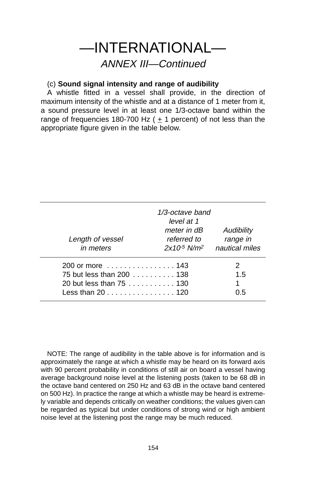# —INTERNATIONAL— ANNEX III—Continued

### (c) **Sound signal intensity and range of audibility**

A whistle fitted in a vessel shall provide, in the direction of maximum intensity of the whistle and at a distance of 1 meter from it, a sound pressure level in at least one 1/3-octave band within the range of frequencies 180-700 Hz  $( + 1$  percent) of not less than the appropriate figure given in the table below.

| Length of vessel<br>in meters                                                                 | 1/3-octave band<br>level at 1<br>meter in dB<br>referred to<br>$2x10^{-5}$ N/m <sup>2</sup> | Audibility<br>range in<br>nautical miles |
|-----------------------------------------------------------------------------------------------|---------------------------------------------------------------------------------------------|------------------------------------------|
| 200 or more  143<br>75 but less than 200 138<br>20 but less than 75 130<br>Less than $20$ 120 |                                                                                             | 1.5<br>በ 5                               |

NOTE: The range of audibility in the table above is for information and is approximately the range at which a whistle may be heard on its forward axis with 90 percent probability in conditions of still air on board a vessel having average background noise level at the listening posts (taken to be 68 dB in the octave band centered on 250 Hz and 63 dB in the octave band centered on 500 Hz). In practice the range at which a whistle may be heard is extremely variable and depends critically on weather conditions; the values given can be regarded as typical but under conditions of strong wind or high ambient noise level at the listening post the range may be much reduced.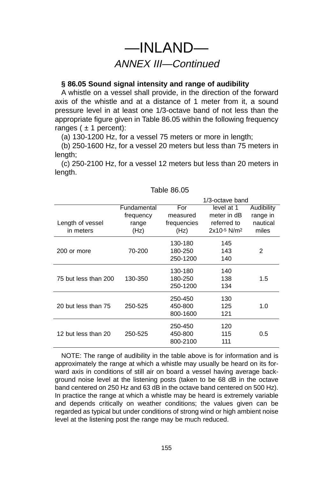# —INLAND— ANNEX III—Continued

### **§ 86.05 Sound signal intensity and range of audibility**

A whistle on a vessel shall provide, in the direction of the forward axis of the whistle and at a distance of 1 meter from it, a sound pressure level in at least one 1/3-octave band of not less than the appropriate figure given in Table 86.05 within the following frequency ranges  $(± 1$  percent):

(a) 130-1200 Hz, for a vessel 75 meters or more in length;

(b) 250-1600 Hz, for a vessel 20 meters but less than 75 meters in length;

(c) 250-2100 Hz, for a vessel 12 meters but less than 20 meters in length.

|                      |             | 1/3-octave band |                              |            |
|----------------------|-------------|-----------------|------------------------------|------------|
|                      | Fundamental | For             | level at 1                   | Audibility |
|                      | frequency   | measured        | meter in dB                  | range in   |
| Length of vessel     | range       | frequencies     | referred to                  | nautical   |
| in meters            | (Hz)        | (Hz)            | $2x10^{-5}$ N/m <sup>2</sup> | miles      |
|                      |             | 130-180         | 145                          |            |
| 200 or more          | 70-200      | 180-250         | 143                          | 2          |
|                      |             | 250-1200        | 140                          |            |
|                      |             | 130-180         | 140                          |            |
| 75 but less than 200 | 130-350     | 180-250         | 138                          | 1.5        |
|                      |             | 250-1200        | 134                          |            |
|                      |             | 250-450         | 130                          |            |
| 20 but less than 75  | 250-525     | 450-800         | 125                          | 1.0        |
|                      |             | 800-1600        | 121                          |            |
|                      |             | 250-450         | 120                          |            |
| 12 but less than 20  | 250-525     | 450-800         | 115                          | 0.5        |
|                      |             | 800-2100        | 111                          |            |

Table 86.05

NOTE: The range of audibility in the table above is for information and is approximately the range at which a whistle may usually be heard on its forward axis in conditions of still air on board a vessel having average background noise level at the listening posts (taken to be 68 dB in the octave band centered on 250 Hz and 63 dB in the octave band centered on 500 Hz). In practice the range at which a whistle may be heard is extremely variable and depends critically on weather conditions; the values given can be regarded as typical but under conditions of strong wind or high ambient noise level at the listening post the range may be much reduced.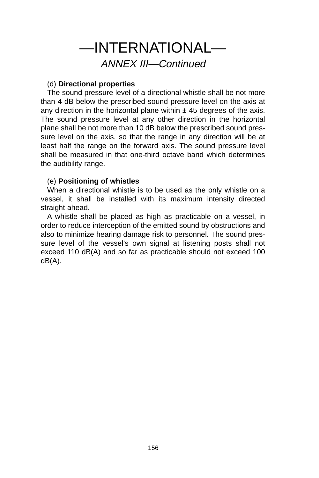# —INTERNATIONAL— ANNEX III—Continued

#### (d) **Directional properties**

The sound pressure level of a directional whistle shall be not more than 4 dB below the prescribed sound pressure level on the axis at any direction in the horizontal plane within  $\pm$  45 degrees of the axis. The sound pressure level at any other direction in the horizontal plane shall be not more than 10 dB below the prescribed sound pressure level on the axis, so that the range in any direction will be at least half the range on the forward axis. The sound pressure level shall be measured in that one-third octave band which determines the audibility range.

### (e) **Positioning of whistles**

When a directional whistle is to be used as the only whistle on a vessel, it shall be installed with its maximum intensity directed straight ahead.

A whistle shall be placed as high as practicable on a vessel, in order to reduce interception of the emitted sound by obstructions and also to minimize hearing damage risk to personnel. The sound pressure level of the vessel's own signal at listening posts shall not exceed 110 dB(A) and so far as practicable should not exceed 100 dB(A).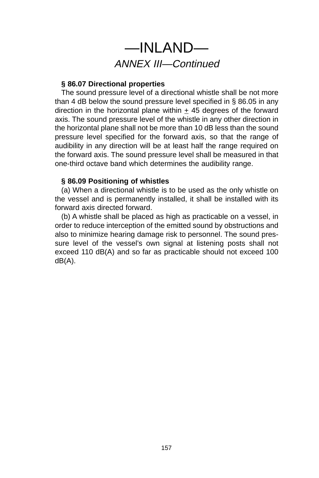# $-$ INI AND $-$ ANNEX III—Continued

#### **§ 86.07 Directional properties**

The sound pressure level of a directional whistle shall be not more than 4 dB below the sound pressure level specified in § 86.05 in any direction in the horizontal plane within  $+45$  degrees of the forward axis. The sound pressure level of the whistle in any other direction in the horizontal plane shall not be more than 10 dB less than the sound pressure level specified for the forward axis, so that the range of audibility in any direction will be at least half the range required on the forward axis. The sound pressure level shall be measured in that one-third octave band which determines the audibility range.

#### **§ 86.09 Positioning of whistles**

(a) When a directional whistle is to be used as the only whistle on the vessel and is permanently installed, it shall be installed with its forward axis directed forward.

(b) A whistle shall be placed as high as practicable on a vessel, in order to reduce interception of the emitted sound by obstructions and also to minimize hearing damage risk to personnel. The sound pressure level of the vessel's own signal at listening posts shall not exceed 110 dB(A) and so far as practicable should not exceed 100 dB(A).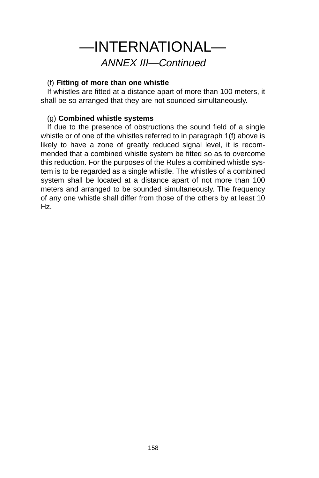# —INTERNATIONAL— ANNEX III—Continued

### (f) **Fitting of more than one whistle**

If whistles are fitted at a distance apart of more than 100 meters, it shall be so arranged that they are not sounded simultaneously.

### (g) **Combined whistle systems**

If due to the presence of obstructions the sound field of a single whistle or of one of the whistles referred to in paragraph 1(f) above is likely to have a zone of greatly reduced signal level, it is recommended that a combined whistle system be fitted so as to overcome this reduction. For the purposes of the Rules a combined whistle system is to be regarded as a single whistle. The whistles of a combined system shall be located at a distance apart of not more than 100 meters and arranged to be sounded simultaneously. The frequency of any one whistle shall differ from those of the others by at least 10 Hz.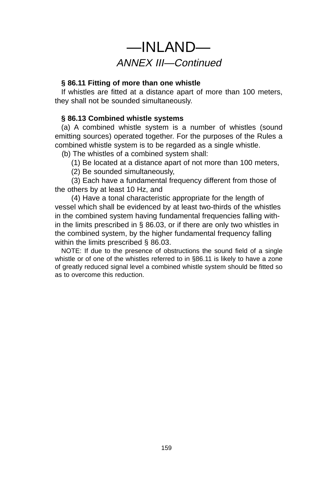# —INLAND— ANNEX III—Continued

### **§ 86.11 Fitting of more than one whistle**

If whistles are fitted at a distance apart of more than 100 meters, they shall not be sounded simultaneously.

#### **§ 86.13 Combined whistle systems**

(a) A combined whistle system is a number of whistles (sound emitting sources) operated together. For the purposes of the Rules a combined whistle system is to be regarded as a single whistle.

(b) The whistles of a combined system shall:

(1) Be located at a distance apart of not more than 100 meters,

(2) Be sounded simultaneously,

(3) Each have a fundamental frequency different from those of the others by at least 10 Hz, and

(4) Have a tonal characteristic appropriate for the length of vessel which shall be evidenced by at least two-thirds of the whistles in the combined system having fundamental frequencies falling within the limits prescribed in § 86.03, or if there are only two whistles in the combined system, by the higher fundamental frequency falling within the limits prescribed § 86.03.

NOTE: If due to the presence of obstructions the sound field of a single whistle or of one of the whistles referred to in §86.11 is likely to have a zone of greatly reduced signal level a combined whistle system should be fitted so as to overcome this reduction.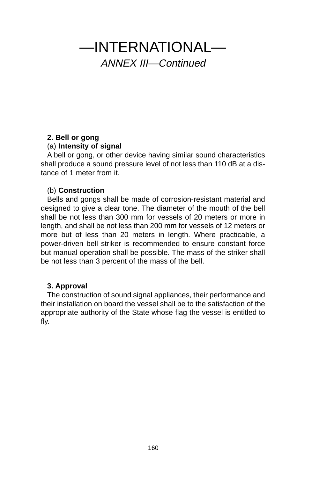# —INTERNATIONAL— ANNEX III—Continued

### **2. Bell or gong**

#### (a) **Intensity of signal**

A bell or gong, or other device having similar sound characteristics shall produce a sound pressure level of not less than 110 dB at a distance of 1 meter from it.

### (b) **Construction**

Bells and gongs shall be made of corrosion-resistant material and designed to give a clear tone. The diameter of the mouth of the bell shall be not less than 300 mm for vessels of 20 meters or more in length, and shall be not less than 200 mm for vessels of 12 meters or more but of less than 20 meters in length. Where practicable, a power-driven bell striker is recommended to ensure constant force but manual operation shall be possible. The mass of the striker shall be not less than 3 percent of the mass of the bell.

### **3. Approval**

The construction of sound signal appliances, their performance and their installation on board the vessel shall be to the satisfaction of the appropriate authority of the State whose flag the vessel is entitled to fly.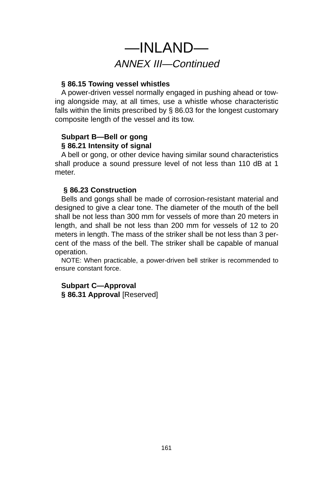# $-$ INI AND $-$ ANNEX III—Continued

#### **§ 86.15 Towing vessel whistles**

A power-driven vessel normally engaged in pushing ahead or towing alongside may, at all times, use a whistle whose characteristic falls within the limits prescribed by § 86.03 for the longest customary composite length of the vessel and its tow.

## **Subpart B—Bell or gong § 86.21 Intensity of signal**

A bell or gong, or other device having similar sound characteristics shall produce a sound pressure level of not less than 110 dB at 1 meter.

#### **§ 86.23 Construction**

Bells and gongs shall be made of corrosion-resistant material and designed to give a clear tone. The diameter of the mouth of the bell shall be not less than 300 mm for vessels of more than 20 meters in length, and shall be not less than 200 mm for vessels of 12 to 20 meters in length. The mass of the striker shall be not less than 3 percent of the mass of the bell. The striker shall be capable of manual operation.

NOTE: When practicable, a power-driven bell striker is recommended to ensure constant force.

**Subpart C—Approval § 86.31 Approval** [Reserved]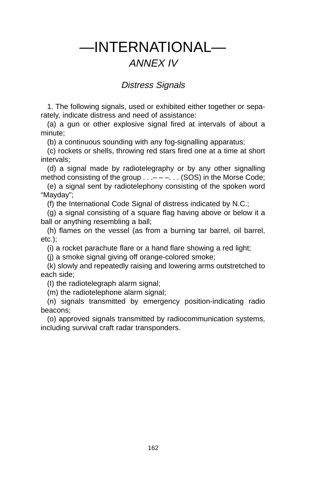# —INTERNATIONAL— ANNEX IV

## Distress Signals

1. The following signals, used or exhibited either together or separately, indicate distress and need of assistance:

(a) a gun or other explosive signal fired at intervals of about a minute;

(b) a continuous sounding with any fog-signalling apparatus;

(c) rockets or shells, throwing red stars fired one at a time at short intervals;

(d) a signal made by radiotelegraphy or by any other signalling method consisting of the group  $\dots$  – –  $\dots$  (SOS) in the Morse Code;

(e) a signal sent by radiotelephony consisting of the spoken word "Mayday";

(f) the International Code Signal of distress indicated by N.C.;

(g) a signal consisting of a square flag having above or below it a ball or anything resembling a ball;

(h) flames on the vessel (as from a burning tar barrel, oil barrel, etc.);

(i) a rocket parachute flare or a hand flare showing a red light;

(j) a smoke signal giving off orange-colored smoke;

(k) slowly and repeatedly raising and lowering arms outstretched to each side;

(I) the radiotelegraph alarm signal;

(m) the radiotelephone alarm signal;

(n) signals transmitted by emergency position-indicating radio beacons;

(o) approved signals transmitted by radiocommunication systems, including survival craft radar transponders.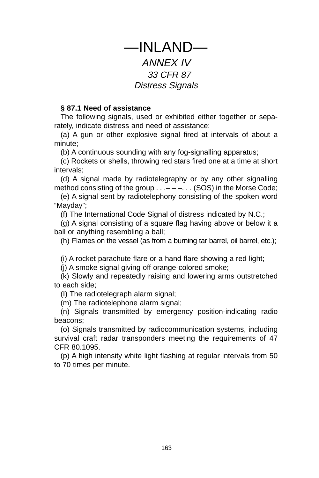

#### **§ 87.1 Need of assistance**

The following signals, used or exhibited either together or separately, indicate distress and need of assistance:

(a) A gun or other explosive signal fired at intervals of about a minute;

(b) A continuous sounding with any fog-signalling apparatus;

(c) Rockets or shells, throwing red stars fired one at a time at short intervals;

(d) A signal made by radiotelegraphy or by any other signalling method consisting of the group . . . - - - . . . (SOS) in the Morse Code:

(e) A signal sent by radiotelephony consisting of the spoken word "Mayday";

(f) The International Code Signal of distress indicated by N.C.;

(g) A signal consisting of a square flag having above or below it a ball or anything resembling a ball;

(h) Flames on the vessel (as from a burning tar barrel, oil barrel, etc.);

(i) A rocket parachute flare or a hand flare showing a red light;

(j) A smoke signal giving off orange-colored smoke;

(k) Slowly and repeatedly raising and lowering arms outstretched to each side;

(I) The radiotelegraph alarm signal;

(m) The radiotelephone alarm signal;

(n) Signals transmitted by emergency position-indicating radio beacons;

(o) Signals transmitted by radiocommunication systems, including survival craft radar transponders meeting the requirements of 47 CFR 80.1095.

(p) A high intensity white light flashing at regular intervals from 50 to 70 times per minute.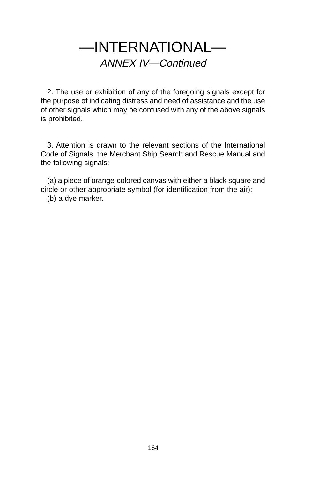# —INTERNATIONAL— ANNEX IV—Continued

2. The use or exhibition of any of the foregoing signals except for the purpose of indicating distress and need of assistance and the use of other signals which may be confused with any of the above signals is prohibited.

3. Attention is drawn to the relevant sections of the International Code of Signals, the Merchant Ship Search and Rescue Manual and the following signals:

(a) a piece of orange-colored canvas with either a black square and circle or other appropriate symbol (for identification from the air);

(b) a dye marker.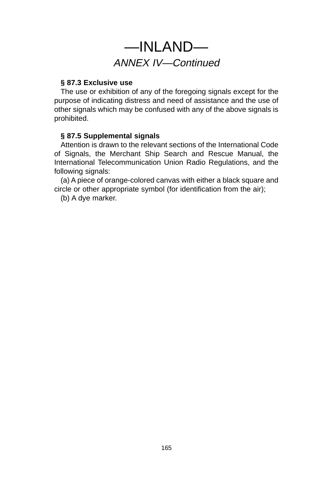

#### **§ 87.3 Exclusive use**

The use or exhibition of any of the foregoing signals except for the purpose of indicating distress and need of assistance and the use of other signals which may be confused with any of the above signals is prohibited.

#### **§ 87.5 Supplemental signals**

Attention is drawn to the relevant sections of the International Code of Signals, the Merchant Ship Search and Rescue Manual, the International Telecommunication Union Radio Regulations, and the following signals:

(a) A piece of orange-colored canvas with either a black square and circle or other appropriate symbol (for identification from the air);

(b) A dye marker.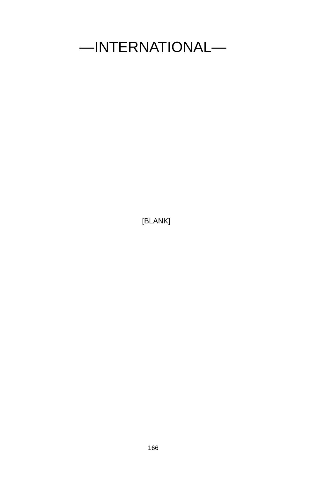# —INTERNATIONAL—

[BLANK]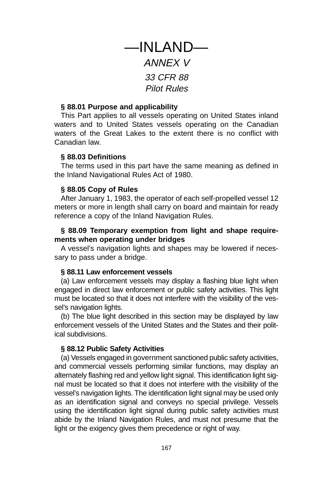—INLAND— ANNEX V 33 CFR 88 Pilot Rules

#### **§ 88.01 Purpose and applicability**

This Part applies to all vessels operating on United States inland waters and to United States vessels operating on the Canadian waters of the Great Lakes to the extent there is no conflict with Canadian law.

#### **§ 88.03 Definitions**

The terms used in this part have the same meaning as defined in the Inland Navigational Rules Act of 1980.

#### **§ 88.05 Copy of Rules**

After January 1, 1983, the operator of each self-propelled vessel 12 meters or more in length shall carry on board and maintain for ready reference a copy of the Inland Navigation Rules.

### **§ 88.09 Temporary exemption from light and shape requirements when operating under bridges**

A vessel's navigation lights and shapes may be lowered if necessary to pass under a bridge.

#### **§ 88.11 Law enforcement vessels**

(a) Law enforcement vessels may display a flashing blue light when engaged in direct law enforcement or public safety activities. This light must be located so that it does not interfere with the visibility of the vessel's navigation lights.

(b) The blue light described in this section may be displayed by law enforcement vessels of the United States and the States and their political subdivisions.

#### **§ 88.12 Public Safety Activities**

(a) Vessels engaged in government sanctioned public safety activities, and commercial vessels performing similar functions, may display an alternately flashing red and yellow light signal. This identification light signal must be located so that it does not interfere with the visibility of the vessel's navigation lights. The identification light signal may be used only as an identification signal and conveys no special privilege. Vessels using the identification light signal during public safety activities must abide by the Inland Navigation Rules, and must not presume that the light or the exigency gives them precedence or right of way.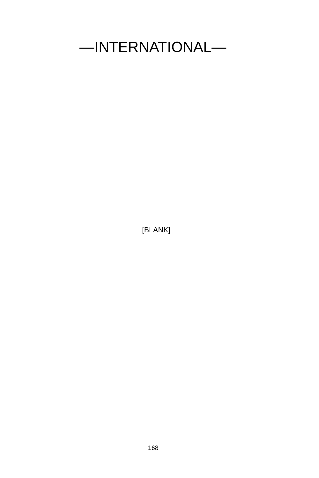# —INTERNATIONAL—

[BLANK]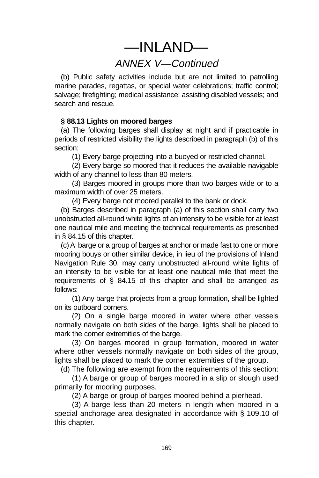# —INLAND— ANNEX V—Continued

(b) Public safety activities include but are not limited to patrolling marine parades, regattas, or special water celebrations; traffic control; salvage; firefighting; medical assistance; assisting disabled vessels; and search and rescue.

### **§ 88.13 Lights on moored barges**

(a) The following barges shall display at night and if practicable in periods of restricted visibility the lights described in paragraph (b) of this section:

(1) Every barge projecting into a buoyed or restricted channel.

(2) Every barge so moored that it reduces the available navigable width of any channel to less than 80 meters.

(3) Barges moored in groups more than two barges wide or to a maximum width of over 25 meters.

(4) Every barge not moored parallel to the bank or dock.

(b) Barges described in paragraph (a) of this section shall carry two unobstructed all-round white lights of an intensity to be visible for at least one nautical mile and meeting the technical requirements as prescribed in § 84.15 of this chapter.

(c) A barge or a group of barges at anchor or made fast to one or more mooring bouys or other similar device, in lieu of the provisions of Inland Navigation Rule 30, may carry unobstructed all-round white lights of an intensity to be visible for at least one nautical mile that meet the requirements of § 84.15 of this chapter and shall be arranged as follows:

(1) Any barge that projects from a group formation, shall be lighted on its outboard corners.

(2) On a single barge moored in water where other vessels normally navigate on both sides of the barge, lights shall be placed to mark the corner extremities of the barge.

(3) On barges moored in group formation, moored in water where other vessels normally navigate on both sides of the group, lights shall be placed to mark the corner extremities of the group.

(d) The following are exempt from the requirements of this section:

(1) A barge or group of barges moored in a slip or slough used primarily for mooring purposes.

(2) A barge or group of barges moored behind a pierhead.

(3) A barge less than 20 meters in length when moored in a special anchorage area designated in accordance with § 109.10 of this chapter.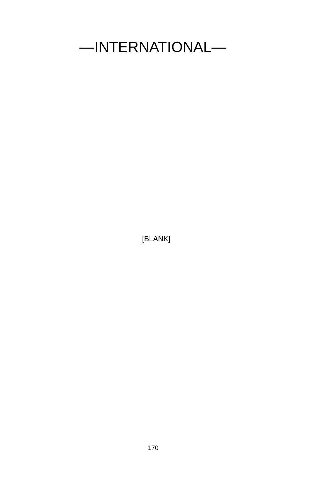# —INTERNATIONAL—

[BLANK]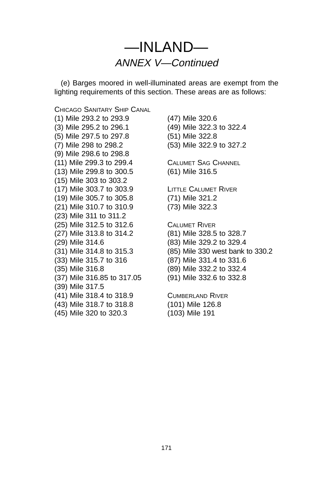# —INLAND— ANNEX V—Continued

(e) Barges moored in well-illuminated areas are exempt from the lighting requirements of this section. These areas are as follows:

CHICAGO SANITARY SHIP CANAL

(1) Mile 293.2 to 293.9 (47) Mile 320.6 (3) Mile 295.2 to 296.1 (49) Mile 322.3 to 322.4 (5) Mile 297.5 to 297.8 (51) Mile 322.8 (7) Mile 298 to 298.2 (53) Mile 322.9 to 327.2 (9) Mile 298.6 to 298.8 (11) Mile 299.3 to 299.4 CALUMET SAG CHANNEL (13) Mile 299.8 to 300.5 (61) Mile 316.5 (15) Mile 303 to 303.2 (17) Mile 303.7 to 303.9 LITTLE CALUMET RIVER (19) Mile 305.7 to 305.8 (71) Mile 321.2 (21) Mile 310.7 to 310.9 (73) Mile 322.3 (23) Mile 311 to 311.2 (25) Mile 312.5 to 312.6 CALUMET RIVER (27) Mile 313.8 to 314.2 (81) Mile 328.5 to 328.7 (29) Mile 314.6 (83) Mile 329.2 to 329.4 (33) Mile 315.7 to 316 (87) Mile 331.4 to 331.6 (35) Mile 316.8 (89) Mile 332.2 to 332.4 (37) Mile 316.85 to 317.05 (91) Mile 332.6 to 332.8 (39) Mile 317.5 (41) Mile 318.4 to 318.9 CUMBERLAND RIVER (43) Mile 318.7 to 318.8 (101) Mile 126.8 (45) Mile 320 to 320.3 (103) Mile 191

(31) Mile 314.8 to 315.3 (85) Mile 330 west bank to 330.2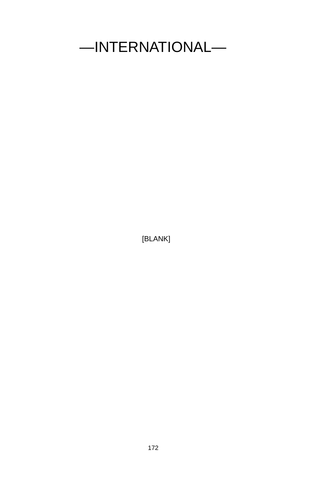# —INTERNATIONAL—

[BLANK]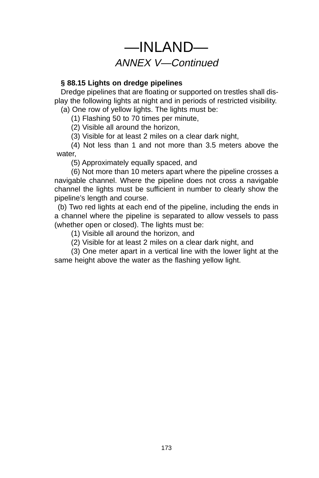# —INLAND— ANNEX V—Continued

#### **§ 88.15 Lights on dredge pipelines**

Dredge pipelines that are floating or supported on trestles shall display the following lights at night and in periods of restricted visibility.

(a) One row of yellow lights. The lights must be:

(1) Flashing 50 to 70 times per minute,

(2) Visible all around the horizon,

(3) Visible for at least 2 miles on a clear dark night,

(4) Not less than 1 and not more than 3.5 meters above the water,

(5) Approximately equally spaced, and

(6) Not more than 10 meters apart where the pipeline crosses a navigable channel. Where the pipeline does not cross a navigable channel the lights must be sufficient in number to clearly show the pipeline's length and course.

(b) Two red lights at each end of the pipeline, including the ends in a channel where the pipeline is separated to allow vessels to pass (whether open or closed). The lights must be:

(1) Visible all around the horizon, and

(2) Visible for at least 2 miles on a clear dark night, and

(3) One meter apart in a vertical line with the lower light at the same height above the water as the flashing yellow light.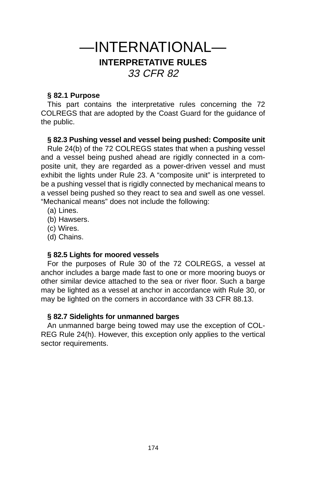## —INTERNATIONAL— **INTERPRETATIVE RULES** 33 CFR 82

#### **§ 82.1 Purpose**

This part contains the interpretative rules concerning the 72 COLREGS that are adopted by the Coast Guard for the guidance of the public.

#### **§ 82.3 Pushing vessel and vessel being pushed: Composite unit**

Rule 24(b) of the 72 COLREGS states that when a pushing vessel and a vessel being pushed ahead are rigidly connected in a composite unit, they are regarded as a power-driven vessel and must exhibit the lights under Rule 23. A "composite unit" is interpreted to be a pushing vessel that is rigidly connected by mechanical means to a vessel being pushed so they react to sea and swell as one vessel. "Mechanical means" does not include the following:

- (a) Lines.
- (b) Hawsers.
- (c) Wires.
- (d) Chains.

#### **§ 82.5 Lights for moored vessels**

For the purposes of Rule 30 of the 72 COLREGS, a vessel at anchor includes a barge made fast to one or more mooring buoys or other similar device attached to the sea or river floor. Such a barge may be lighted as a vessel at anchor in accordance with Rule 30, or may be lighted on the corners in accordance with 33 CFR 88.13.

#### **§ 82.7 Sidelights for unmanned barges**

An unmanned barge being towed may use the exception of COL-REG Rule 24(h). However, this exception only applies to the vertical sector requirements.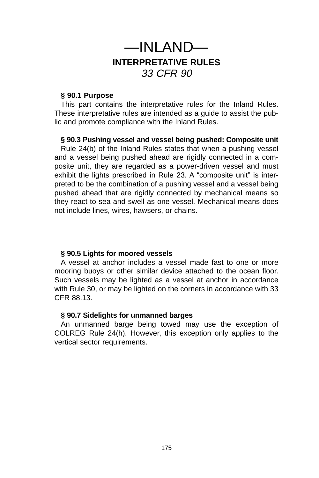## —INLAND— **INTERPRETATIVE RULES** 33 CFR 90

#### **§ 90.1 Purpose**

This part contains the interpretative rules for the Inland Rules. These interpretative rules are intended as a guide to assist the public and promote compliance with the Inland Rules.

#### **§ 90.3 Pushing vessel and vessel being pushed: Composite unit**

Rule 24(b) of the Inland Rules states that when a pushing vessel and a vessel being pushed ahead are rigidly connected in a composite unit, they are regarded as a power-driven vessel and must exhibit the lights prescribed in Rule 23. A "composite unit" is interpreted to be the combination of a pushing vessel and a vessel being pushed ahead that are rigidly connected by mechanical means so they react to sea and swell as one vessel. Mechanical means does not include lines, wires, hawsers, or chains.

#### **§ 90.5 Lights for moored vessels**

A vessel at anchor includes a vessel made fast to one or more mooring buoys or other similar device attached to the ocean floor. Such vessels may be lighted as a vessel at anchor in accordance with Rule 30, or may be lighted on the corners in accordance with 33 CFR 88.13.

#### **§ 90.7 Sidelights for unmanned barges**

An unmanned barge being towed may use the exception of COLREG Rule 24(h). However, this exception only applies to the vertical sector requirements.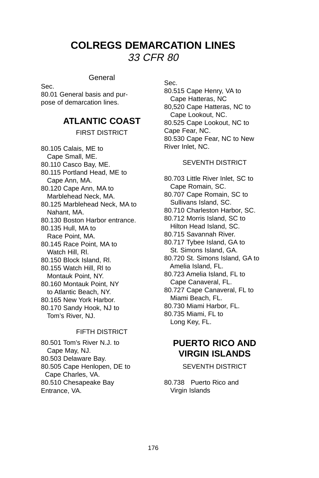## **COLREGS DEMARCATION LINES** 33 CFR 80

#### General

#### Sec.

80.01 General basis and purpose of demarcation lines.

### **ATLANTIC COAST**

FIRST DISTRICT

80.105 Calais, ME to Cape Small, ME. 80.110 Casco Bay, ME. 80.115 Portland Head, ME to Cape Ann, MA. 80.120 Cape Ann, MA to Marblehead Neck, MA. 80.125 Marblehead Neck, MA to Nahant, MA. 80.130 Boston Harbor entrance. 80.135 Hull, MA to Race Point, MA. 80.145 Race Point, MA to Watch Hill, RI. 80.150 Block Island, Rl. 80.155 Watch Hill, Rl to Montauk Point, NY. 80.160 Montauk Point, NY to Atlantic Beach, NY. 80.165 New York Harbor. 80.170 Sandy Hook, NJ to Tom's River, NJ.

#### FIFTH DISTRICT

80.501 Tom's River N.J. to Cape May, NJ. 80.503 Delaware Bay. 80.505 Cape Henlopen, DE to Cape Charles, VA. 80.510 Chesapeake Bay Entrance, VA.

Sec.

80.515 Cape Henry, VA to Cape Hatteras, NC 80,520 Cape Hatteras, NC to Cape Lookout, NC. 80.525 Cape Lookout, NC to Cape Fear, NC. 80.530 Cape Fear, NC to New River Inlet, NC.

#### SEVENTH DISTRICT

80.703 Little River Inlet, SC to Cape Romain, SC. 80.707 Cape Romain, SC to Sullivans Island, SC. 80.710 Charleston Harbor, SC. 80.712 Morris Island, SC to Hilton Head Island, SC. 80.715 Savannah River. 80.717 Tybee Island, GA to St. Simons Island, GA. 80.720 St. Simons Island, GA to Amelia Island, FL. 80.723 Amelia Island, FL to Cape Canaveral, FL. 80.727 Cape Canaveral, FL to Miami Beach, FL. 80.730 Miami Harbor, FL. 80.735 Miami, FL to Long Key, FL.

## **PUERTO RICO AND VIRGIN ISLANDS**

#### SEVENTH DISTRICT

80.738 Puerto Rico and Virgin Islands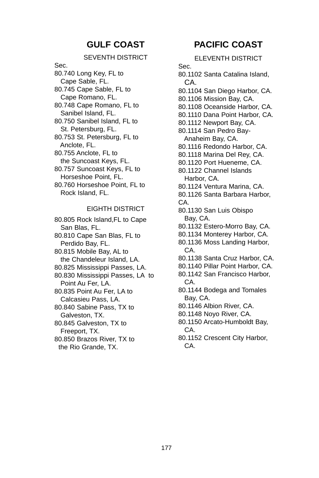### **GULF COAST**

#### SEVENTH DISTRICT

Sec. 80.740 Long Key, FL to Cape Sable, FL. 80.745 Cape Sable, FL to Cape Romano, FL. 80.748 Cape Romano, FL to Sanibel Island, FL. 80.750 Sanibel Island, FL to St. Petersburg, FL. 80.753 St. Petersburg, FL to Anclote, FL. 80.755 Anclote, FL to the Suncoast Keys, FL. 80.757 Suncoast Keys, FL to Horseshoe Point, FL. 80.760 Horseshoe Point, FL to Rock Island, FL.

#### EIGHTH DISTRICT

80.805 Rock Island,FL to Cape San Blas, FL. 80.810 Cape San Blas, FL to Perdido Bay, FL. 80.815 Mobile Bay, AL to the Chandeleur Island, LA. 80.825 Mississippi Passes, LA. 80.830 Mississippi Passes, LA to Point Au Fer, LA. 80.835 Point Au Fer, LA to Calcasieu Pass, LA. 80.840 Sabine Pass, TX to Galveston, TX. 80.845 Galveston, TX to Freeport, TX. 80.850 Brazos River, TX to the Rio Grande, TX.

## **PACIFIC COAST**

ELEVENTH DISTRICT Sec. 80.1102 Santa Catalina Island, CA. 80.1104 San Diego Harbor, CA. 80.1106 Mission Bay, CA. 80.1108 Oceanside Harbor, CA. 80.1110 Dana Point Harbor, CA. 80.1112 Newport Bay, CA. 80.1114 San Pedro Bay-Anaheim Bay, CA. 80.1116 Redondo Harbor, CA. 80.1118 Marina Del Rey, CA. 80.1120 Port Hueneme, CA. 80.1122 Channel Islands Harbor, CA. 80.1124 Ventura Marina, CA. 80.1126 Santa Barbara Harbor, CA. 80.1130 San Luis Obispo Bay, CA. 80.1132 Estero-Morro Bay, CA. 80.1134 Monterey Harbor, CA. 80.1136 Moss Landing Harbor, CA. 80.1138 Santa Cruz Harbor, CA. 80.1140 Pillar Point Harbor, CA. 80.1142 San Francisco Harbor, CA. 80.1144 Bodega and Tomales Bay, CA. 80.1146 Albion River, CA. 80.1148 Noyo River, CA. 80.1150 Arcato-Humboldt Bay, CA. 80.1152 Crescent City Harbor, CA.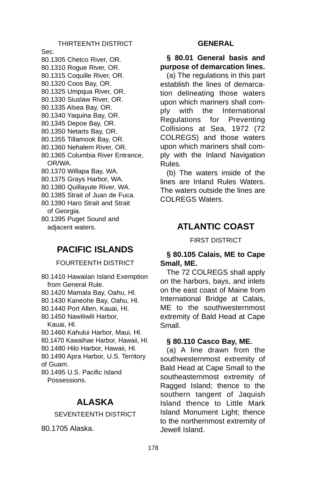#### THIRTEENTH DISTRICT

Sec.

80.1305 Chetco River, OR. 80.1310 Rogue River, OR. 80.1315 Coquille River, OR. 80.1320 Coos Bay, OR. 80.1325 Umpqua River, OR. 80.1330 Siuslaw River, OR. 80.1335 Alsea Bay, OR. 80.1340 Yaquina Bay, OR. 80.1345 Depoe Bay, OR. 80.1350 Netarts Bay, OR. 80.1355 Tillamook Bay, OR. 80.1360 Nehalem River, OR. 80.1365 Columbia River Entrance, OR/WA. 80.1370 Willapa Bay, WA. 80.1375 Grays Harbor, WA. 80.1380 Quillayute River, WA. 80.1385 Strait of Juan de Fuca. 80.1390 Haro Strait and Strait of Georgia. 80.1395 Puget Sound and adjacent waters.

## **PACIFIC ISLANDS**

FOURTEENTH DISTRICT

80.1410 Hawaiian Island Exemption from General Rule. 80.1420 Mamala Bay, Oahu, Hl. 80.1430 Kaneohe Bay, Oahu, Hl. 80.1440 Port Allen, Kauai, HI. 80.1450 Nawiliwili Harbor, Kauai, Hl. 80.1460 Kahului Harbor, Maui, Hl. 80.1470 Kawaihae Harbor, Hawaii, Hl. 80.1480 Hilo Harbor, Hawaii, Hl. 80.1490 Apra Harbor, U.S. Territory of Guam. 80.1495 U.S. Pacific Island Possessions.

## **ALASKA**

SEVENTEENTH DISTRICT

80.1705 Alaska.

#### **GENERAL**

#### **§ 80.01 General basis and purpose of demarcation lines.**

(a) The regulations in this part establish the lines of demarcation delineating those waters upon which mariners shall comply with the International Regulations for Preventing Collisions at Sea, 1972 (72 COLREGS) and those waters upon which mariners shall comply with the Inland Navigation Rules.

(b) The waters inside of the lines are Inland Rules Waters. The waters outside the lines are COLREGS Waters.

## **ATLANTIC COAST**

FIRST DISTRICT

#### **§ 80.105 Calais, ME to Cape Small, ME.**

The 72 COLREGS shall apply on the harbors, bays, and inlets on the east coast of Maine from International Bridge at Calais, ME to the southwesternmost extremity of Bald Head at Cape Small.

#### **§ 80.110 Casco Bay, ME.**

(a) A line drawn from the southwesternmost extremity of Bald Head at Cape Small to the southeasternmost extremity of Ragged Island; thence to the southern tangent of Jaquish Island thence to Little Mark Island Monument Light; thence to the northernmost extremity of Jewell Island.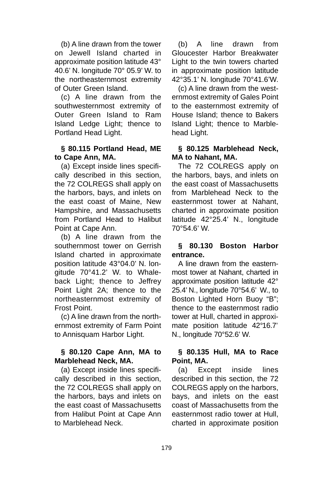(b) A line drawn from the tower on Jewell Island charted in approximate position latitude 43° 40.6' N. longitude 70° 05.9' W. to the northeasternmost extremity of Outer Green Island.

(c) A line drawn from the southwesternmost extremity of Outer Green Island to Ram Island Ledge Light; thence to Portland Head Light.

#### **§ 80.115 Portland Head, ME to Cape Ann, MA.**

(a) Except inside lines specifically described in this section, the 72 COLREGS shall apply on the harbors, bays, and inlets on the east coast of Maine, New Hampshire, and Massachusetts from Portland Head to Halibut Point at Cape Ann.

(b) A line drawn from the southernmost tower on Gerrish Island charted in approximate position latitude 43°04.0' N. longitude 70°41.2' W. to Whaleback Light; thence to Jeffrey Point Light 2A; thence to the northeasternmost extremity of Frost Point.

(c) A line drawn from the northernmost extremity of Farm Point to Annisquam Harbor Light.

#### **§ 80.120 Cape Ann, MA to Marblehead Neck, MA.**

(a) Except inside lines specifically described in this section, the 72 COLREGS shall apply on the harbors, bays and inlets on the east coast of Massachusetts from Halibut Point at Cape Ann to Marblehead Neck.

(b) A line drawn from Gloucester Harbor Breakwater Light to the twin towers charted in approximate position latitude 42°35.1' N. longitude 70°41.6'W.

(c) A line drawn from the westernmost extremity of Gales Point to the easternmost extremity of House Island; thence to Bakers Island Light; thence to Marblehead Light.

#### **§ 80.125 Marblehead Neck, MA to Nahant, MA.**

The 72 COLREGS apply on the harbors, bays, and inlets on the east coast of Massachusetts from Marblehead Neck to the easternmost tower at Nahant, charted in approximate position latitude 42°25.4' N., longitude 70°54.6' W.

#### **§ 80.130 Boston Harbor entrance.**

A line drawn from the easternmost tower at Nahant, charted in approximate position latitude 42° 25.4' N., longitude 70°54.6' W., to Boston Lighted Horn Buoy "B"; thence to the easternmost radio tower at Hull, charted in approximate position latitude 42°16.7' N., longitude 70°52.6' W.

#### **§ 80.135 Hull, MA to Race Point, MA.**

(a) Except inside lines described in this section, the 72 COLREGS apply on the harbors, bays, and inlets on the east coast of Massachusetts from the easternmost radio tower at Hull, charted in approximate position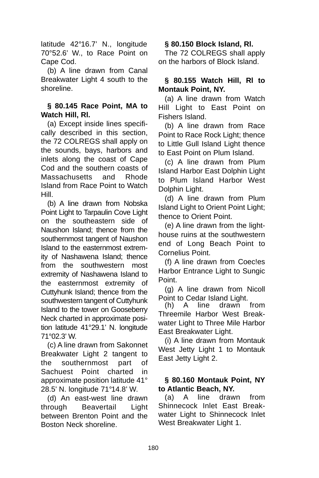latitude 42°16.7' N., longitude 70°52.6' W., to Race Point on Cape Cod.

(b) A line drawn from Canal Breakwater Light 4 south to the shoreline.

#### **§ 80.145 Race Point, MA to Watch Hill, Rl.**

(a) Except inside lines specifically described in this section, the 72 COLREGS shall apply on the sounds, bays, harbors and inlets along the coast of Cape Cod and the southern coasts of Massachusetts and Rhode Island from Race Point to Watch Hill.

(b) A line drawn from Nobska Point Light to Tarpaulin Cove Light on the southeastern side of Naushon Island; thence from the southernmost tangent of Naushon Island to the easternmost extremity of Nashawena Island; thence from the southwestern most extremity of Nashawena Island to the easternmost extremity of Cuttyhunk Island; thence from the southwestern tangent of Cuttyhunk Island to the tower on Gooseberry Neck charted in approximate position latitude 41°29.1' N. longitude 71°02.3' W.

(c) A line drawn from Sakonnet Breakwater Light 2 tangent to the southernmost part of Sachuest Point charted in approximate position latitude 41° 28.5' N. longitude 71°14.8' W.

(d) An east-west line drawn through Beavertail Light between Brenton Point and the Boston Neck shoreline.

#### **§ 80.150 Block Island, Rl.**

The 72 COLREGS shall apply on the harbors of Block Island.

#### **§ 80.155 Watch Hill, Rl to Montauk Point, NY.**

(a) A line drawn from Watch Hill Light to East Point on Fishers Island.

(b) A line drawn from Race Point to Race Rock Light; thence to Little Gull Island Light thence to East Point on Plum Island.

(c) A line drawn from Plum Island Harbor East Dolphin Light to Plum Island Harbor West Dolphin Light.

(d) A line drawn from Plum Island Light to Orient Point Light; thence to Orient Point.

(e) A line drawn from the lighthouse ruins at the southwestern end of Long Beach Point to Cornelius Point.

(f) A line drawn from Coec!es Harbor Entrance Light to Sungic Point.

(g) A line drawn from Nicoll Point to Cedar Island Light.<br>(h) A line drawn from

A line drawn Threemile Harbor West Breakwater Light to Three Mile Harbor East Breakwater Light.

(i) A line drawn from Montauk West Jetty Light 1 to Montauk East Jetty Light 2.

#### **§ 80.160 Montauk Point, NY to Atlantic Beach, NY.**

(a) A line drawn from Shinnecock Inlet East Breakwater Light to Shinnecock Inlet West Breakwater Light 1.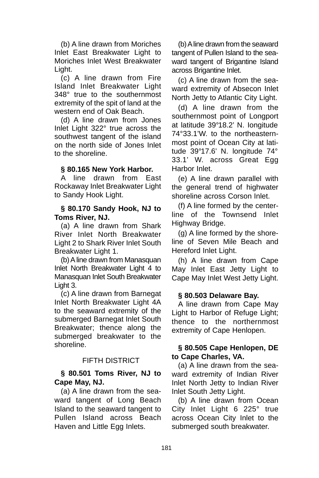(b) A line drawn from Moriches Inlet East Breakwater Light to Moriches Inlet West Breakwater Light.

(c) A line drawn from Fire Island Inlet Breakwater Light 348° true to the southernmost extremity of the spit of land at the western end of Oak Beach.

(d) A line drawn from Jones Inlet Light 322° true across the southwest tangent of the island on the north side of Jones Inlet to the shoreline.

#### **§ 80.165 New York Harbor.**

A line drawn from East Rockaway Inlet Breakwater Light to Sandy Hook Light.

#### **§ 80.170 Sandy Hook, NJ to Toms River, NJ.**

(a) A line drawn from Shark River Inlet North Breakwater Light 2 to Shark River Inlet South Breakwater Light 1.

(b) Aline drawn from Manasquan Inlet North Breakwater Light 4 to Manasquan Inlet South Breakwater Light 3.

(c) A line drawn from Barnegat Inlet North Breakwater Light 4A to the seaward extremity of the submerged Barnegat Inlet South Breakwater; thence along the submerged breakwater to the shoreline.

#### FIFTH DISTRICT

#### **§ 80.501 Toms River, NJ to Cape May, NJ.**

(a) A line drawn from the seaward tangent of Long Beach Island to the seaward tangent to Pullen Island across Beach Haven and Little Egg Inlets.

(b) Aline drawn from the seaward tangent of Pullen Island to the seaward tangent of Brigantine Island across Brigantine Inlet.

(c) A line drawn from the seaward extremity of Absecon Inlet North Jetty to Atlantic City Light.

(d) A line drawn from the southernmost point of Longport at latitude 39°18.2' N. Iongitude 74°33.1'W. to the northeasternmost point of Ocean City at latitude 39°17.6' N. longitude 74° 33.1' W. across Great Egg Harbor Inlet.

(e) A line drawn parallel with the general trend of highwater shoreline across Corson Inlet.

(f) A line formed by the centerline of the Townsend Inlet Highway Bridge.

(g) A line formed by the shoreline of Seven Mile Beach and Hereford Inlet Light.

(h) A line drawn from Cape May Inlet East Jetty Light to Cape May Inlet West Jetty Light.

#### **§ 80.503 Delaware Bay.**

A line drawn from Cape May Light to Harbor of Refuge Light; thence to the northernmost extremity of Cape Henlopen.

#### **§ 80.505 Cape Henlopen, DE to Cape Charles, VA.**

(a) A line drawn from the seaward extremity of Indian River Inlet North Jetty to Indian River Inlet South Jetty Light.

(b) A line drawn from Ocean City Inlet Light 6 225° true across Ocean City Inlet to the submerged south breakwater.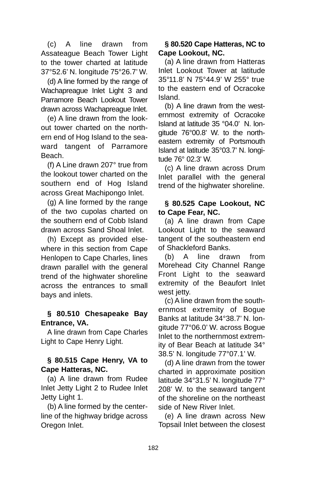(c) A line drawn from Assateague Beach Tower Light to the tower charted at latitude 37°52.6' N. longitude 75°26.7' W.

(d) A line formed by the range of Wachapreague Inlet Light 3 and Parramore Beach Lookout Tower drawn across Wachapreague Inlet.

(e) A line drawn from the lookout tower charted on the northern end of Hog Island to the seaward tangent of Parramore Beach.

(f) A Line drawn 207° true from the lookout tower charted on the southern end of Hog Island across Great Machipongo Inlet.

(g) A line formed by the range of the two cupolas charted on the southern end of Cobb Island drawn across Sand Shoal Inlet.

(h) Except as provided elsewhere in this section from Cape Henlopen to Cape Charles, lines drawn parallel with the general trend of the highwater shoreline across the entrances to small bays and inlets.

#### **§ 80.510 Chesapeake Bay Entrance, VA.**

A line drawn from Cape Charles Light to Cape Henry Light.

#### **§ 80.515 Cape Henry, VA to Cape Hatteras, NC.**

(a) A line drawn from Rudee Inlet Jetty Light 2 to Rudee Inlet Jetty Light 1.

(b) A line formed by the centerline of the highway bridge across Oregon Inlet.

#### **§ 80.520 Cape Hatteras, NC to Cape Lookout, NC.**

(a) A line drawn from Hatteras Inlet Lookout Tower at latitude 35°11.8' N 75°44.9' W 255° true to the eastern end of Ocracoke Island.

(b) A line drawn from the westernmost extremity of Ocracoke Island at latitude 35 °04.0' N. longitude 76°00.8' W. to the northeastern extremity of Portsmouth Island at latitude 35°03.7' N. longitude 76° 02.3' W.

(c) A line drawn across Drum Inlet parallel with the general trend of the highwater shoreline.

#### **§ 80.525 Cape Lookout, NC to Cape Fear, NC.**

(a) A line drawn from Cape Lookout Light to the seaward tangent of the southeastern end of Shackleford Banks.

(b) A line drawn from Morehead City Channel Range Front Light to the seaward extremity of the Beaufort Inlet west jetty.

(c) A line drawn from the southernmost extremity of Bogue Banks at latitude 34°38.7' N. longitude 77°06.0' W. across Bogue Inlet to the northernmost extremity of Bear Beach at latitude 34° 38.5' N. longitude 77°07.1' W.

(d) A line drawn from the tower charted in approximate position latitude 34°31.5' N. longitude 77° 208' W. to the seaward tangent of the shoreline on the northeast side of New River Inlet.

(e) A line drawn across New Topsail Inlet between the closest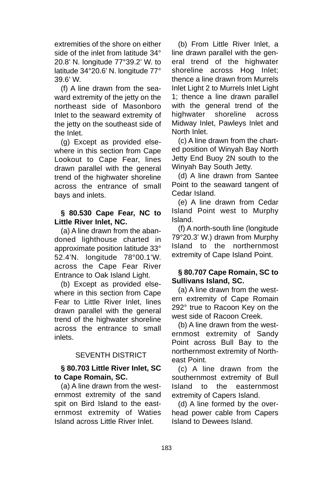extremities of the shore on either side of the inlet from latitude 34° 20.8' N. longitude 77°39.2' W. to latitude 34°20.6' N. longitude 77° 39.6' W.

(f) A line drawn from the seaward extremity of the jetty on the northeast side of Masonboro Inlet to the seaward extremity of the jetty on the southeast side of the Inlet.

(g) Except as provided elsewhere in this section from Cape Lookout to Cape Fear, lines drawn parallel with the general trend of the highwater shoreline across the entrance of small bays and inlets.

#### **§ 80.530 Cape Fear, NC to Little River Inlet, NC.**

(a) A line drawn from the abandoned lighthouse charted in approximate position latitude 33° 52.4'N. longitude 78°00.1'W. across the Cape Fear River Entrance to Oak Island Light.

(b) Except as provided elsewhere in this section from Cape Fear to Little River Inlet, lines drawn parallel with the general trend of the highwater shoreline across the entrance to small inlets.

#### SEVENTH DISTRICT

#### **§ 80.703 Little River Inlet, SC to Cape Romain, SC.**

(a) A line drawn from the westernmost extremity of the sand spit on Bird Island to the easternmost extremity of Waties Island across Little River Inlet.

(b) From Little River Inlet, a line drawn parallel with the general trend of the highwater shoreline across Hog Inlet; thence a line drawn from Murrels Inlet Light 2 to Murrels Inlet Light 1; thence a line drawn parallel with the general trend of the highwater shoreline across Midway Inlet, Pawleys Inlet and North Inlet.

(c) A line drawn from the charted position of Winyah Bay North Jetty End Buoy 2N south to the Winyah Bay South Jetty.

(d) A line drawn from Santee Point to the seaward tangent of Cedar Island.

(e) A line drawn from Cedar Island Point west to Murphy Island.

(f) A north-south line (longitude 79°20.3' W.) drawn from Murphy Island to the northernmost extremity of Cape Island Point.

#### **§ 80.707 Cape Romain, SC to Sullivans Island, SC.**

(a) A line drawn from the western extremity of Cape Romain 292° true to Racoon Key on the west side of Racoon Creek.

(b) A line drawn from the westernmost extremity of Sandy Point across Bull Bay to the northernmost extremity of Northeast Point.

(c) A line drawn from the southernmost extremity of Bull Island to the easternmost extremity of Capers Island.

(d) A line formed by the overhead power cable from Capers Island to Dewees Island.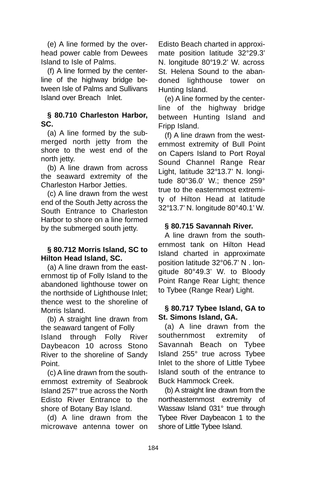(e) A line formed by the overhead power cable from Dewees Island to Isle of Palms.

(f) A line formed by the centerline of the highway bridge between Isle of Palms and Sullivans Island over Breach Inlet.

#### **§ 80.710 Charleston Harbor, SC.**

(a) A line formed by the submerged north jetty from the shore to the west end of the north jetty.

(b) A line drawn from across the seaward extremity of the Charleston Harbor Jetties.

(c) A line drawn from the west end of the South Jetty across the South Entrance to Charleston Harbor to shore on a line formed by the submerged south jetty.

#### **§ 80.712 Morris Island, SC to Hilton Head Island, SC.**

(a) A line drawn from the easternmost tip of Folly Island to the abandoned lighthouse tower on the northside of Lighthouse Inlet; thence west to the shoreline of Morris Island.

(b) A straight line drawn from the seaward tangent of Folly

Island through Folly River Daybeacon 10 across Stono River to the shoreline of Sandy Point.

(c) A line drawn from the southernmost extremity of Seabrook Island 257° true across the North Edisto River Entrance to the shore of Botany Bay Island.

(d) A line drawn from the microwave antenna tower on Edisto Beach charted in approximate position latitude 32°29.3' N. longitude 80°19.2' W. across St. Helena Sound to the abandoned lighthouse tower on Hunting Island.

(e) A line formed by the centerline of the highway bridge between Hunting Island and Fripp Island.

(f) A line drawn from the westernmost extremity of Bull Point on Capers Island to Port Royal Sound Channel Range Rear Light, latitude 32°13.7' N. longitude 80°36.0' W.; thence 259° true to the easternmost extremity of Hilton Head at latitude 32°13.7' N. longitude 80°40.1' W.

#### **§ 80.715 Savannah River.**

A line drawn from the southernmost tank on Hilton Head Island charted in approximate position latitude 32°06.7' N . longitude 80°49.3' W. to Bloody Point Range Rear Light; thence to Tybee (Range Rear) Light.

#### **§ 80.717 Tybee Island, GA to St. Simons Island, GA.**

(a) A line drawn from the southernmost extremity of Savannah Beach on Tybee Island 255° true across Tybee Inlet to the shore of Little Tybee Island south of the entrance to Buck Hammock Creek.

(b) A straight line drawn from the northeasternmost extremity of Wassaw Island 031° true through Tybee River Daybeacon 1 to the shore of Little Tybee Island.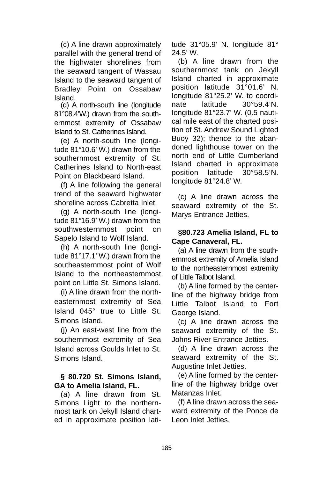(c) A line drawn approximately parallel with the general trend of the highwater shorelines from the seaward tangent of Wassau Island to the seaward tangent of Bradley Point on Ossabaw Island.

(d) A north-south line (longitude 81°08.4'W.) drawn from the southernmost extremity of Ossabaw Island to St. Catherines Island.

(e) A north-south line (longitude 81°10.6' W.) drawn from the southernmost extremity of St. Catherines Island to North-east Point on Blackbeard Island.

(f) A line following the general trend of the seaward highwater shoreline across Cabretta Inlet.

(g) A north-south line (longitude 81°16.9' W.) drawn from the southwesternmost point on Sapelo Island to Wolf Island.

(h) A north-south line (longitude 81°17.1' W.) drawn from the southeasternmost point of Wolf Island to the northeasternmost point on Little St. Simons Island.

(i) A line drawn from the northeasternmost extremity of Sea Island 045° true to Little St. Simons Island.

(j) An east-west line from the southernmost extremity of Sea Island across Goulds Inlet to St. Simons Island.

#### **§ 80.720 St. Simons Island, GA to Amelia Island, FL.**

(a) A line drawn from St. Simons Light to the northernmost tank on Jekyll Island charted in approximate position latitude 31°05.9' N. Iongitude 81° 24.5' W.

(b) A line drawn from the southernmost tank on Jekyll Island charted in approximate position latitude 31°01.6' N. Iongitude 81°25.2' W. to coordinate latitude 30°59.4'N. Iongitude 81°23.7' W. (0.5 nautical mile east of the charted position of St. Andrew Sound Lighted Buoy 32); thence to the abandoned lighthouse tower on the north end of Little Cumberland Island charted in approximate position latitude 30°58.5'N. Iongitude 81°24.8' W.

(c) A line drawn across the seaward extremity of the St. Marys Entrance Jetties.

#### **§80.723 Amelia Island, FL to Cape Canaveral, FL.**

(a) A line drawn from the southernmost extremity of Amelia Island to the northeasternmost extremity of Little Talbot Island.

(b) A line formed by the centerline of the highway bridge from Little Talbot Island to Fort George Island.

(c) A line drawn across the seaward extremity of the St. Johns River Entrance Jetties.

(d) A line drawn across the seaward extremity of the St. Augustine Inlet Jetties.

(e) A line formed by the centerline of the highway bridge over Matanzas Inlet.

(f) A line drawn across the seaward extremity of the Ponce de Leon Inlet Jetties.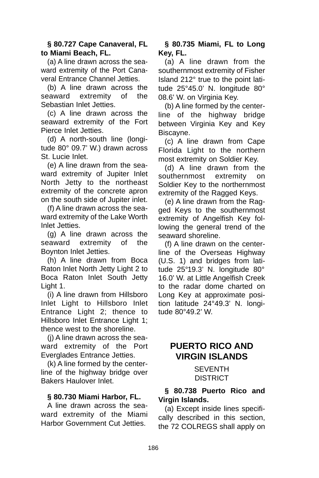#### **§ 80.727 Cape Canaveral, FL to Miami Beach, FL.**

(a) A line drawn across the seaward extremity of the Port Canaveral Entrance Channel Jetties.

(b) A line drawn across the seaward extremity of the Sebastian Inlet Jetties.

(c) A line drawn across the seaward extremity of the Fort Pierce Inlet Jetties.

(d) A north-south line (longitude 80° 09.7' W.) drawn across St. Lucie Inlet.

(e) A line drawn from the seaward extremity of Jupiter Inlet North Jetty to the northeast extremity of the concrete apron on the south side of Jupiter inlet.

(f) A line drawn across the seaward extremity of the Lake Worth Inlet Jetties.

(g) A line drawn across the seaward extremity of the Boynton Inlet Jetties.

(h) A line drawn from Boca Raton Inlet North Jetty Light 2 to Boca Raton Inlet South Jetty Light 1.

(i) A line drawn from Hillsboro Inlet Light to Hillsboro Inlet Entrance Light 2; thence to Hillsboro Inlet Entrance Light 1; thence west to the shoreline.

(j) A line drawn across the seaward extremity of the Port Everglades Entrance Jetties.

(k) A line formed by the centerline of the highway bridge over Bakers Haulover Inlet.

#### **§ 80.730 Miami Harbor, FL.**

A line drawn across the seaward extremity of the Miami Harbor Government Cut Jetties.

#### **§ 80.735 Miami, FL to Long Key, FL.**

(a) A line drawn from the southernmost extremity of Fisher Island 212° true to the point latitude 25°45.0' N. longitude 80° 08.6' W. on Virginia Key.

(b) A line formed by the centerline of the highway bridge between Virginia Key and Key Biscayne.

(c) A line drawn from Cape Florida Light to the northern most extremity on Soldier Key.

(d) A line drawn from the southernmost extremity on Soldier Key to the northernmost extremity of the Ragged Keys.

(e) A line drawn from the Ragged Keys to the southernmost extremity of Angelfish Key following the general trend of the seaward shoreline.

(f) A line drawn on the centerline of the Overseas Highway (U.S. 1) and bridges from latitude 25°19.3' N. longitude 80° 16.0' W. at Little Angelfish Creek to the radar dome charted on Long Key at approximate position latitude 24°49.3' N. longitude 80°49.2' W.

## **PUERTO RICO AND VIRGIN ISLANDS**

#### **SEVENTH** DISTRICT

#### **§ 80.738 Puerto Rico and Virgin Islands.**

(a) Except inside lines specifically described in this section, the 72 COLREGS shall apply on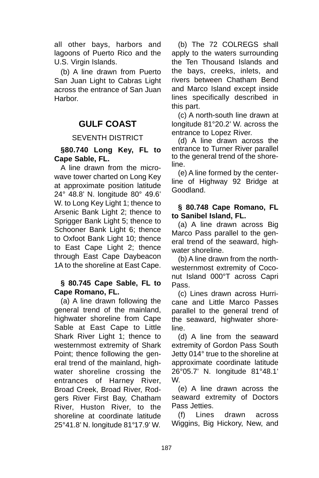all other bays, harbors and lagoons of Puerto Rico and the U.S. Virgin Islands.

(b) A line drawn from Puerto San Juan Light to Cabras Light across the entrance of San Juan Harbor.

## **GULF COAST**

#### SEVENTH DISTRICT

#### **§80.740 Long Key, FL to Cape Sable, FL.**

A line drawn from the microwave tower charted on Long Key at approximate position latitude 24° 48.8' N. longitude 80° 49.6' W. to Long Key Light 1; thence to Arsenic Bank Light 2; thence to Sprigger Bank Light 5; thence to Schooner Bank Light 6; thence to Oxfoot Bank Light 10; thence to East Cape Light 2; thence through East Cape Daybeacon 1A to the shoreline at East Cape.

#### **§ 80.745 Cape Sable, FL to Cape Romano, FL.**

(a) A line drawn following the general trend of the mainland, highwater shoreline from Cape Sable at East Cape to Little Shark River Light 1; thence to westernmost extremity of Shark Point; thence following the general trend of the mainland, highwater shoreline crossing the entrances of Harney River, Broad Creek, Broad River, Rodgers River First Bay, Chatham River, Huston River, to the shoreline at coordinate latitude 25°41.8' N. longitude 81°17.9' W.

(b) The 72 COLREGS shall apply to the waters surrounding the Ten Thousand Islands and the bays, creeks, inlets, and rivers between Chatham Bend and Marco Island except inside lines specifically described in this part.

(c) A north-south line drawn at longitude 81°20.2' W. across the entrance to Lopez River.

(d) A line drawn across the entrance to Turner River parallel to the general trend of the shoreline.

(e) A line formed by the centerline of Highway 92 Bridge at Goodland.

#### **§ 80.748 Cape Romano, FL to Sanibel Island, FL.**

(a) A line drawn across Big Marco Pass parallel to the general trend of the seaward, highwater shoreline.

(b) A line drawn from the northwesternmost extremity of Coconut Island 000°T across Capri Pass.

(c) Lines drawn across Hurricane and Little Marco Passes parallel to the general trend of the seaward, highwater shoreline.

(d) A line from the seaward extremity of Gordon Pass South Jetty 014° true to the shoreline at approximate coordinate latitude 26°05.7' N. Iongitude 81°48.1' W.

(e) A line drawn across the seaward extremity of Doctors Pass Jetties.

(f) Lines drawn across Wiggins, Big Hickory, New, and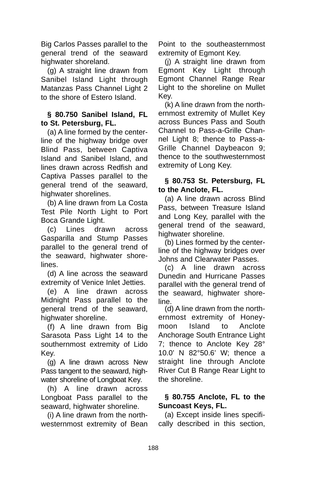Big Carlos Passes parallel to the general trend of the seaward highwater shoreland.

(g) A straight line drawn from Sanibel Island Light through Matanzas Pass Channel Light 2 to the shore of Estero Island.

#### **§ 80.750 Sanibel Island, FL to St. Petersburg, FL.**

(a) A line formed by the centerline of the highway bridge over Blind Pass, between Captiva Island and Sanibel Island, and lines drawn across Redfish and Captiva Passes parallel to the general trend of the seaward, highwater shorelines.

(b) A line drawn from La Costa Test Pile North Light to Port Boca Grande Light.

(c) Lines drawn across Gasparilla and Stump Passes parallel to the general trend of the seaward, highwater shorelines.

(d) A line across the seaward extremity of Venice Inlet Jetties.

(e) A line drawn across Midnight Pass parallel to the general trend of the seaward, highwater shoreline.

(f) A line drawn from Big Sarasota Pass Light 14 to the southernmost extremity of Lido Key.

(g) A line drawn across New Pass tangent to the seaward, highwater shoreline of Longboat Key.

(h) A line drawn across Longboat Pass parallel to the seaward, highwater shoreline.

(i) A line drawn from the northwesternmost extremity of Bean Point to the southeasternmost extremity of Egmont Key.

(j) A straight line drawn from Egmont Key Light through Egmont Channel Range Rear Light to the shoreline on Mullet Key.

(k) A line drawn from the northernmost extremity of Mullet Key across Bunces Pass and South Channel to Pass-a-Grille Channel Light 8; thence to Pass-a-Grille Channel Daybeacon 9; thence to the southwesternmost extremity of Long Key.

#### **§ 80.753 St. Petersburg, FL to the Anclote, FL.**

(a) A line drawn across Blind Pass, between Treasure Island and Long Key, parallel with the general trend of the seaward, highwater shoreline.

(b) Lines formed by the centerline of the highway bridges over Johns and Clearwater Passes.

(c) A line drawn across Dunedin and Hurricane Passes parallel with the general trend of the seaward, highwater shoreline.

(d) A line drawn from the northernmost extremity of Honeymoon Island to Anclote Anchorage South Entrance Light 7; thence to Anclote Key 28° 10.0' N 82°50.6' W; thence a straight line through Anclote River Cut B Range Rear Light to the shoreline.

#### **§ 80.755 Anclote, FL to the Suncoast Keys, FL.**

(a) Except inside lines specifically described in this section,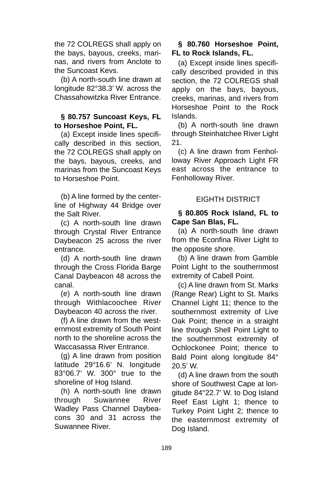the 72 COLREGS shall apply on the bays, bayous, creeks, marinas, and rivers from Anclote to the Suncoast Kevs.

(b) A north-south line drawn at longitude 82°38.3' W. across the Chassahowitzka River Entrance.

#### **§ 80.757 Suncoast Keys, FL to Horseshoe Point, FL.**

(a) Except inside lines specifically described in this section, the 72 COLREGS shall apply on the bays, bayous, creeks, and marinas from the Suncoast Keys to Horseshoe Point.

(b) A line formed by the centerline of Highway 44 Bridge over the Salt River.

(c) A north-south line drawn through Crystal River Entrance Daybeacon 25 across the river entrance.

(d) A north-south line drawn through the Cross Florida Barge Canal Daybeacon 48 across the canal.

(e) A north-south line drawn through Withlacoochee River Daybeacon 40 across the river.

(f) A line drawn from the westernmost extremity of South Point north to the shoreline across the Waccasassa River Entrance.

(g) A line drawn from position latitude 29°16.6' N. longitude 83°06.7' W. 300° true to the shoreline of Hog Island.

(h) A north-south line drawn through Suwannee River Wadley Pass Channel Daybeacons 30 and 31 across the Suwannee River.

#### **§ 80.760 Horseshoe Point, FL to Rock Islands, FL.**

(a) Except inside lines specifically described provided in this section, the 72 COLREGS shall apply on the bays, bayous, creeks, marinas, and rivers from Horseshoe Point to the Rock Islands.

(b) A north-south line drawn through Steinhatchee River Light 21.

(c) A line drawn from Fenholloway River Approach Light FR east across the entrance to Fenholloway River.

#### EIGHTH DISTRICT

#### **§ 80.805 Rock Island, FL to Cape San Blas, FL.**

(a) A north-south line drawn from the Econfina River Light to the opposite shore.

(b) A line drawn from Gamble Point Light to the southernmost extremity of Cabell Point.

(c) A line drawn from St. Marks (Range Rear) Light to St. Marks Channel Light 11; thence to the southernmost extremity of Live Oak Point; thence in a straight line through Shell Point Light to the southernmost extremity of Ochlockonee Point; thence to Bald Point along longitude 84° 20.5' W.

(d) A line drawn from the south shore of Southwest Cape at longitude 84°22.7' W. to Dog Island Reef East Light 1; thence to Turkey Point Light 2; thence to the easternmost extremity of Dog Island.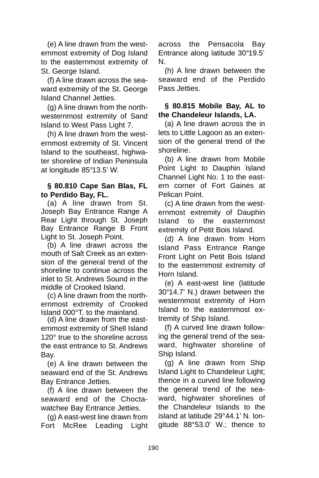(e) A line drawn from the westernmost extremity of Dog Island to the easternmost extremity of St. George Island.

(f) A line drawn across the seaward extremity of the St. George Island Channel Jetties.

(g) A line drawn from the northwesternmost extremity of Sand Island to West Pass Light 7.

(h) A line drawn from the westernmost extremity of St. Vincent Island to the southeast, highwater shoreline of Indian Peninsula at longitude 85°13.5' W.

#### **§ 80.810 Cape San Blas, FL to Perdido Bay, FL.**

(a) A line drawn from St. Joseph Bay Entrance Range A Rear Light through St. Joseph Bay Entrance Range B Front Light to St. Joseph Point.

(b) A line drawn across the mouth of Salt Creek as an extension of the general trend of the shoreline to continue across the inlet to St. Andrews Sound in the middle of Crooked Island.

(c) A line drawn from the northernmost extremity of Crooked Island 000°T. to the mainland.

(d) A line drawn from the easternmost extremity of Shell Island 120° true to the shoreline across the east entrance to St. Andrews Bay.

(e) A line drawn between the seaward end of the St. Andrews Bay Entrance Jetties.

(f) A line drawn between the seaward end of the Choctawatchee Bay Entrance Jetties.

(g) A east-west line drawn from Fort McRee Leading Light across the Pensacola Bay Entrance along latitude 30°19.5' N.

(h) A line drawn between the seaward end of the Perdido Pass Jetties.

#### **§ 80.815 Mobile Bay, AL to the Chandeleur Islands, LA.**

(a) A line drawn across the in lets to Little Lagoon as an extension of the general trend of the shoreline.

(b) A line drawn from Mobile Point Light to Dauphin Island Channel Light No. 1 to the eastern corner of Fort Gaines at Pelican Point.

(c) A line drawn from the westernmost extremity of Dauphin Island to the easternmost extremity of Petit Bois Island.

(d) A line drawn from Horn Island Pass Entrance Range Front Light on Petit Bois Island to the easternmost extremity of Horn Island.

(e) A east-west line (latitude 30°14.7' N.) drawn between the westernmost extremity of Horn Island to the easternmost extremity of Ship Island.

(f) A curved line drawn following the general trend of the seaward, highwater shoreline of Ship Island.

(g) A line drawn from Ship Island Light to Chandeleur Light; thence in a curved line following the general trend of the seaward, highwater shorelines of the Chandeleur Islands to the island at latitude 29°44.1' N. longitude 88°53.0' W.; thence to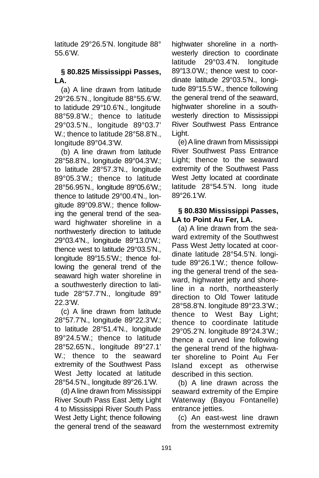latitude 29°26.5'N. longitude 88° 55.6'W.

#### **§ 80.825 Mississippi Passes, LA.**

(a) A line drawn from latitude 29°26.5'N., longitude 88°55.6'W. to latidude 29°10.6'N., longitude 88°59.8'W.; thence to latitude 29°03.5'N., longitude 89°03.7' W.: thence to latitude 28°58.8'N., longitude 89°04.3'W.

(b) A line drawn from latitude 28°58.8'N., longitude 89°04.3'W.; to latitude 28°57.3'N., longitude 89°05.3'W.; thence to latitude 28°56.95'N., longitude 89°05.6'W.; thence to latitude 29°00.4'N., longitude 89°09.8'W.; thence following the general trend of the seaward highwater shoreline in a northwesterly direction to latitude 29°03.4'N., longitude 89°13.0'W.; thence west to latitude 29°03.5'N., longitude 89°15.5'W.; thence following the general trend of the seaward high water shoreline in a southwesterly direction to latitude 28°57.7'N., longitude 89° 22.3'W.

(c) A line drawn from latitude 28°57.7'N., longitude 89°22.3'W.; to latitude 28°51.4'N., longitude 89°24.5'W.; thence to latitude 28°52.65'N., longitude 89°27.1' W.; thence to the seaward extremity of the Southwest Pass West Jetty located at latitude 28°54.5'N., longitude 89°26.1'W.

(d) A line drawn from Mississippi River South Pass East Jetty Light 4 to Mississippi River South Pass West Jetty Light; thence following the general trend of the seaward

highwater shoreline in a northwesterly direction to coordinate latitude 29°03.4'N. longitude 89°13.0'W.; thence west to coordinate latitude 29°03.5'N., longitude 89°15.5'W., thence following the general trend of the seaward, highwater shoreline in a southwesterly direction to Mississippi River Southwest Pass Entrance Light.

(e) A line drawn from Mississippi River Southwest Pass Entrance Light; thence to the seaward extremity of the Southwest Pass West Jetty located at coordinate latitude 28°54.5'N. Iong itude 89°26.1'W.

#### **§ 80.830 Mississippi Passes, LA to Point Au Fer, LA.**

(a) A line drawn from the seaward extremity of the Southwest Pass West Jetty located at coordinate latitude 28°54.5'N. longitude 89°26.1'W.; thence following the general trend of the seaward, highwater jetty and shoreline in a north, northeasterly direction to Old Tower latitude 28°58.8'N. longitude 89°23.3'W.; thence to West Bay Light; thence to coordinate latitude 29°05.2'N. longitude 89°24.3'W.; thence a curved line following the general trend of the highwater shoreline to Point Au Fer Island except as otherwise described in this section.

(b) A line drawn across the seaward extremity of the Empire Waterway (Bayou Fontanelle) entrance jetties.

(c) An east-west line drawn from the westernmost extremity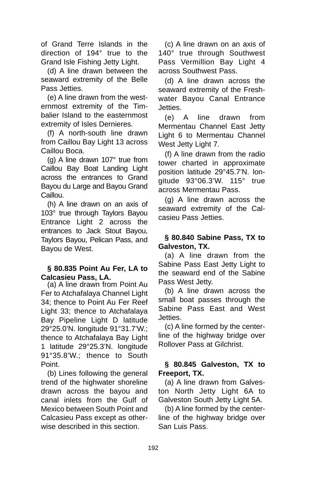of Grand Terre Islands in the direction of 194° true to the Grand Isle Fishing Jetty Light.

(d) A line drawn between the seaward extremity of the Belle Pass Jetties.

(e) A line drawn from the westernmost extremity of the Timbalier Island to the easternmost extremity of Isles Dernieres.

(f) A north-south line drawn from Caillou Bay Light 13 across Caillou Boca.

(g) A line drawn 107° true from Caillou Bay Boat Landing Light across the entrances to Grand Bayou du Large and Bayou Grand Caillou.

(h) A line drawn on an axis of 103° true through Taylors Bayou Entrance Light 2 across the entrances to Jack Stout Bayou, Taylors Bayou, Pelican Pass, and Bayou de West.

#### **§ 80.835 Point Au Fer, LA to Calcasieu Pass, LA.**

(a) A line drawn from Point Au Fer to Atchafalaya Channel Light 34; thence to Point Au Fer Reef Light 33; thence to Atchafalaya Bay Pipeline Light D latitude 29°25.0'N. longitude 91°31.7'W.; thence to Atchafalaya Bay Light 1 latitude 29°25.3'N. longitude 91°35.8'W.; thence to South Point.

(b) Lines following the general trend of the highwater shoreline drawn across the bayou and canal inlets from the Gulf of Mexico between South Point and Calcasieu Pass except as otherwise described in this section.

(c) A line drawn on an axis of 140° true through Southwest Pass Vermillion Bay Light 4 across Southwest Pass.

(d) A line drawn across the seaward extremity of the Freshwater Bayou Canal Entrance Jetties.

(e) A line drawn from Mermentau Channel East Jetty Light 6 to Mermentau Channel West Jetty Light 7.

(f) A line drawn from the radio tower charted in approximate position latitude 29°45.7'N. longitude 93°06.3'W. 115° true across Mermentau Pass.

(g) A line drawn across the seaward extremity of the Calcasieu Pass Jetties.

#### **§ 80.840 Sabine Pass, TX to Galveston, TX.**

(a) A line drawn from the Sabine Pass East Jetty Light to the seaward end of the Sabine Pass West Jetty.

(b) A line drawn across the small boat passes through the Sabine Pass East and West Jetties.

(c) A line formed by the centerline of the highway bridge over Rollover Pass at Gilchrist.

#### **§ 80.845 Galveston, TX to Freeport, TX.**

(a) A line drawn from Galveston North Jetty Light 6A to Galveston South Jetty Light 5A.

(b) A line formed by the centerline of the highway bridge over San Luis Pass.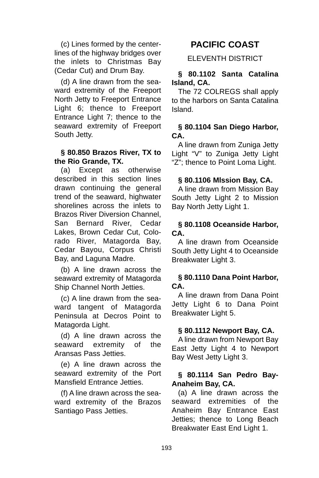(c) Lines formed by the centerlines of the highway bridges over the inlets to Christmas Bay (Cedar Cut) and Drum Bay.

(d) A line drawn from the seaward extremity of the Freeport North Jetty to Freeport Entrance Light 6; thence to Freeport Entrance Light 7; thence to the seaward extremity of Freeport South Jetty.

#### **§ 80.850 Brazos River, TX to the Rio Grande, TX.**

(a) Except as otherwise described in this section lines drawn continuing the general trend of the seaward, highwater shorelines across the inlets to Brazos River Diversion Channel, San Bernard River, Cedar Lakes, Brown Cedar Cut, Colorado River, Matagorda Bay, Cedar Bayou, Corpus Christi Bay, and Laguna Madre.

(b) A line drawn across the seaward extremity of Matagorda Ship Channel North Jetties.

(c) A line drawn from the seaward tangent of Matagorda Peninsula at Decros Point to Matagorda Light.

(d) A line drawn across the seaward extremity of the Aransas Pass Jetties.

(e) A line drawn across the seaward extremity of the Port Mansfield Entrance Jetties.

(f) A line drawn across the seaward extremity of the Brazos Santiago Pass Jetties.

## **PACIFIC COAST**

ELEVENTH DISTRICT

#### **§ 80.1102 Santa Catalina Island, CA.**

The 72 COLREGS shall apply to the harbors on Santa Catalina Island.

#### **§ 80.1104 San Diego Harbor, CA.**

A line drawn from Zuniga Jetty Light "V" to Zuniga Jetty Light "Z"; thence to Point Loma Light.

#### **§ 80.1106 Mlssion Bay, CA.**

A line drawn from Mission Bay South Jetty Light 2 to Mission Bay North Jetty Light 1.

#### **§ 80.1108 Oceanside Harbor, CA.**

A line drawn from Oceanside South Jetty Light 4 to Oceanside Breakwater Light 3.

#### **§ 80.1110 Dana Point Harbor, CA.**

A line drawn from Dana Point Jetty Light 6 to Dana Point Breakwater Light 5.

#### **§ 80.1112 Newport Bay, CA.**

A line drawn from Newport Bay East Jetty Light 4 to Newport Bay West Jetty Light 3.

#### **§ 80.1114 San Pedro Bay-Anaheim Bay, CA.**

(a) A line drawn across the seaward extremities of the Anaheim Bay Entrance East Jetties; thence to Long Beach Breakwater East End Light 1.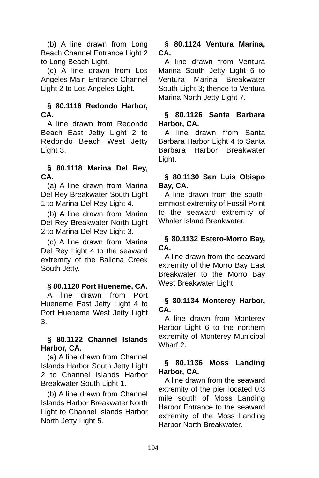(b) A line drawn from Long Beach Channel Entrance Light 2 to Long Beach Light.

(c) A line drawn from Los Angeles Main Entrance Channel Light 2 to Los Angeles Light.

#### **§ 80.1116 Redondo Harbor, CA.**

A line drawn from Redondo Beach East Jetty Light 2 to Redondo Beach West Jetty Light 3.

#### **§ 80.1118 Marina Del Rey, CA.**

(a) A line drawn from Marina Del Rey Breakwater South Light 1 to Marina Del Rey Light 4.

(b) A line drawn from Marina Del Rey Breakwater North Light 2 to Marina Del Rey Light 3.

(c) A line drawn from Marina Del Rey Light 4 to the seaward extremity of the Ballona Creek South Jetty.

#### **§ 80.1120 Port Hueneme, CA.**

A line drawn from Port Hueneme East Jetty Light 4 to Port Hueneme West Jetty Light 3.

#### **§ 80.1122 Channel Islands Harbor, CA.**

(a) A line drawn from Channel Islands Harbor South Jetty Light 2 to Channel Islands Harbor Breakwater South Light 1.

(b) A line drawn from Channel Islands Harbor Breakwater North Light to Channel Islands Harbor North Jetty Light 5.

#### **§ 80.1124 Ventura Marina, CA.**

A line drawn from Ventura Marina South Jetty Light 6 to Ventura Marina Breakwater South Light 3; thence to Ventura Marina North Jetty Light 7.

#### **§ 80.1126 Santa Barbara Harbor, CA.**

A line drawn from Santa Barbara Harbor Light 4 to Santa Barbara Harbor Breakwater Light.

#### **§ 80.1130 San Luis Obispo Bay, CA.**

A line drawn from the southernmost extremity of Fossil Point to the seaward extremity of Whaler Island Breakwater.

#### **§ 80.1132 Estero-Morro Bay, CA.**

A line drawn from the seaward extremity of the Morro Bay East Breakwater to the Morro Bay West Breakwater Light.

#### **§ 80.1134 Monterey Harbor, CA.**

A line drawn from Monterey Harbor Light 6 to the northern extremity of Monterey Municipal Wharf 2

#### **§ 80.1136 Moss Landing Harbor, CA.**

A line drawn from the seaward extremity of the pier located 0.3 mile south of Moss Landing Harbor Entrance to the seaward extremity of the Moss Landing Harbor North Breakwater.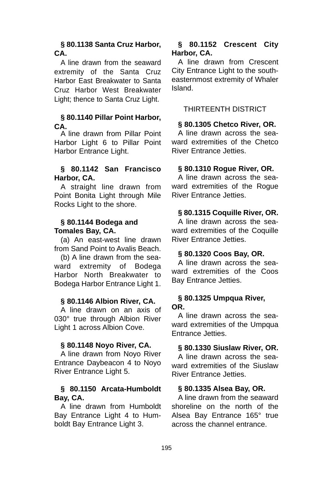#### **§ 80.1138 Santa Cruz Harbor, CA.**

A line drawn from the seaward extremity of the Santa Cruz Harbor East Breakwater to Santa Cruz Harbor West Breakwater Light; thence to Santa Cruz Light.

#### **§ 80.1140 Pillar Point Harbor, CA.**

A line drawn from Pillar Point Harbor Light 6 to Pillar Point Harbor Entrance Light.

#### **§ 80.1142 San Francisco Harbor, CA.**

A straight line drawn from Point Bonita Light through Mile Rocks Light to the shore.

#### **§ 80.1144 Bodega and Tomales Bay, CA.**

(a) An east-west line drawn from Sand Point to Avalis Beach.

(b) A line drawn from the seaward extremity of Bodega Harbor North Breakwater to Bodega Harbor Entrance Light 1.

#### **§ 80.1146 Albion River, CA.**

A line drawn on an axis of 030° true through Albion River Light 1 across Albion Cove.

#### **§ 80.1148 Noyo River, CA.**

A line drawn from Noyo River Entrance Daybeacon 4 to Noyo River Entrance Light 5.

#### **§ 80.1150 Arcata-Humboldt Bay, CA.**

A line drawn from Humboldt Bay Entrance Light 4 to Humboldt Bay Entrance Light 3.

### **§ 80.1152 Crescent City Harbor, CA.**

A line drawn from Crescent City Entrance Light to the southeasternmost extremity of Whaler Island.

#### THIRTEENTH DISTRICT

### **§ 80.1305 Chetco River, OR.**

A line drawn across the seaward extremities of the Chetco River Entrance Jetties.

### **§ 80.1310 Rogue River, OR.**

A line drawn across the seaward extremities of the Roque River Entrance Jetties.

### **§ 80.1315 Coquille River, OR.**

A line drawn across the seaward extremities of the Coquille River Entrance Jetties.

#### **§ 80.1320 Coos Bay, OR.**

A line drawn across the seaward extremities of the Coos Bay Entrance Jetties.

#### **§ 80.1325 Umpqua River, OR.**

A line drawn across the seaward extremities of the Umpqua Entrance Jetties.

#### **§ 80.1330 Siuslaw River, OR.**

A line drawn across the seaward extremities of the Siuslaw River Entrance Jetties.

#### **§ 80.1335 Alsea Bay, OR.**

A line drawn from the seaward shoreline on the north of the Alsea Bay Entrance 165° true across the channel entrance.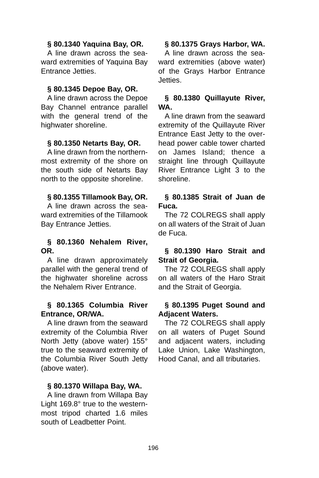#### **§ 80.1340 Yaquina Bay, OR.**

A line drawn across the seaward extremities of Yaquina Bay Entrance Jetties.

#### **§ 80.1345 Depoe Bay, OR.**

A line drawn across the Depoe Bay Channel entrance parallel with the general trend of the highwater shoreline.

#### **§ 80.1350 Netarts Bay, OR.**

A line drawn from the northernmost extremity of the shore on the south side of Netarts Bay north to the opposite shoreline.

#### **§ 80.1355 Tillamook Bay, OR.**

A line drawn across the seaward extremities of the Tillamook Bay Entrance Jetties.

#### **§ 80.1360 Nehalem River, OR.**

A line drawn approximately parallel with the general trend of the highwater shoreline across the Nehalem River Entrance.

#### **§ 80.1365 Columbia River Entrance, OR/WA.**

A line drawn from the seaward extremity of the Columbia River North Jetty (above water) 155° true to the seaward extremity of the Columbia River South Jetty (above water).

#### **§ 80.1370 Willapa Bay, WA.**

A line drawn from Willapa Bay Light 169.8° true to the westernmost tripod charted 1.6 miles south of Leadbetter Point.

#### **§ 80.1375 Grays Harbor, WA.**

A line drawn across the seaward extremities (above water) of the Grays Harbor Entrance Jetties.

#### **§ 80.1380 Quillayute River, WA.**

A line drawn from the seaward extremity of the Quillayute River Entrance East Jetty to the overhead power cable tower charted on James Island; thence a straight line through Quillayute River Entrance Light 3 to the shoreline.

#### **§ 80.1385 Strait of Juan de Fuca.**

The 72 COLREGS shall apply on all waters of the Strait of Juan de Fuca.

#### **§ 80.1390 Haro Strait and Strait of Georgia.**

The 72 COLREGS shall apply on all waters of the Haro Strait and the Strait of Georgia.

#### **§ 80.1395 Puget Sound and Adjacent Waters.**

The 72 COLREGS shall apply on all waters of Puget Sound and adjacent waters, including Lake Union, Lake Washington, Hood Canal, and all tributaries.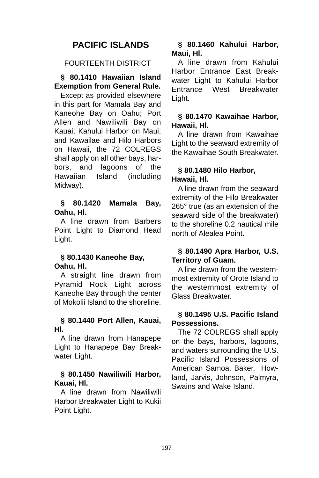## **PACIFIC ISLANDS**

#### FOURTEENTH DISTRICT

#### **§ 80.1410 Hawaiian Island Exemption from General Rule.**

Except as provided elsewhere in this part for Mamala Bay and Kaneohe Bay on Oahu; Port Allen and Nawiliwili Bay on Kauai; Kahului Harbor on Maui; and Kawailae and Hilo Harbors on Hawaii, the 72 COLREGS shall apply on all other bays, harbors, and lagoons of the Hawaiian Island (including Midway).

#### **§ 80.1420 Mamala Bay, Oahu, Hl.**

A line drawn from Barbers Point Light to Diamond Head Light.

#### **§ 80.1430 Kaneohe Bay, Oahu, Hl.**

A straight line drawn from Pyramid Rock Light across Kaneohe Bay through the center of Mokolii Island to the shoreline.

#### **§ 80.1440 Port Allen, Kauai, Hl.**

A line drawn from Hanapepe Light to Hanapepe Bay Breakwater Light.

#### **§ 80.1450 Nawiliwili Harbor, Kauai, Hl.**

A line drawn from Nawiliwili Harbor Breakwater Light to Kukii Point Light.

#### **§ 80.1460 Kahului Harbor, Maui, Hl.**

A line drawn from Kahului Harbor Entrance East Breakwater Light to Kahului Harbor Entrance West Breakwater Light.

#### **§ 80.1470 Kawaihae Harbor, Hawaii, Hl.**

A line drawn from Kawaihae Light to the seaward extremity of the Kawaihae South Breakwater.

#### **§ 80.1480 Hilo Harbor, Hawaii, Hl.**

A line drawn from the seaward extremity of the Hilo Breakwater 265° true (as an extension of the seaward side of the breakwater) to the shoreline 0.2 nautical mile north of Alealea Point.

#### **§ 80.1490 Apra Harbor, U.S. Territory of Guam.**

A line drawn from the westernmost extremity of Orote Island to the westernmost extremity of Glass Breakwater.

#### **§ 80.1495 U.S. Pacific Island Possessions.**

The 72 COLREGS shall apply on the bays, harbors, lagoons, and waters surrounding the U.S. Pacific Island Possessions of American Samoa, Baker, Howland, Jarvis, Johnson, Palmyra, Swains and Wake Island.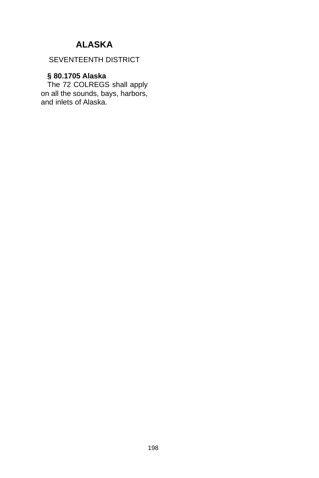## **ALASKA**

## SEVENTEENTH DISTRICT

#### **§ 80.1705 Alaska**

The 72 COLREGS shall apply on all the sounds, bays, harbors, and inlets of Alaska.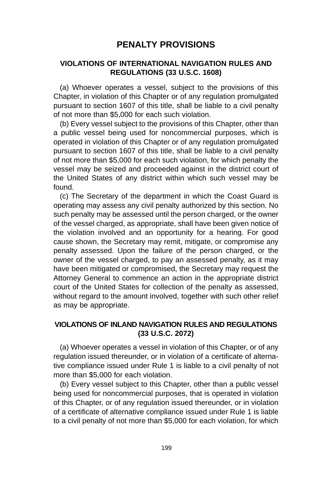## **PENALTY PROVISIONS**

#### **VIOLATIONS OF INTERNATIONAL NAVIGATION RULES AND REGULATIONS (33 U.S.C. 1608)**

(a) Whoever operates a vessel, subject to the provisions of this Chapter, in violation of this Chapter or of any regulation promulgated pursuant to section 1607 of this title, shall be liable to a civil penalty of not more than \$5,000 for each such violation.

(b) Every vessel subject to the provisions of this Chapter, other than a public vessel being used for noncommercial purposes, which is operated in violation of this Chapter or of any regulation promulgated pursuant to section 1607 of this title, shall be liable to a civil penalty of not more than \$5,000 for each such violation, for which penalty the vessel may be seized and proceeded against in the district court of the United States of any district within which such vessel may be found.

(c) The Secretary of the department in which the Coast Guard is operating may assess any civil penalty authorized by this section. No such penalty may be assessed until the person charged, or the owner of the vessel charged, as appropriate, shall have been given notice of the violation involved and an opportunity for a hearing. For good cause shown, the Secretary may remit, mitigate, or compromise any penalty assessed. Upon the failure of the person charged, or the owner of the vessel charged, to pay an assessed penalty, as it may have been mitigated or compromised, the Secretary may request the Attorney General to commence an action in the appropriate district court of the United States for collection of the penalty as assessed, without regard to the amount involved, together with such other relief as may be appropriate.

#### **VIOLATIONS OF INLAND NAVIGATION RULES AND REGULATIONS (33 U.S.C. 2072)**

(a) Whoever operates a vessel in violation of this Chapter, or of any regulation issued thereunder, or in violation of a certificate of alternative compliance issued under Rule 1 is liable to a civil penalty of not more than \$5,000 for each violation.

(b) Every vessel subject to this Chapter, other than a public vessel being used for noncommercial purposes, that is operated in violation of this Chapter, or of any regulation issued thereunder, or in violation of a certificate of alternative compliance issued under Rule 1 is liable to a civil penalty of not more than \$5,000 for each violation, for which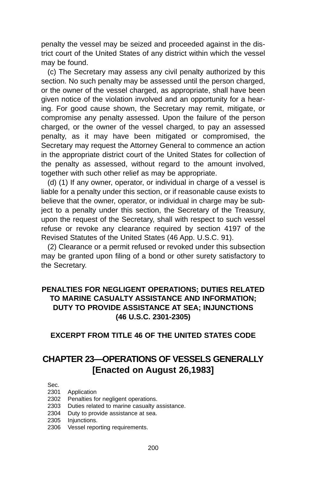penalty the vessel may be seized and proceeded against in the district court of the United States of any district within which the vessel may be found.

(c) The Secretary may assess any civil penalty authorized by this section. No such penalty may be assessed until the person charged, or the owner of the vessel charged, as appropriate, shall have been given notice of the violation involved and an opportunity for a hearing. For good cause shown, the Secretary may remit, mitigate, or compromise any penalty assessed. Upon the failure of the person charged, or the owner of the vessel charged, to pay an assessed penalty, as it may have been mitigated or compromised, the Secretary may request the Attorney General to commence an action in the appropriate district court of the United States for collection of the penalty as assessed, without regard to the amount involved, together with such other relief as may be appropriate.

(d) (1) If any owner, operator, or individual in charge of a vessel is liable for a penalty under this section, or if reasonable cause exists to believe that the owner, operator, or individual in charge may be subject to a penalty under this section, the Secretary of the Treasury, upon the request of the Secretary, shall with respect to such vessel refuse or revoke any clearance required by section 4197 of the Revised Statutes of the United States (46 App. U.S.C. 91).

(2) Clearance or a permit refused or revoked under this subsection may be granted upon filing of a bond or other surety satisfactory to the Secretary.

#### **PENALTIES FOR NEGLIGENT OPERATIONS; DUTIES RELATED TO MARINE CASUALTY ASSISTANCE AND INFORMATION; DUTY TO PROVIDE ASSISTANCE AT SEA; INJUNCTIONS (46 U.S.C. 2301-2305)**

#### **EXCERPT FROM TITLE 46 OF THE UNITED STATES CODE**

## **CHAPTER 23—OPERATIONS OF VESSELS GENERALLY [Enacted on August 26,1983]**

- Sec.<br>2301 **Application**
- 2302 Penalties for negligent operations.
- 2303 Duties related to marine casualty assistance.
- 2304 Duty to provide assistance at sea.
- 2305 Injunctions.
- 2306 Vessel reporting requirements.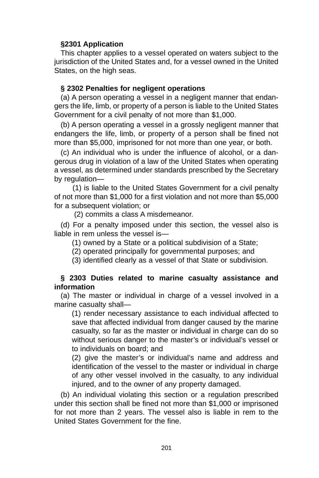#### **§2301 Application**

This chapter applies to a vessel operated on waters subject to the jurisdiction of the United States and, for a vessel owned in the United States, on the high seas.

#### **§ 2302 Penalties for negligent operations**

(a) A person operating a vessel in a negligent manner that endangers the life, limb, or property of a person is liable to the United States Government for a civil penalty of not more than \$1,000.

(b) A person operating a vessel in a grossly negligent manner that endangers the life, limb, or property of a person shall be fined not more than \$5,000, imprisoned for not more than one year, or both.

(c) An individual who is under the influence of alcohol, or a dangerous drug in violation of a law of the United States when operating a vessel, as determined under standards prescribed by the Secretary by regulation—

(1) is liable to the United States Government for a civil penalty of not more than \$1,000 for a first violation and not more than \$5,000 for a subsequent violation; or

(2) commits a class A misdemeanor.

(d) For a penalty imposed under this section, the vessel also is liable in rem unless the vessel is—

(1) owned by a State or a political subdivision of a State;

(2) operated principally for governmental purposes; and

(3) identified clearly as a vessel of that State or subdivision.

#### **§ 2303 Duties related to marine casualty assistance and information**

(a) The master or individual in charge of a vessel involved in a marine casualty shall—

(1) render necessary assistance to each individual affected to save that affected individual from danger caused by the marine casualty, so far as the master or individual in charge can do so without serious danger to the master's or individual's vessel or to individuals on board; and

(2) give the master's or individual's name and address and identification of the vessel to the master or individual in charge of any other vessel involved in the casualty, to any individual injured, and to the owner of any property damaged.

(b) An individual violating this section or a regulation prescribed under this section shall be fined not more than \$1,000 or imprisoned for not more than 2 years. The vessel also is liable in rem to the United States Government for the fine.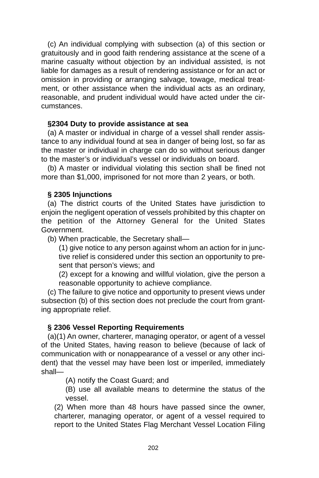(c) An individual complying with subsection (a) of this section or gratuitously and in good faith rendering assistance at the scene of a marine casualty without objection by an individual assisted, is not liable for damages as a result of rendering assistance or for an act or omission in providing or arranging salvage, towage, medical treatment, or other assistance when the individual acts as an ordinary, reasonable, and prudent individual would have acted under the circumstances.

#### **§2304 Duty to provide assistance at sea**

(a) A master or individual in charge of a vessel shall render assistance to any individual found at sea in danger of being lost, so far as the master or individual in charge can do so without serious danger to the master's or individual's vessel or individuals on board.

(b) A master or individual violating this section shall be fined not more than \$1,000, imprisoned for not more than 2 years, or both.

#### **§ 2305 Injunctions**

(a) The district courts of the United States have jurisdiction to enjoin the negligent operation of vessels prohibited by this chapter on the petition of the Attorney General for the United States Government.

(b) When practicable, the Secretary shall—

(1) give notice to any person against whom an action for in junctive relief is considered under this section an opportunity to present that person's views; and

(2) except for a knowing and willful violation, give the person a reasonable opportunity to achieve compliance.

(c) The failure to give notice and opportunity to present views under subsection (b) of this section does not preclude the court from granting appropriate relief.

#### **§ 2306 Vessel Reporting Requirements**

(a)(1) An owner, charterer, managing operator, or agent of a vessel of the United States, having reason to believe (because of lack of communication with or nonappearance of a vessel or any other incident) that the vessel may have been lost or imperiled, immediately shall—

(A) notify the Coast Guard; and

(B) use all available means to determine the status of the vessel.

(2) When more than 48 hours have passed since the owner, charterer, managing operator, or agent of a vessel required to report to the United States Flag Merchant Vessel Location Filing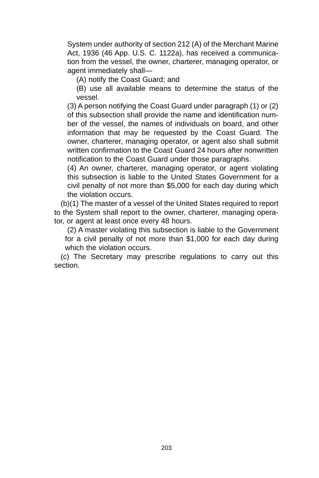System under authority of section 212 (A) of the Merchant Marine Act, 1936 (46 App. U.S. C. 1122a), has received a communication from the vessel, the owner, charterer, managing operator, or agent immediately shall—

(A) notify the Coast Guard; and

(B) use all available means to determine the status of the vessel.

(3) A person notifying the Coast Guard under paragraph (1) or (2) of this subsection shall provide the name and identification number of the vessel, the names of individuals on board, and other information that may be requested by the Coast Guard. The owner, charterer, managing operator, or agent also shall submit written confirmation to the Coast Guard 24 hours after nonwritten notification to the Coast Guard under those paragraphs.

(4) An owner, charterer, managing operator, or agent violating this subsection is liable to the United States Government for a civil penalty of not more than \$5,000 for each day during which the violation occurs.

(b)(1) The master of a vessel of the United States required to report to the System shall report to the owner, charterer, managing operator, or agent at least once every 48 hours.

(2) A master violating this subsection is liable to the Government for a civil penalty of not more than \$1,000 for each day during which the violation occurs.

(c) The Secretary may prescribe regulations to carry out this section.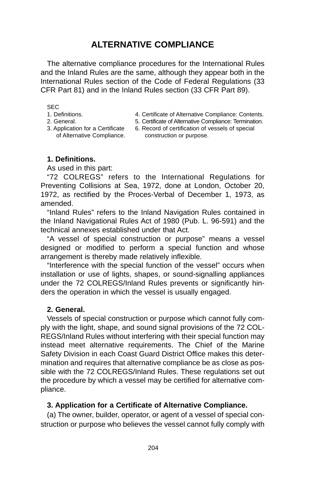## **ALTERNATIVE COMPLIANCE**

The alternative compliance procedures for the International Rules and the Inland Rules are the same, although they appear both in the International Rules section of the Code of Federal Regulations (33 CFR Part 81) and in the Inland Rules section (33 CFR Part 89).

- SEC<br>1. Definitions.
- 
- 4. Certificate of Alternative Compliance: Contents.
- 
- 2. General. 5. Certificate of Alternative Compliance: Termination. 3. Application for a Certificate 6. Record of certification of vessels of special
	- of Alternative Compliance. construction or purpose.

#### **1. Definitions.**

As used in this part:

"72 COLREGS" refers to the International Regulations for Preventing Collisions at Sea, 1972, done at London, October 20, 1972, as rectified by the Proces-Verbal of December 1, 1973, as amended.

"Inland Rules" refers to the Inland Navigation Rules contained in the Inland Navigational Rules Act of 1980 (Pub. L. 96-591) and the technical annexes established under that Act.

"A vessel of special construction or purpose" means a vessel designed or modified to perform a special function and whose arrangement is thereby made relatively inflexible.

"Interference with the special function of the vessel" occurs when installation or use of lights, shapes, or sound-signalling appliances under the 72 COLREGS/Inland Rules prevents or significantly hinders the operation in which the vessel is usually engaged.

#### **2. General.**

Vessels of special construction or purpose which cannot fully comply with the light, shape, and sound signal provisions of the 72 COL-REGS/Inland Rules without interfering with their special function may instead meet alternative requirements. The Chief of the Marine Safety Division in each Coast Guard District Office makes this determination and requires that alternative compliance be as close as possible with the 72 COLREGS/Inland Rules. These regulations set out the procedure by which a vessel may be certified for alternative compliance.

#### **3. Application for a Certificate of Alternative Compliance.**

(a) The owner, builder, operator, or agent of a vessel of special construction or purpose who believes the vessel cannot fully comply with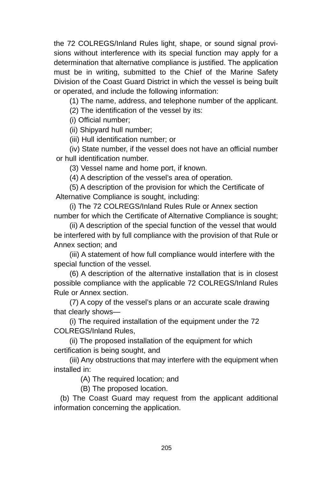the 72 COLREGS/Inland Rules light, shape, or sound signal provisions without interference with its special function may apply for a determination that alternative compliance is justified. The application must be in writing, submitted to the Chief of the Marine Safety Division of the Coast Guard District in which the vessel is being built or operated, and include the following information:

(1) The name, address, and telephone number of the applicant.

(2) The identification of the vessel by its:

(i) Official number;

(ii) Shipyard hull number;

(iii) Hull identification number; or

(iv) State number, if the vessel does not have an official number or hull identification number.

(3) Vessel name and home port, if known.

(4) A description of the vessel's area of operation.

(5) A description of the provision for which the Certificate of Alternative Compliance is sought, including:

(i) The 72 COLREGS/Inland Rules Rule or Annex section number for which the Certificate of Alternative Compliance is sought;

(ii) A description of the special function of the vessel that would be interfered with by full compliance with the provision of that Rule or Annex section; and

(iii) A statement of how full compliance would interfere with the special function of the vessel.

(6) A description of the alternative installation that is in closest possible compliance with the applicable 72 COLREGS/Inland Rules Rule or Annex section.

(7) A copy of the vessel's plans or an accurate scale drawing that clearly shows—

(i) The required installation of the equipment under the 72 COLREGS/Inland Rules,

(ii) The proposed installation of the equipment for which certification is being sought, and

(iii) Any obstructions that may interfere with the equipment when installed in:

(A) The required location; and

(B) The proposed location.

(b) The Coast Guard may request from the applicant additional information concerning the application.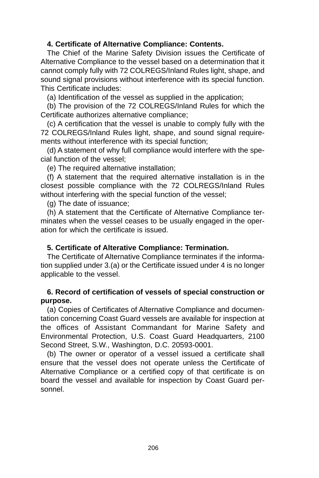#### **4. Certificate of Alternative Compliance: Contents.**

The Chief of the Marine Safety Division issues the Certificate of Alternative Compliance to the vessel based on a determination that it cannot comply fully with 72 COLREGS/Inland Rules light, shape, and sound signal provisions without interference with its special function. This Certificate includes:

(a) Identification of the vessel as supplied in the application;

(b) The provision of the 72 COLREGS/Inland Rules for which the Certificate authorizes alternative compliance;

(c) A certification that the vessel is unable to comply fully with the 72 COLREGS/Inland Rules light, shape, and sound signal requirements without interference with its special function;

(d) A statement of why full compliance would interfere with the special function of the vessel;

(e) The required alternative installation;

(f) A statement that the required alternative installation is in the closest possible compliance with the 72 COLREGS/Inland Rules without interfering with the special function of the vessel;

(g) The date of issuance;

(h) A statement that the Certificate of Alternative Compliance terminates when the vessel ceases to be usually engaged in the operation for which the certificate is issued.

#### **5. Certificate of Alterative Compliance: Termination.**

The Certificate of Alternative Compliance terminates if the information supplied under 3.(a) or the Certificate issued under 4 is no longer applicable to the vessel.

#### **6. Record of certification of vessels of special construction or purpose.**

(a) Copies of Certificates of Alternative Compliance and documentation concerning Coast Guard vessels are available for inspection at the offices of Assistant Commandant for Marine Safety and Environmental Protection, U.S. Coast Guard Headquarters, 2100 Second Street, S.W., Washington, D.C. 20593-0001.

(b) The owner or operator of a vessel issued a certificate shall ensure that the vessel does not operate unless the Certificate of Alternative Compliance or a certified copy of that certificate is on board the vessel and available for inspection by Coast Guard personnel.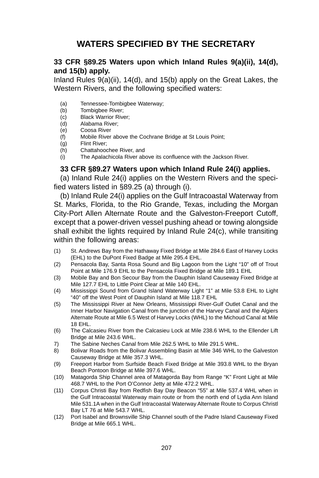# **WATERS SPECIFIED BY THE SECRETARY**

# **33 CFR §89.25 Waters upon which Inland Rules 9(a)(ii), 14(d), and 15(b) apply.**

Inland Rules 9(a)(ii), 14(d), and 15(b) apply on the Great Lakes, the Western Rivers, and the following specified waters:

- (a) Tennessee-Tombigbee Waterway;
- (b) Tombigbee River;
- (c) Black Warrior River;
- (d) Alabama River;
- (e) Coosa River
- (f) Mobile River above the Cochrane Bridge at St Louis Point;
- (g) Flint River;
- (h) Chattahoochee River, and
- (i) The Apalachicola River above its confluence with the Jackson River.

#### **33 CFR §89.27 Waters upon which Inland Rule 24(i) applies.**

(a) Inland Rule 24(i) applies on the Western Rivers and the specified waters listed in §89.25 (a) through (i).

(b) Inland Rule 24(i) applies on the Gulf Intracoastal Waterway from St. Marks, Florida, to the Rio Grande, Texas, including the Morgan City-Port Allen Alternate Route and the Galveston-Freeport Cutoff, except that a power-driven vessel pushing ahead or towing alongside shall exhibit the lights required by Inland Rule 24(c), while transiting within the following areas:

- (1) St. Andrews Bay from the Hathaway Fixed Bridge at Mile 284.6 East of Harvey Locks (EHL) to the DuPont Fixed Badge at Mile 295.4 EHL.
- (2) Pensacola Bay, Santa Rosa Sound and Big Lagoon from the Light "10" off of Trout Point at Mile 176.9 EHL to the Pensacola Fixed Bridge at Mile 189.1 EHL
- (3) Mobile Bay and Bon Secour Bay from the Dauphin Island Causeway Fixed Bridge at Mile 127.7 EHL to Little Point Clear at Mile 140 EHL.
- (4) Mississippi Sound from Grand Island Waterway Light "1" at Mile 53.8 EHL to Light "40" off the West Point of Dauphin Island at Mile 118.7 EHL
- (5) The Mississippi River at New Orleans, Mississippi River-Gulf Outlet Canal and the Inner Harbor Navigation Canal from the junction of the Harvey Canal and the Algiers Alternate Route at Mile 6.5 West of Harvey Locks (WHL) to the Michoud Canal at Mile 18 EHL.
- (6) The Calcasieu River from the Calcasieu Lock at Mile 238.6 WHL to the Ellender Lift Bridge at Mile 243.6 WHL.
- 7) The Sabine Neches Canal from Mile 262.5 WHL to Mile 291.5 WHL.
- 8) Bolivar Roads from the Bolivar Assembling Basin at Mile 346 WHL to the Galveston Causeway Bridge at Mile 357.3 WHL.
- (9) Freeport Harbor from Surfside Beach Fixed Bridge at Mile 393.8 WHL to the Bryan Beach Pontoon Bridge at Mile 397.6 WHL.
- (10) Matagorda Ship Channel area of Matagorda Bay from Range "K" Front Light at Mile 468.7 WHL to the Port O'Connor Jetty at Mile 472.2 WHL.
- (11) Corpus Christi Bay from Redfish Bay Day Beacon "55" at Mile 537.4 WHL when in the Gulf Intracoastal Waterway main route or from the north end of Lydia Ann Island Mile 531.1A when in the Gulf Intracoastal Waterway Alternate Route to Corpus Christl Bay LT 76 at Mile 543.7 WHL.
- (12) Port Isabel and Brownsville Ship Channel south of the Padre Island Causeway Fixed Bridge at Mile 665.1 WHL.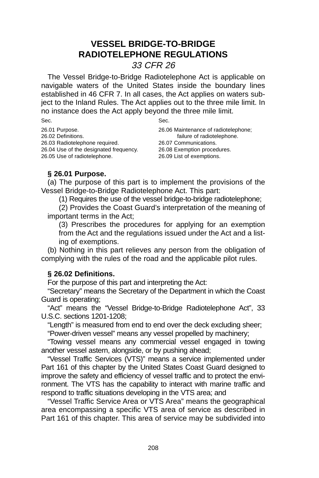# **VESSEL BRIDGE-TO-BRIDGE RADIOTELEPHONE REGULATIONS** 33 CFR 26

The Vessel Bridge-to-Bridge Radiotelephone Act is applicable on navigable waters of the United States inside the boundary lines established in 46 CFR 7. In all cases, the Act applies on waters subject to the Inland Rules. The Act applies out to the three mile limit. In no instance does the Act apply beyond the three mile limit.

Sec. Sec. Sec. Sec. Sec.

26.01 Purpose. 26.06 Maintenance of radiotelephone; 26.02 Definitions. The contract of radiotelephone. 26.03 Radiotelephone required. 26.07 Communications. 26.04 Use of the designated frequency. 26.08 Exemption procedures. 26.05 Use of radiotelephone. 26.09 List of exemptions.

# **§ 26.01 Purpose.**

(a) The purpose of this part is to implement the provisions of the Vessel Bridge-to-Bridge Radiotelephone Act. This part:

(1) Requires the use of the vessel bridge-to-bridge radiotelephone;

(2) Provides the Coast Guard's interpretation of the meaning of important terms in the Act;

(3) Prescribes the procedures for applying for an exemption from the Act and the regulations issued under the Act and a listing of exemptions.

(b) Nothing in this part relieves any person from the obligation of complying with the rules of the road and the applicable pilot rules.

# **§ 26.02 Definitions.**

For the purpose of this part and interpreting the Act:

"Secretary" means the Secretary of the Department in which the Coast Guard is operating;

"Act" means the "Vessel Bridge-to-Bridge Radiotelephone Act", 33 U.S.C. sections 1201-1208;

"Length" is measured from end to end over the deck excluding sheer;

"Power-driven vessel" means any vessel propelled by machinery;

"Towing vessel means any commercial vessel engaged in towing another vessel astern, alongside, or by pushing ahead;

"Vessel Traffic Services (VTS)" means a service implemented under Part 161 of this chapter by the United States Coast Guard designed to improve the safety and efficiency of vessel traffic and to protect the environment. The VTS has the capability to interact with marine traffic and respond to traffic situations developing in the VTS area; and

"Vessel Traffic Service Area or VTS Area" means the geographical area encompassing a specific VTS area of service as described in Part 161 of this chapter. This area of service may be subdivided into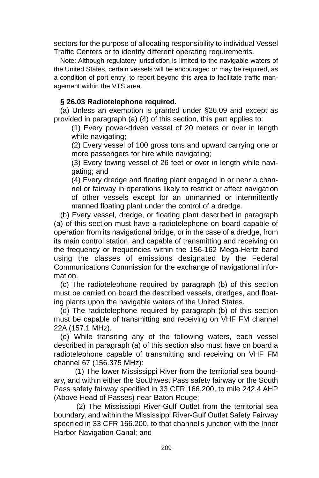sectors for the purpose of allocating responsibility to individual Vessel Traffic Centers or to identify different operating requirements.

Note: Although regulatory jurisdiction is limited to the navigable waters of the United States, certain vessels will be encouraged or may be required, as a condition of port entry, to report beyond this area to facilitate traffic management within the VTS area.

# **§ 26.03 Radiotelephone required.**

(a) Unless an exemption is granted under §26.09 and except as provided in paragraph (a) (4) of this section, this part applies to:

(1) Every power-driven vessel of 20 meters or over in length while navigating;

(2) Every vessel of 100 gross tons and upward carrying one or more passengers for hire while navigating;

(3) Every towing vessel of 26 feet or over in length while navigating; and

(4) Every dredge and floating plant engaged in or near a channel or fairway in operations likely to restrict or affect navigation of other vessels except for an unmanned or intermittently manned floating plant under the control of a dredge.

(b) Every vessel, dredge, or floating plant described in paragraph (a) of this section must have a radiotelephone on board capable of operation from its navigational bridge, or in the case of a dredge, from its main control station, and capable of transmitting and receiving on the frequency or frequencies within the 156-162 Mega-Hertz band using the classes of emissions designated by the Federal Communications Commission for the exchange of navigational information.

(c) The radiotelephone required by paragraph (b) of this section must be carried on board the described vessels, dredges, and floating plants upon the navigable waters of the United States.

(d) The radiotelephone required by paragraph (b) of this section must be capable of transmitting and receiving on VHF FM channel 22A (157.1 MHz).

(e) While transiting any of the following waters, each vessel described in paragraph (a) of this section also must have on board a radiotelephone capable of transmitting and receiving on VHF FM channel 67 (156.375 MHz):

(1) The lower Mississippi River from the territorial sea boundary, and within either the Southwest Pass safety fairway or the South Pass safety fairway specified in 33 CFR 166.200, to mile 242.4 AHP (Above Head of Passes) near Baton Rouge;

(2) The Mississippi River-Gulf Outlet from the territorial sea boundary, and within the Mississippi River-Gulf Outlet Safety Fairway specified in 33 CFR 166.200, to that channel's junction with the Inner Harbor Navigation Canal; and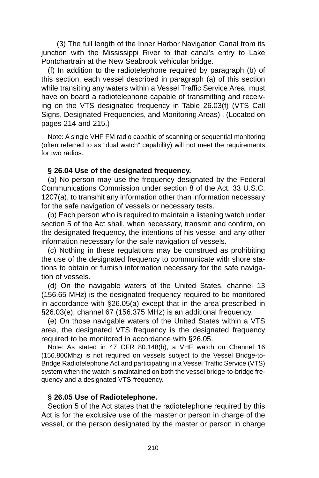(3) The full length of the Inner Harbor Navigation Canal from its junction with the Mississippi River to that canal's entry to Lake Pontchartrain at the New Seabrook vehicular bridge.

(f) In addition to the radiotelephone required by paragraph (b) of this section, each vessel described in paragraph (a) of this section while transiting any waters within a Vessel Traffic Service Area, must have on board a radiotelephone capable of transmitting and receiving on the VTS designated frequency in Table 26.03(f) (VTS Call Signs, Designated Frequencies, and Monitoring Areas) . (Located on pages 214 and 215.)

Note: A single VHF FM radio capable of scanning or sequential monitoring (often referred to as "dual watch" capability) will not meet the requirements for two radios.

## **§ 26.04 Use of the designated frequency.**

(a) No person may use the frequency designated by the Federal Communications Commission under section 8 of the Act, 33 U.S.C. 1207(a), to transmit any information other than information necessary for the safe navigation of vessels or necessary tests.

(b) Each person who is required to maintain a listening watch under section 5 of the Act shall, when necessary, transmit and confirm, on the designated frequency, the intentions of his vessel and any other information necessary for the safe navigation of vessels.

(c) Nothing in these regulations may be construed as prohibiting the use of the designated frequency to communicate with shore stations to obtain or furnish information necessary for the safe navigation of vessels.

(d) On the navigable waters of the United States, channel 13 (156.65 MHz) is the designated frequency required to be monitored in accordance with §26.05(a) except that in the area prescribed in §26.03(e), channel 67 (156.375 MHz) is an additional frequency.

(e) On those navigable waters of the United States within a VTS area, the designated VTS frequency is the designated frequency required to be monitored in accordance with §26.05.

Note: As stated in 47 CFR 80.148(b), a VHF watch on Channel 16 (156.800Mhz) is not required on vessels subject to the Vessel Bridge-to-Bridge Radiotelephone Act and participating in a Vessel Traffic Service (VTS) system when the watch is maintained on both the vessel bridge-to-bridge frequency and a designated VTS frequency.

#### **§ 26.05 Use of Radiotelephone.**

Section 5 of the Act states that the radiotelephone required by this Act is for the exclusive use of the master or person in charge of the vessel, or the person designated by the master or person in charge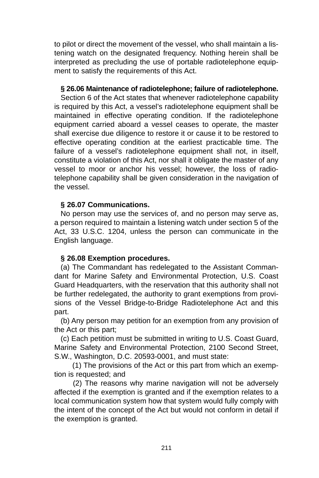to pilot or direct the movement of the vessel, who shall maintain a listening watch on the designated frequency. Nothing herein shall be interpreted as precluding the use of portable radiotelephone equipment to satisfy the requirements of this Act.

### **§ 26.06 Maintenance of radiotelephone; failure of radiotelephone.**

Section 6 of the Act states that whenever radiotelephone capability is required by this Act, a vessel's radiotelephone equipment shall be maintained in effective operating condition. If the radiotelephone equipment carried aboard a vessel ceases to operate, the master shall exercise due diligence to restore it or cause it to be restored to effective operating condition at the earliest practicable time. The failure of a vessel's radiotelephone equipment shall not, in itself, constitute a violation of this Act, nor shall it obligate the master of any vessel to moor or anchor his vessel; however, the loss of radiotelephone capability shall be given consideration in the navigation of the vessel.

## **§ 26.07 Communications.**

No person may use the services of, and no person may serve as, a person required to maintain a listening watch under section 5 of the Act, 33 U.S.C. 1204, unless the person can communicate in the English language.

## **§ 26.08 Exemption procedures.**

(a) The Commandant has redelegated to the Assistant Commandant for Marine Safety and Environmental Protection, U.S. Coast Guard Headquarters, with the reservation that this authority shall not be further redelegated, the authority to grant exemptions from provisions of the Vessel Bridge-to-Bridge Radiotelephone Act and this part.

(b) Any person may petition for an exemption from any provision of the Act or this part;

(c) Each petition must be submitted in writing to U.S. Coast Guard, Marine Safety and Environmental Protection, 2100 Second Street, S.W., Washington, D.C. 20593-0001, and must state:

(1) The provisions of the Act or this part from which an exemption is requested; and

(2) The reasons why marine navigation will not be adversely affected if the exemption is granted and if the exemption relates to a local communication system how that system would fully comply with the intent of the concept of the Act but would not conform in detail if the exemption is granted.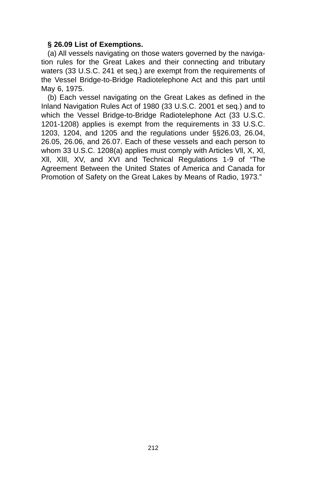## **§ 26.09 List of Exemptions.**

(a) All vessels navigating on those waters governed by the navigation rules for the Great Lakes and their connecting and tributary waters (33 U.S.C. 241 et seq.) are exempt from the requirements of the Vessel Bridge-to-Bridge Radiotelephone Act and this part until May 6, 1975.

(b) Each vessel navigating on the Great Lakes as defined in the Inland Navigation Rules Act of 1980 (33 U.S.C. 2001 et seq.) and to which the Vessel Bridge-to-Bridge Radiotelephone Act (33 U.S.C. 1201-1208) applies is exempt from the requirements in 33 U.S.C. 1203, 1204, and 1205 and the regulations under §§26.03, 26.04, 26.05, 26.06, and 26.07. Each of these vessels and each person to whom 33 U.S.C. 1208(a) applies must comply with Articles Vll, X, Xl, Xll, XlIl, XV, and XVI and Technical Regulations 1-9 of "The Agreement Between the United States of America and Canada for Promotion of Safety on the Great Lakes by Means of Radio, 1973."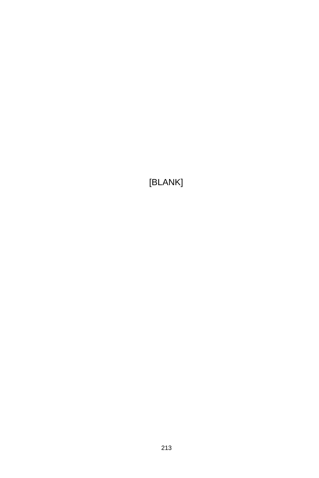[BLANK]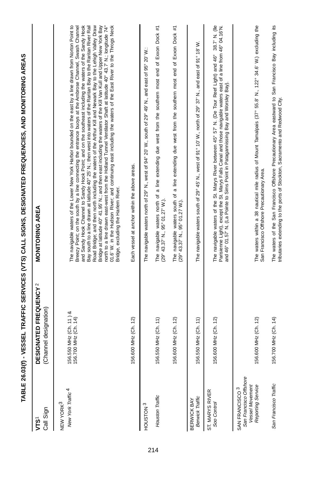| TABLE 26.03(f) - VE                                                                          |                                                            | SSSEL TRAFFIC SERVICES (VTS) CALL SIGNS, DESIGNATED FREQUENCIES, AND MONITORING AREAS                                                                                                                                                                                                                                                                                                                                                                                                                                                                                                                                                                                                                                                                                                                                                                                                                                                                                   |
|----------------------------------------------------------------------------------------------|------------------------------------------------------------|-------------------------------------------------------------------------------------------------------------------------------------------------------------------------------------------------------------------------------------------------------------------------------------------------------------------------------------------------------------------------------------------------------------------------------------------------------------------------------------------------------------------------------------------------------------------------------------------------------------------------------------------------------------------------------------------------------------------------------------------------------------------------------------------------------------------------------------------------------------------------------------------------------------------------------------------------------------------------|
| Call Sign<br>VTST                                                                            | DESIGNATED FREQUENCY <sup>2</sup><br>(Channel designation) | <b>MONITORING AREA</b>                                                                                                                                                                                                                                                                                                                                                                                                                                                                                                                                                                                                                                                                                                                                                                                                                                                                                                                                                  |
| New York Traffic <sup>4</sup><br>NEW YORK <sup>3</sup>                                       | MHz (Ch. 11) &<br>MHz (Ch. 14)<br>156.550<br>156.700       | The navigable waters of the Lower New York Harbor bounded on the east by a line drawn from Norton Point to<br>and Sandy Hook Channel to Sandy Hook Point; and on the southeast including the waters of the Sandy Hook<br>Breezy Point; on the south by a line connecting the entrance buoys at the Ambrose Channel, Swash Channel<br>Bay south to a line drawn at latitude 40° 25' N.; then west into waters of the Raritan Bay to the Raritan River Rail<br>Road Bridge; and then north including the waters of the Arthur Kill and Newark Bay to the Lehigh Valley Draw<br>Bridge at latitude 40° 41.95' N.; and then east including the waters of the Kill Van Kull and Upper New York Bay<br>north to a line drawn east-west from the Holland Tunnel Ventilator Shaft at latitude 40° 43.7' N.; longitude 74°<br>01.6' W. in the Hudson River; and continuing east including the waters of the East River to the Throgs Neck<br>Bridge, excluding the Harlem River. |
|                                                                                              | MHz (Ch. 12)<br>156.600                                    | Each vessel at anchor within the above areas.                                                                                                                                                                                                                                                                                                                                                                                                                                                                                                                                                                                                                                                                                                                                                                                                                                                                                                                           |
| HOUSTON <sup>3</sup>                                                                         |                                                            | The navigable waters north of 29° N., west of 94° 20' W., south of 29° 49' An, and east of 95° 20' W.:                                                                                                                                                                                                                                                                                                                                                                                                                                                                                                                                                                                                                                                                                                                                                                                                                                                                  |
| Houston Traffic                                                                              | MHz (Ch. 11)<br>156.550                                    | a line extending due west from the southern most end of Exxon Dock #1<br>The navigable waters north of<br>(29° 43.37' N., 95° 01.27' W.).                                                                                                                                                                                                                                                                                                                                                                                                                                                                                                                                                                                                                                                                                                                                                                                                                               |
|                                                                                              | MHz (Ch. 12)<br>156.600                                    | The navigable waters south of a line extending due west from the southern most end of Exxon Dock #1<br>(29° 43.37' N., 95° 01.27 W.).                                                                                                                                                                                                                                                                                                                                                                                                                                                                                                                                                                                                                                                                                                                                                                                                                                   |
| Berwick Traffic<br>BERWICK BAY                                                               | MHz (Ch. 11)<br>156.550                                    | The navigable waters south of 29° 45' N., west of 91° 10' W, north of 29° 37' N., and east of 91° 18' W.                                                                                                                                                                                                                                                                                                                                                                                                                                                                                                                                                                                                                                                                                                                                                                                                                                                                |
| ST. MARYS RIVER<br>Soo Control                                                               | MHz (Ch. 12)<br>156.600                                    | The navigable waters of the St. Marys River between 45° 57' N. (De Tour Reef Light) and 46° 38.7" N. (Ile<br>Parisienne Light), except the St. Marys Falls Canal and those navigable waters east of a line from 46° 04.16'N.<br>and 46° 01.57' N. (La Pointe to Sims Point in Patagannissing Bay and Worsley Bay).                                                                                                                                                                                                                                                                                                                                                                                                                                                                                                                                                                                                                                                      |
| San Francisco Offshore<br>Reporting Service<br>Vessel Movement<br>SAN FRANCISCO <sup>3</sup> | MHz (Ch. 12)<br>156.600                                    | The waters within a 38 nautical mile radius of Mount Tamalpais (37° 55.8' N., 122° 34.6' W.) excluding the<br>San Francisco Offshore Precautionary Area.                                                                                                                                                                                                                                                                                                                                                                                                                                                                                                                                                                                                                                                                                                                                                                                                                |
| San Francisco Traffic                                                                        | MHz (Ch. 14)<br>156.700                                    | The waters of the San Francisco Offshore Precautionary Area eastward to San Francisco Bay including its<br>tributaries extending to the ports of Stockton, Sacramento and Redwood City.                                                                                                                                                                                                                                                                                                                                                                                                                                                                                                                                                                                                                                                                                                                                                                                 |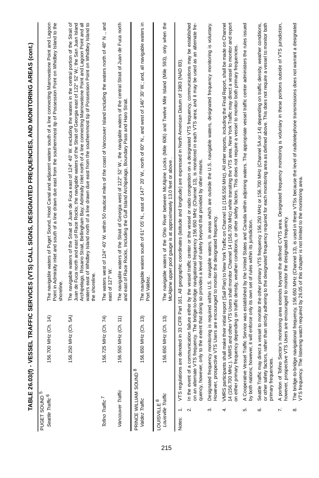|                                               | TABLE 26.03(f) - VESS                                                             |                         | (cont.<br>DESIGNATED FREQUENCIES, AND MONITORING AREAS<br>EL TRAFFIC SERVICES (VTS) CALL SIGNS,                                                                                                                                                                                                                                                                                                                                                                                                                                                                       |
|-----------------------------------------------|-----------------------------------------------------------------------------------|-------------------------|-----------------------------------------------------------------------------------------------------------------------------------------------------------------------------------------------------------------------------------------------------------------------------------------------------------------------------------------------------------------------------------------------------------------------------------------------------------------------------------------------------------------------------------------------------------------------|
| PUGET SOUND 5<br>Seattle Traffic <sup>6</sup> |                                                                                   | 156.700 MHz (Ch. 14)    | The navigable waters of Puget Sound, Hood Canal and adjacent waters south of a line connecting Marrowstone Point and Lagoon<br>Point in Admiralty inlet and south of a line drawn due east from the southernmost tip of Possession Point on Whidbey Island to the<br>shoreline                                                                                                                                                                                                                                                                                        |
|                                               |                                                                                   | 156.250 MHz (Ch. 5A)    | The navigable waters of the Strait of Juan de Fuca east of 124° 40' W. excluding the waters in the central portion of the Strait of<br>waters east of Whidbey Island north of a line drawn due east from the southernmost tip of Possession Point on Whidbey Island to<br>Juan de Fuca north and east of Race Rocks; the navigable waters of the Strait of Georgia east of 122° 52' W.; the San Juan Island<br>Archipelago, Rosario Strait, Bellingham Bay; Admiralty Inlet north of a line connecting Marrowstone Point and Lagoon Point and all<br>shoreline<br>the |
| Tofino Traffic <sup>7</sup>                   |                                                                                   | 156.725 MHz (Ch. 74)    | The waters west of 124° 40' W. within 50 nautical miles of the coast of Vancouver Island including the waters north of 48° N ., and<br>east of 127° W                                                                                                                                                                                                                                                                                                                                                                                                                 |
| Vancouver Traffic                             |                                                                                   | 156.550 MHz (Ch. 11)    | The navigable waters of the Strait of Georgia west of 122° 52' W., the navigable waters of the central Strait of Juan de Fuca north<br>east of Race Rocks, Including the Gulf Island Archipelago, Boundary Pass and Haro Strait<br>and<br>a                                                                                                                                                                                                                                                                                                                           |
| Valdez Traffic                                | PRINCE WILLIAM SOUND 8                                                            | 156.650 MHz (Ch. 13)    | The navigable waters south of 61° O5' N., east of 147° 20' W., north of 60° N., and west of 146° 30' W.; and, all navigable waters in<br>Valde:<br>Port                                                                                                                                                                                                                                                                                                                                                                                                               |
| Louisville Traffic<br>LOUISVILLE <sup>8</sup> |                                                                                   | MHz (Ch. 13)<br>156.650 | The navigable waters of the Ohio River between McAlpine Locks (Mile 606) and Twelve Mile Island (Mile 593), only when the<br>McAlpine upper pool gauge is at approximately 13.0 feet or above                                                                                                                                                                                                                                                                                                                                                                         |
| $\div$<br>Notes:                              |                                                                                   |                         | VTS regulations are denoted in 33 CFR Part 161. All geographic coordinates (latitude and longitude) are expressed in North American Datum of 1983 (NAD 83)                                                                                                                                                                                                                                                                                                                                                                                                            |
| Ń۰                                            | quency, however, only to                                                          |                         | In the event of a communication failure either by the vessel traffic center or the vessel or radio congestion on a designated VTS frequency, communications may be established<br>on an alternate VTS frequency. The bridge-to-bridge navigational frequency 156.650 MHz (Channel 13), is monitored in each VTS area; and it may be used as an alternate fre-<br>the extent that doing so provides a level of safety beyond that provided by other means                                                                                                              |
| က                                             |                                                                                   |                         | Designated frequency monitoring is required within U.S. navigable waters. In areas which are outside the U.S. navigable waters, designated frequency monitoring is voluntary.<br>However, prospective VTS Users are encouraged to monitor the designated frequency.                                                                                                                                                                                                                                                                                                   |
| 4.                                            |                                                                                   |                         | 14 (156.700 MHz.). VMRS and other VTS Users shall monitor Channel 14 (156.700 MHz) while transiting the VTS area. New York Traffic may direct a vessel to monitor and report<br>/MRS participants shall make their initial report (Sail Plan) to New York Traffic on Channel 11 (156.550 MHz). All other reports, including the Final Report, shall be made on Channel<br>on either primary frequency depending on traffic density, weather conditions, or other safety factors. This does not require a vessel to monitor both primary frequencies                   |
| ທ່                                            |                                                                                   |                         | A Cooperative Vessel Traffic Service was established by the United States and Canada within adjoining waters. The appropriate vessel traffic center administers the rules issued<br>by both nations; however, it will enforce only its own set of rules within its jurisdiction.                                                                                                                                                                                                                                                                                      |
| ق                                             | Seattle Traffic may direct<br>or other safety factors, ra<br>primary frequencies. |                         | a vessel to monitor the other primary VTS frequency 156.250 MHz or 156.700 MHz (Channel 5A or 14) depending on traffic density, weather conditions,<br>ther than strictly adhering to the designated frequency required for each monitoring area as defined above. This does not require a vessel to monitor both                                                                                                                                                                                                                                                     |
| <sup>z</sup>                                  | however, prospective VT.                                                          |                         | A portion of Tofino Sector's monitoring area extends beyond the defined CVTS area. Designated frequency monitoring is voluntary in these portions outside of VTS jurisdiction,<br>S Users are encouraged to monitor the designated frequency                                                                                                                                                                                                                                                                                                                          |

8. The bridge-to-bridge navigational frequency, 156.650 MHz (Channel 13), is used in these VTSs because the level of radiotelephone transmissions does not warrant a designated

The bridge-to-bridge navigational frequency, 156.650 MHz (Channel 13), is used in these VTSs because the level of radiotelephone transmissions does not warrant a designated<br>VTS frequency. The listening watch required by 26

VTS frequency. The listening watch required by 26.05 of this chapter is not limited to the monitoring area.

 $\dot{\circ}$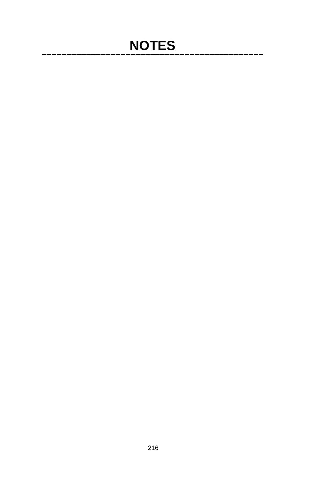# **NOTES**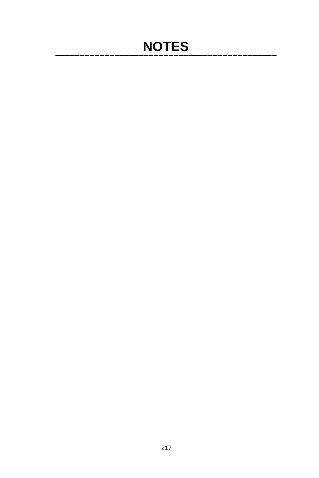# **NOTES**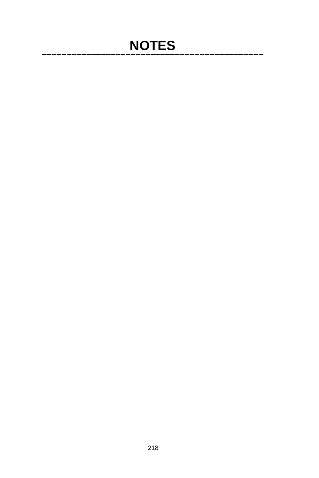# **NOTES**